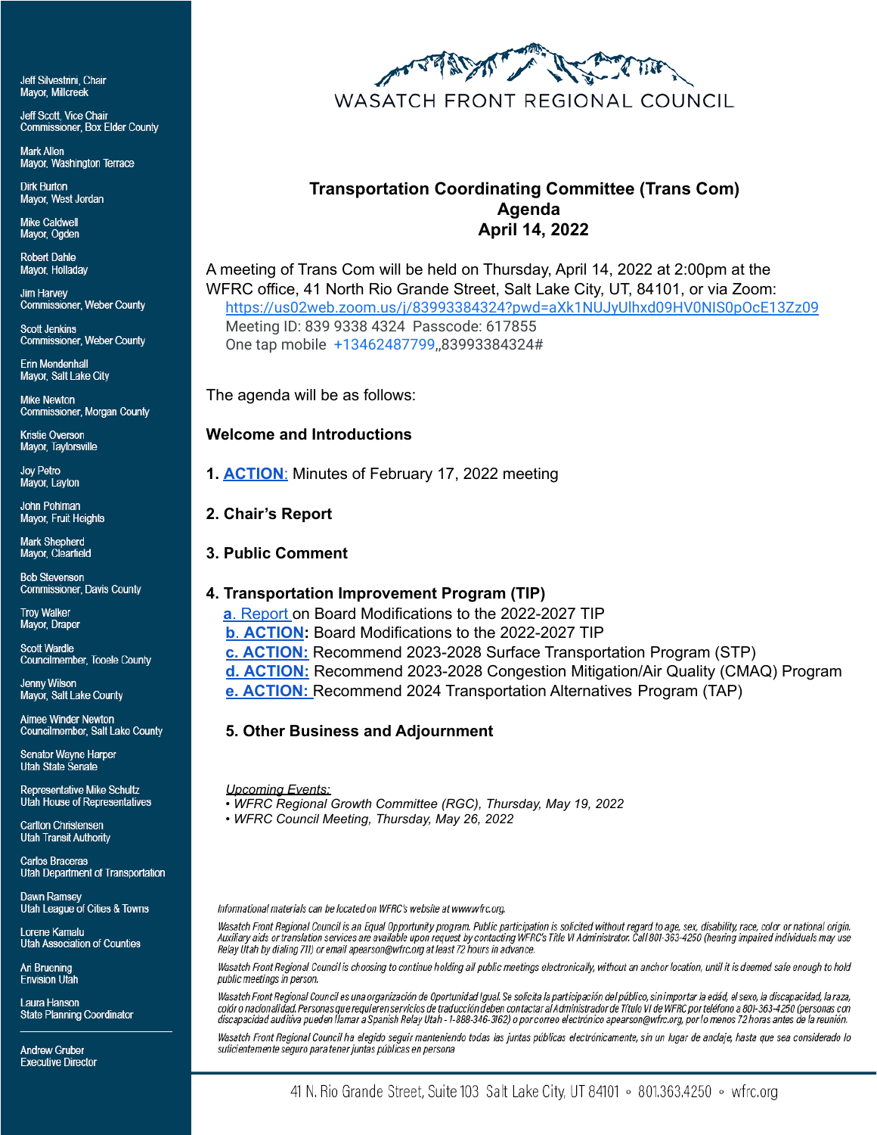Jeff Silvestrini, Chair **Mavor. Millcreek** 

Jeff Scott, Vice Chair **Commissioner, Box Elder County** 

Mark Allen Mayor, Washington Terrace

**Dirk Burton** Mayor, West Jordan

**Mike Caldwell** Mayor, Ogden

**Robert Dahle** Mayor, Holladay

**Jim Harvey Commissioner, Weber County** 

**Scott Jenkins Commissioner, Weber County** 

Erin Mendenhall Mayor, Salt Lake City

**Mike Newton** Commissioner, Morgan County

Kristie Overson Mayor, Taylorsville

Joy Petro Mayor, Layton

John Pohlman Mayor, Fruit Heights

Mark Shepherd Mayor, Clearfield

**Bob Stevenson Commissioner, Davis County** 

**Troy Walker** Mayor, Draper

**Scott Wardle Councilmember, Tooele County** 

Jenny Wilson Mayor, Salt Lake County

Aimee Winder Newton Councilmember, Salt Lake County

**Senator Wayne Harper Utah State Senate** 

Representative Mike Schultz Utah House of Representatives

Carlton Christensen **Utah Transit Authority** 

**Carlos Braceras** Utah Department of Transportation

Dawn Ramsey Utah League of Cities & Towns

Lorene Kamalu **Utah Association of Counties** 

Ari Bruening **Envision Utah** 

Laura Hanson **State Planning Coordinator** 

**Andrew Gruber Executive Director** 



## **Transportation Coordinating Committee (Trans Com) Agenda April 14, 2022**

A meeting of Trans Com will be held on Thursday, April 14, 2022 at 2:00pm at the WFRC office, 41 North Rio Grande Street, Salt Lake City, UT, 84101, or via Zoom: <https://us02web.zoom.us/j/83993384324?pwd=aXk1NUJyUlhxd09HV0NIS0pOcE13Zz09> Meeting ID: 839 9338 4324 Passcode: 617855 One tap mobile +13462487799,,83993384324#

The agenda will be as follows:

**Welcome and Introductions**

**1. [ACTION](https://wfrc.org/Committees/TransportationCoordinating/2022/02_Apr14/2_TransCom_2022Feb17_MinutesDRAFT.pdf)**: Minutes of February 17, 2022 meeting

- **2. Chair's Report**
- **3. Public Comment**

## **4. Transportation Improvement Program (TIP)**

**a**. [Report](https://wfrc.org/Committees/TransportationCoordinating/2022/02_Apr14/3_Item4a.pdf) on Board Modifications to the 2022-2027 TIP **b**. **[ACTION](https://wfrc.org/Committees/TransportationCoordinating/2022/02_Apr14/4_Item4b.pdf):** Board Modifications to the 2022-2027 TIP **c. [ACTION:](https://wfrc.org/Committees/TransportationCoordinating/2022/02_Apr14/5_Item4c.pdf)** Recommend 2023-2028 Surface Transportation Program (STP) **d. [ACTION:](https://wfrc.org/Committees/TransportationCoordinating/2022/02_Apr14/6_Item4d.pdf)** Recommend 2023-2028 Congestion Mitigation/Air Quality (CMAQ) Program **e. [ACTION:](https://wfrc.org/Committees/TransportationCoordinating/2022/02_Apr14/7_Item4e.pdf)** Recommend 2024 Transportation Alternatives Program (TAP)

## **5. Other Business and Adjournment**

*Upcoming Events:*

*• WFRC Regional Growth Committee (RGC), Thursday, May 19, 2022*

*• WFRC Council Meeting, Thursday, May 26, 2022*

Informational materials can be located on WFRC's website at www.wfrc.org.

Wasatch Front Regional Council is an Equal Opportunity program. Public participation is solicited without regard to age, sex, disability, race, color or national origin. Auxiliary aids or translation services are available upon request by contacting WFRC's Title VI Administrator. Call 801-363-4250 (hearing impaired individuals may use Relay Utah by dialing 711) or email apearson@wfrc.org at least 72 hours in advance.

Wasatch Front Regional Council is choosing to continue holding all public meetings electronically, without an anchor location, until it is deemed safe enough to hold public meetings in person.

Wasatch Front Regional Council es una organización de Oportunidad Igual. Se solicita la participación del público, sin importar la edád, el sexo, la discapacidad, la raza, colór o nacionalidad. Personas que requieren servicios de traducción deben contactar al Administrador de Título VI de WFRC por teléfono a 801-363-4250 (personas con discapacidad auditiva pueden llamar a Spanish Relay Utah - 1-888-346-3162) o por correo electrónico apearson@wfrc.org, por lo menos 72 horas antes de la reunión.

Wasatch Front Regional Council ha elegido seguir manteniendo todas las juntas públicas electrónicamente, sin un lugar de anclaje, hasta que sea considerado lo suficientemente seguro para tener juntas públicas en persona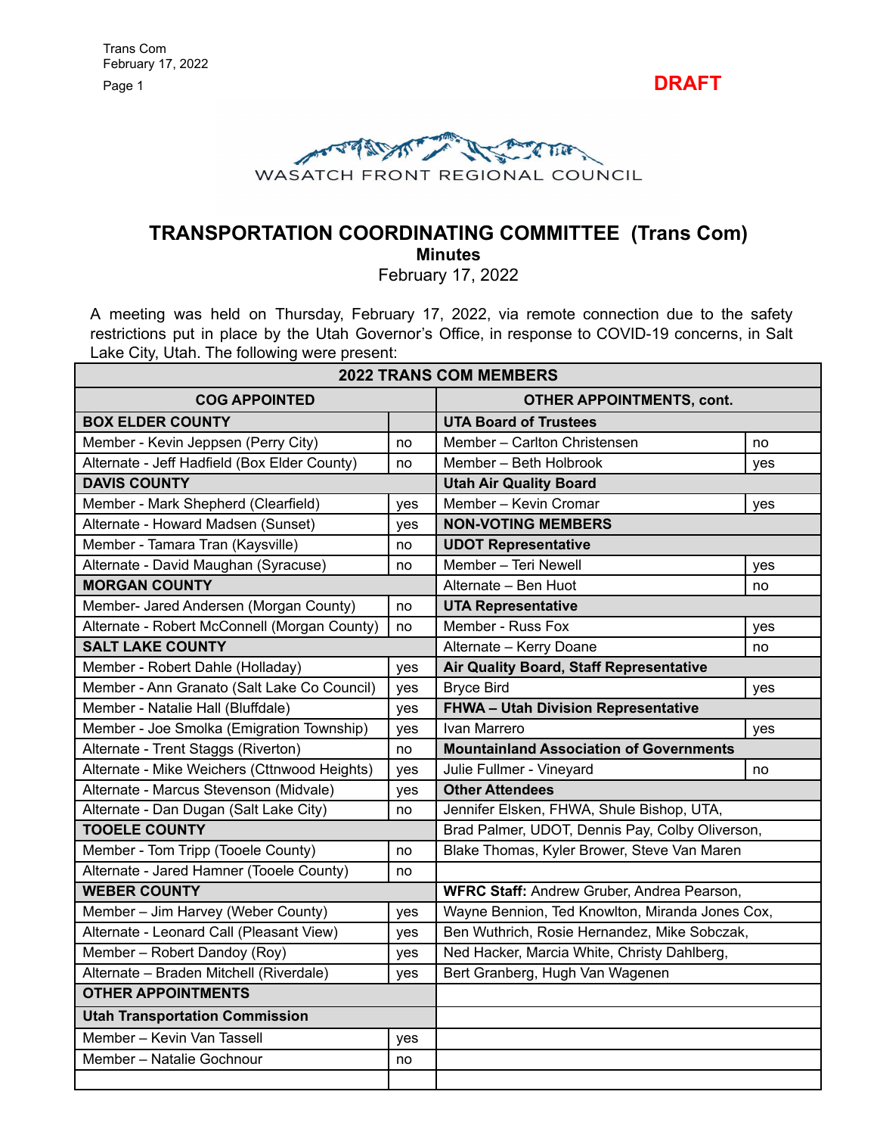



# **TRANSPORTATION COORDINATING COMMITTEE (Trans Com)**

**Minutes**

February 17, 2022

A meeting was held on Thursday, February 17, 2022, via remote connection due to the safety restrictions put in place by the Utah Governor's Office, in response to COVID-19 concerns, in Salt Lake City, Utah. The following were present:

|                                              |     | <b>2022 TRANS COM MEMBERS</b>                     |     |  |  |  |  |
|----------------------------------------------|-----|---------------------------------------------------|-----|--|--|--|--|
| <b>COG APPOINTED</b>                         |     | <b>OTHER APPOINTMENTS, cont.</b>                  |     |  |  |  |  |
| <b>BOX ELDER COUNTY</b>                      |     | <b>UTA Board of Trustees</b>                      |     |  |  |  |  |
| Member - Kevin Jeppsen (Perry City)          | no  | Member - Carlton Christensen                      | no  |  |  |  |  |
| Alternate - Jeff Hadfield (Box Elder County) | no  | Member - Beth Holbrook                            | yes |  |  |  |  |
| <b>DAVIS COUNTY</b>                          |     | <b>Utah Air Quality Board</b>                     |     |  |  |  |  |
| Member - Mark Shepherd (Clearfield)          | yes | Member - Kevin Cromar                             | yes |  |  |  |  |
| Alternate - Howard Madsen (Sunset)           | yes | <b>NON-VOTING MEMBERS</b>                         |     |  |  |  |  |
| Member - Tamara Tran (Kaysville)             | no  | <b>UDOT Representative</b>                        |     |  |  |  |  |
| Alternate - David Maughan (Syracuse)         | no  | Member - Teri Newell                              | yes |  |  |  |  |
| <b>MORGAN COUNTY</b>                         |     | Alternate - Ben Huot                              | no  |  |  |  |  |
| Member- Jared Andersen (Morgan County)       | no  | <b>UTA Representative</b>                         |     |  |  |  |  |
| Alternate - Robert McConnell (Morgan County) | no  | Member - Russ Fox                                 | yes |  |  |  |  |
| <b>SALT LAKE COUNTY</b>                      |     | Alternate - Kerry Doane                           | no  |  |  |  |  |
| Member - Robert Dahle (Holladay)             | yes | Air Quality Board, Staff Representative           |     |  |  |  |  |
| Member - Ann Granato (Salt Lake Co Council)  | yes | <b>Bryce Bird</b>                                 | yes |  |  |  |  |
| Member - Natalie Hall (Bluffdale)            | yes | FHWA - Utah Division Representative               |     |  |  |  |  |
| Member - Joe Smolka (Emigration Township)    | yes | Ivan Marrero                                      | yes |  |  |  |  |
| Alternate - Trent Staggs (Riverton)          | no  | <b>Mountainland Association of Governments</b>    |     |  |  |  |  |
| Alternate - Mike Weichers (Cttnwood Heights) | yes | Julie Fullmer - Vineyard                          | no  |  |  |  |  |
| Alternate - Marcus Stevenson (Midvale)       | yes | <b>Other Attendees</b>                            |     |  |  |  |  |
| Alternate - Dan Dugan (Salt Lake City)       | no  | Jennifer Elsken, FHWA, Shule Bishop, UTA,         |     |  |  |  |  |
| <b>TOOELE COUNTY</b>                         |     | Brad Palmer, UDOT, Dennis Pay, Colby Oliverson,   |     |  |  |  |  |
| Member - Tom Tripp (Tooele County)           | no  | Blake Thomas, Kyler Brower, Steve Van Maren       |     |  |  |  |  |
| Alternate - Jared Hamner (Tooele County)     | no  |                                                   |     |  |  |  |  |
| <b>WEBER COUNTY</b>                          |     | <b>WFRC Staff: Andrew Gruber, Andrea Pearson,</b> |     |  |  |  |  |
| Member - Jim Harvey (Weber County)           | yes | Wayne Bennion, Ted Knowlton, Miranda Jones Cox,   |     |  |  |  |  |
| Alternate - Leonard Call (Pleasant View)     | yes | Ben Wuthrich, Rosie Hernandez, Mike Sobczak,      |     |  |  |  |  |
| Member - Robert Dandoy (Roy)                 | yes | Ned Hacker, Marcia White, Christy Dahlberg,       |     |  |  |  |  |
| Alternate - Braden Mitchell (Riverdale)      | yes | Bert Granberg, Hugh Van Wagenen                   |     |  |  |  |  |
| <b>OTHER APPOINTMENTS</b>                    |     |                                                   |     |  |  |  |  |
| <b>Utah Transportation Commission</b>        |     |                                                   |     |  |  |  |  |
| Member - Kevin Van Tassell                   | yes |                                                   |     |  |  |  |  |
| Member - Natalie Gochnour                    | no  |                                                   |     |  |  |  |  |
|                                              |     |                                                   |     |  |  |  |  |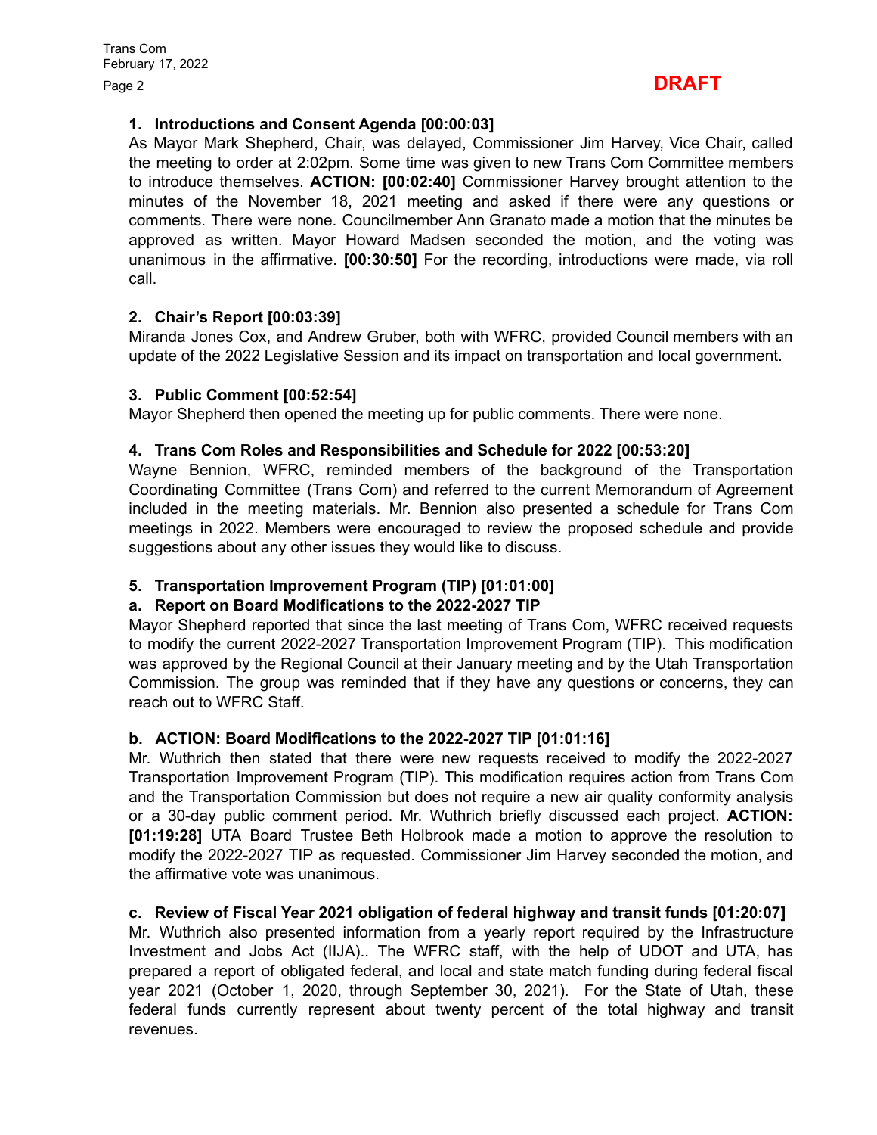## Page <sup>2</sup> **DRAFT**

## **1. Introductions and Consent Agenda [00:00:03]**

As Mayor Mark Shepherd, Chair, was delayed, Commissioner Jim Harvey, Vice Chair, called the meeting to order at 2:02pm. Some time was given to new Trans Com Committee members to introduce themselves. **ACTION: [00:02:40]** Commissioner Harvey brought attention to the minutes of the November 18, 2021 meeting and asked if there were any questions or comments. There were none. Councilmember Ann Granato made a motion that the minutes be approved as written. Mayor Howard Madsen seconded the motion, and the voting was unanimous in the affirmative. **[00:30:50]** For the recording, introductions were made, via roll call.

## **2. Chair's Report [00:03:39]**

Miranda Jones Cox, and Andrew Gruber, both with WFRC, provided Council members with an update of the 2022 Legislative Session and its impact on transportation and local government.

## **3. Public Comment [00:52:54]**

Mayor Shepherd then opened the meeting up for public comments. There were none.

## **4. Trans Com Roles and Responsibilities and Schedule for 2022 [00:53:20]**

Wayne Bennion, WFRC, reminded members of the background of the Transportation Coordinating Committee (Trans Com) and referred to the current Memorandum of Agreement included in the meeting materials. Mr. Bennion also presented a schedule for Trans Com meetings in 2022. Members were encouraged to review the proposed schedule and provide suggestions about any other issues they would like to discuss.

## **5. Transportation Improvement Program (TIP) [01:01:00]**

## **a. Report on Board Modifications to the 2022-2027 TIP**

Mayor Shepherd reported that since the last meeting of Trans Com, WFRC received requests to modify the current 2022-2027 Transportation Improvement Program (TIP). This modification was approved by the Regional Council at their January meeting and by the Utah Transportation Commission. The group was reminded that if they have any questions or concerns, they can reach out to WFRC Staff.

## **b. ACTION: Board Modifications to the 2022-2027 TIP [01:01:16]**

Mr. Wuthrich then stated that there were new requests received to modify the 2022-2027 Transportation Improvement Program (TIP). This modification requires action from Trans Com and the Transportation Commission but does not require a new air quality conformity analysis or a 30-day public comment period. Mr. Wuthrich briefly discussed each project. **ACTION: [01:19:28]** UTA Board Trustee Beth Holbrook made a motion to approve the resolution to modify the 2022-2027 TIP as requested. Commissioner Jim Harvey seconded the motion, and the affirmative vote was unanimous.

## **c. Review of Fiscal Year 2021 obligation of federal highway and transit funds [01:20:07]**

Mr. Wuthrich also presented information from a yearly report required by the Infrastructure Investment and Jobs Act (IIJA).. The WFRC staff, with the help of UDOT and UTA, has prepared a report of obligated federal, and local and state match funding during federal fiscal year 2021 (October 1, 2020, through September 30, 2021). For the State of Utah, these federal funds currently represent about twenty percent of the total highway and transit revenues.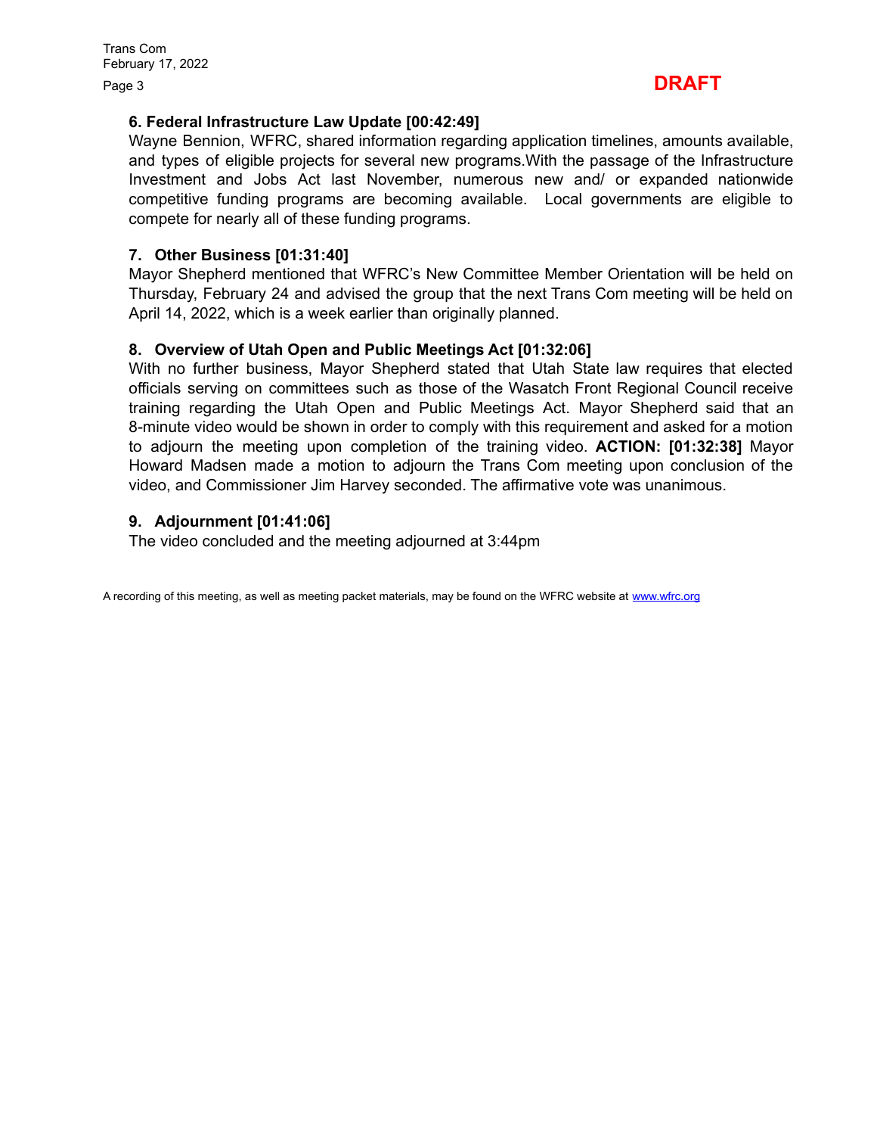

## **6. Federal Infrastructure Law Update [00:42:49]**

Wayne Bennion, WFRC, shared information regarding application timelines, amounts available, and types of eligible projects for several new programs.With the passage of the Infrastructure Investment and Jobs Act last November, numerous new and/ or expanded nationwide competitive funding programs are becoming available. Local governments are eligible to compete for nearly all of these funding programs.

## **7. Other Business [01:31:40]**

Mayor Shepherd mentioned that WFRC's New Committee Member Orientation will be held on Thursday, February 24 and advised the group that the next Trans Com meeting will be held on April 14, 2022, which is a week earlier than originally planned.

#### **8. Overview of Utah Open and Public Meetings Act [01:32:06]**

With no further business, Mayor Shepherd stated that Utah State law requires that elected officials serving on committees such as those of the Wasatch Front Regional Council receive training regarding the Utah Open and Public Meetings Act. Mayor Shepherd said that an 8-minute video would be shown in order to comply with this requirement and asked for a motion to adjourn the meeting upon completion of the training video. **ACTION: [01:32:38]** Mayor Howard Madsen made a motion to adjourn the Trans Com meeting upon conclusion of the video, and Commissioner Jim Harvey seconded. The affirmative vote was unanimous.

## **9. Adjournment [01:41:06]**

The video concluded and the meeting adjourned at 3:44pm

A recording of this meeting, as well as meeting packet materials, may be found on the WFRC website at [www.wfrc.org](http://www.wfrc.org)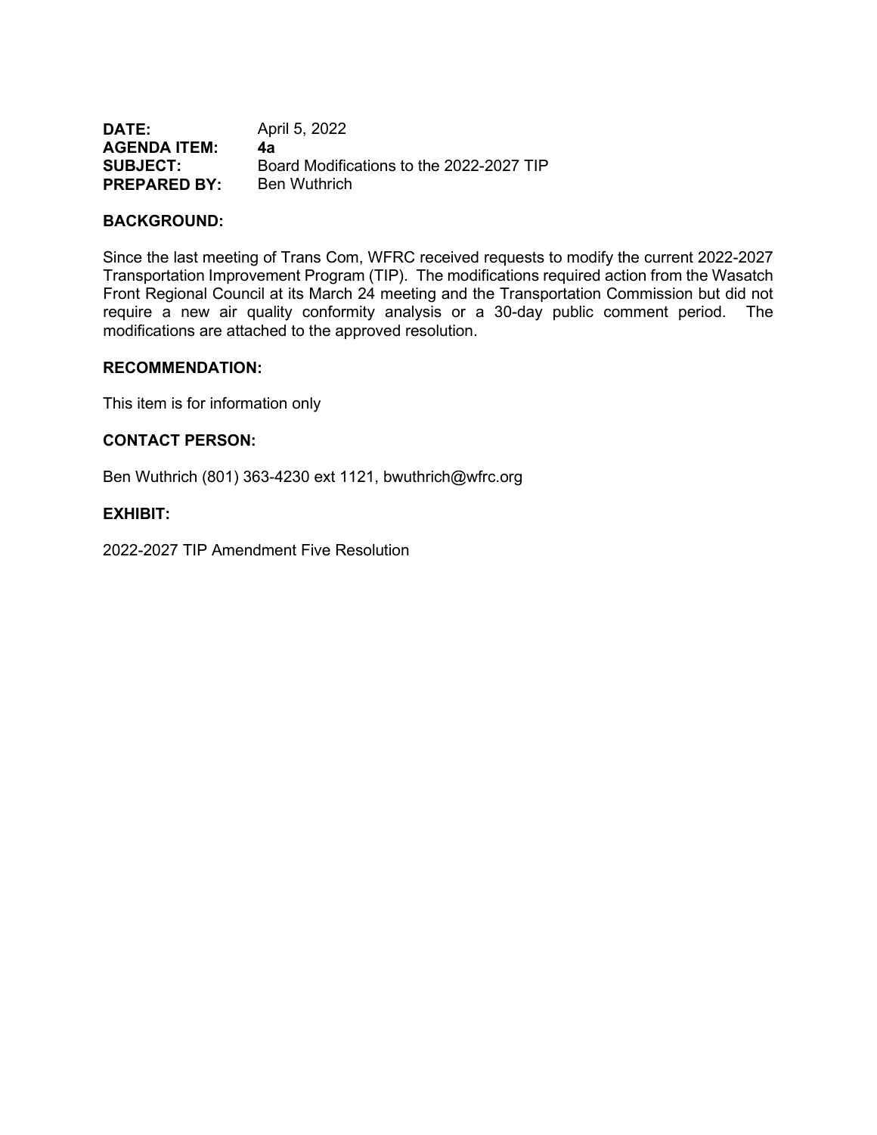| DATE:               | April 5, 2022                            |
|---------------------|------------------------------------------|
| <b>AGENDA ITEM:</b> | 4а                                       |
| <b>SUBJECT:</b>     | Board Modifications to the 2022-2027 TIP |
| <b>PREPARED BY:</b> | <b>Ben Wuthrich</b>                      |

## **BACKGROUND:**

Since the last meeting of Trans Com, WFRC received requests to modify the current 2022-2027 Transportation Improvement Program (TIP). The modifications required action from the Wasatch Front Regional Council at its March 24 meeting and the Transportation Commission but did not require a new air quality conformity analysis or a 30-day public comment period. The modifications are attached to the approved resolution.

#### **RECOMMENDATION:**

This item is for information only

#### **CONTACT PERSON:**

Ben Wuthrich (801) 363-4230 ext 1121, bwuthrich@wfrc.org

## **EXHIBIT:**

2022-2027 TIP Amendment Five Resolution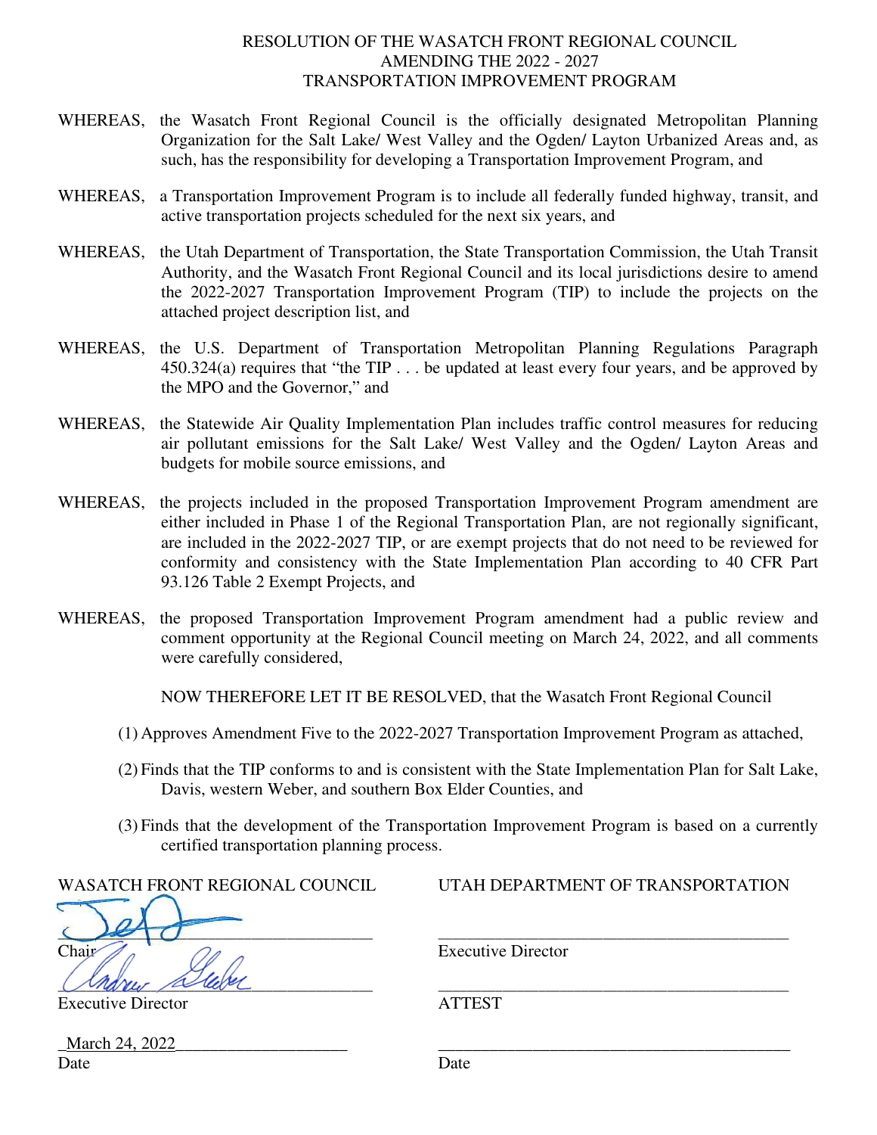## RESOLUTION OF THE WASATCH FRONT REGIONAL COUNCIL AMENDING THE 2022 - 2027 TRANSPORTATION IMPROVEMENT PROGRAM

- WHEREAS, the Wasatch Front Regional Council is the officially designated Metropolitan Planning Organization for the Salt Lake/ West Valley and the Ogden/ Layton Urbanized Areas and, as such, has the responsibility for developing a Transportation Improvement Program, and
- WHEREAS, a Transportation Improvement Program is to include all federally funded highway, transit, and active transportation projects scheduled for the next six years, and
- WHEREAS, the Utah Department of Transportation, the State Transportation Commission, the Utah Transit Authority, and the Wasatch Front Regional Council and its local jurisdictions desire to amend the 2022-2027 Transportation Improvement Program (TIP) to include the projects on the attached project description list, and
- WHEREAS, the U.S. Department of Transportation Metropolitan Planning Regulations Paragraph 450.324(a) requires that "the TIP . . . be updated at least every four years, and be approved by the MPO and the Governor," and
- WHEREAS, the Statewide Air Quality Implementation Plan includes traffic control measures for reducing air pollutant emissions for the Salt Lake/ West Valley and the Ogden/ Layton Areas and budgets for mobile source emissions, and
- WHEREAS, the projects included in the proposed Transportation Improvement Program amendment are either included in Phase 1 of the Regional Transportation Plan, are not regionally significant, are included in the 2022-2027 TIP, or are exempt projects that do not need to be reviewed for conformity and consistency with the State Implementation Plan according to 40 CFR Part 93.126 Table 2 Exempt Projects, and
- WHEREAS, the proposed Transportation Improvement Program amendment had a public review and comment opportunity at the Regional Council meeting on March 24, 2022, and all comments were carefully considered,

NOW THEREFORE LET IT BE RESOLVED, that the Wasatch Front Regional Council

- (1) Approves Amendment Five to the 2022-2027 Transportation Improvement Program as attached,
- (2) Finds that the TIP conforms to and is consistent with the State Implementation Plan for Salt Lake, Davis, western Weber, and southern Box Elder Counties, and
- (3) Finds that the development of the Transportation Improvement Program is based on a currently certified transportation planning process.

| UTAILDELANTMENT OF TNANSI UNTATION |
|------------------------------------|
|                                    |
|                                    |
| <b>Executive Director</b>          |
|                                    |
|                                    |
|                                    |

WASATCH FRONT REGIONAL COUNCIL UTAH DEPARTMENT OF TRANSPORTATION

March 24, 2022 Date Date Date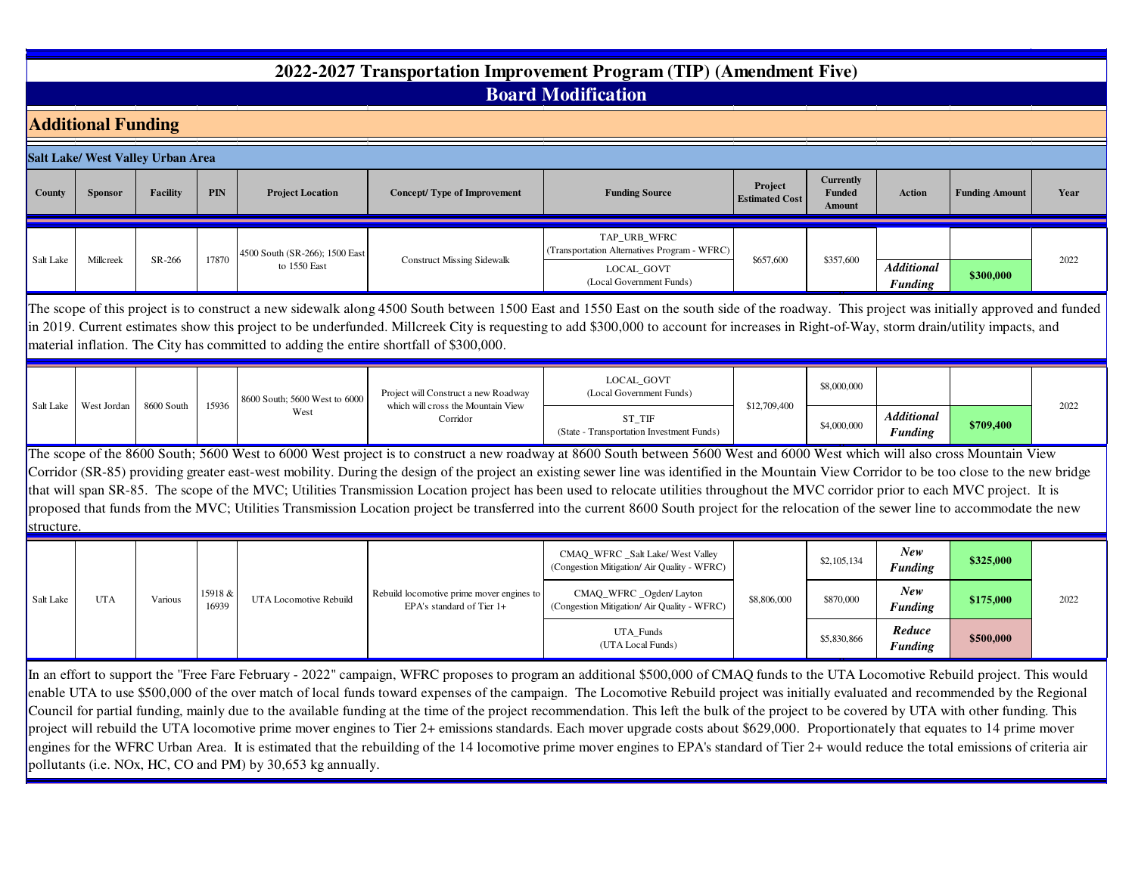## **2022-2027 Transportation Improvement Program (TIP) (Amendment Five)Board Modification**

|            | <b>Additional Funding</b>                                                                                                                                                                                                                                                                                                                                                                                                                                                         |                 |                  |                                                |                                                                        |                                                                                                                                                                                                                                                                                                                                                                                                                                                                                                                                                                                                                                                                                                                                                                  |                                  |                                             |                                     |                       |      |  |  |  |
|------------|-----------------------------------------------------------------------------------------------------------------------------------------------------------------------------------------------------------------------------------------------------------------------------------------------------------------------------------------------------------------------------------------------------------------------------------------------------------------------------------|-----------------|------------------|------------------------------------------------|------------------------------------------------------------------------|------------------------------------------------------------------------------------------------------------------------------------------------------------------------------------------------------------------------------------------------------------------------------------------------------------------------------------------------------------------------------------------------------------------------------------------------------------------------------------------------------------------------------------------------------------------------------------------------------------------------------------------------------------------------------------------------------------------------------------------------------------------|----------------------------------|---------------------------------------------|-------------------------------------|-----------------------|------|--|--|--|
|            | <b>Salt Lake/ West Valley Urban Area</b>                                                                                                                                                                                                                                                                                                                                                                                                                                          |                 |                  |                                                |                                                                        |                                                                                                                                                                                                                                                                                                                                                                                                                                                                                                                                                                                                                                                                                                                                                                  |                                  |                                             |                                     |                       |      |  |  |  |
| County     | <b>Sponsor</b>                                                                                                                                                                                                                                                                                                                                                                                                                                                                    | <b>Facility</b> | PIN              | <b>Project Location</b>                        | <b>Concept/Type of Improvement</b>                                     | <b>Funding Source</b>                                                                                                                                                                                                                                                                                                                                                                                                                                                                                                                                                                                                                                                                                                                                            | Project<br><b>Estimated Cost</b> | <b>Currently</b><br>Funded<br><b>Amount</b> | <b>Action</b>                       | <b>Funding Amount</b> | Year |  |  |  |
| Salt Lake  | Millcreek                                                                                                                                                                                                                                                                                                                                                                                                                                                                         | SR-266          | 17870            | 4500 South (SR-266); 1500 East<br>to 1550 East | <b>Construct Missing Sidewalk</b>                                      | TAP URB WFRC<br>(Transportation Alternatives Program - WFRC)<br><b>LOCAL GOVT</b><br>(Local Government Funds)                                                                                                                                                                                                                                                                                                                                                                                                                                                                                                                                                                                                                                                    | \$657,600                        | \$357,600                                   | <b>Additional</b><br><b>Funding</b> | \$300,000             | 2022 |  |  |  |
|            | The scope of this project is to construct a new sidewalk along 4500 South between 1500 East and 1550 East on the south side of the roadway. This project was initially approved and funded<br>in 2019. Current estimates show this project to be underfunded. Millcreek City is requesting to add \$300,000 to account for increases in Right-of-Way, storm drain/utility impacts, and<br>material inflation. The City has committed to adding the entire shortfall of \$300,000. |                 |                  |                                                |                                                                        |                                                                                                                                                                                                                                                                                                                                                                                                                                                                                                                                                                                                                                                                                                                                                                  |                                  |                                             |                                     |                       |      |  |  |  |
|            |                                                                                                                                                                                                                                                                                                                                                                                                                                                                                   |                 |                  | 8600 South; 5600 West to 6000                  | Project will Construct a new Roadway                                   | <b>LOCAL GOVT</b><br>(Local Government Funds)                                                                                                                                                                                                                                                                                                                                                                                                                                                                                                                                                                                                                                                                                                                    |                                  | \$8,000,000                                 |                                     |                       |      |  |  |  |
|            | Salt Lake   West Jordan                                                                                                                                                                                                                                                                                                                                                                                                                                                           | 8600 South      | 15936            | West                                           | which will cross the Mountain View<br>Corridor                         | ST TIF<br>(State - Transportation Investment Funds)                                                                                                                                                                                                                                                                                                                                                                                                                                                                                                                                                                                                                                                                                                              | \$12,709,400                     | \$4,000,000                                 | <b>Additional</b><br><b>Funding</b> | \$709,400             | 2022 |  |  |  |
| structure. |                                                                                                                                                                                                                                                                                                                                                                                                                                                                                   |                 |                  |                                                |                                                                        | The scope of the 8600 South; 5600 West to 6000 West project is to construct a new roadway at 8600 South between 5600 West and 6000 West which will also cross Mountain View<br>Corridor (SR-85) providing greater east-west mobility. During the design of the project an existing sewer line was identified in the Mountain View Corridor to be too close to the new bridge<br>that will span SR-85. The scope of the MVC; Utilities Transmission Location project has been used to relocate utilities throughout the MVC corridor prior to each MVC project. It is<br>proposed that funds from the MVC; Utilities Transmission Location project be transferred into the current 8600 South project for the relocation of the sewer line to accommodate the new |                                  |                                             |                                     |                       |      |  |  |  |
|            |                                                                                                                                                                                                                                                                                                                                                                                                                                                                                   |                 |                  |                                                |                                                                        | CMAQ_WFRC _Salt Lake/ West Valley<br>(Congestion Mitigation/ Air Quality - WFRC)                                                                                                                                                                                                                                                                                                                                                                                                                                                                                                                                                                                                                                                                                 |                                  | \$2,105,134                                 | New<br><b>Funding</b>               | \$325,000             |      |  |  |  |
| Salt Lake  | <b>UTA</b>                                                                                                                                                                                                                                                                                                                                                                                                                                                                        | Various         | 15918 &<br>16939 | UTA Locomotive Rebuild                         | Rebuild locomotive prime mover engines to<br>EPA's standard of Tier 1+ | CMAQ_WFRC _Ogden/ Layton<br>(Congestion Mitigation/ Air Quality - WFRC)                                                                                                                                                                                                                                                                                                                                                                                                                                                                                                                                                                                                                                                                                          | \$8,806,000                      | \$870,000                                   | New<br><b>Funding</b>               | \$175,000             | 2022 |  |  |  |
|            |                                                                                                                                                                                                                                                                                                                                                                                                                                                                                   |                 |                  |                                                |                                                                        | UTA_Funds<br>(UTA Local Funds)                                                                                                                                                                                                                                                                                                                                                                                                                                                                                                                                                                                                                                                                                                                                   |                                  | \$5,830,866                                 | Reduce<br><b>Funding</b>            | \$500,000             |      |  |  |  |

 In an effort to support the "Free Fare February - 2022" campaign, WFRC proposes to program an additional \$500,000 of CMAQ funds to the UTA Locomotive Rebuild project. This would enable UTA to use \$500,000 of the over match of local funds toward expenses of the campaign. The Locomotive Rebuild project was initially evaluated and recommended by the Regional Council for partial funding, mainly due to the available funding at the time of the project recommendation. This left the bulk of the project to be covered by UTA with other funding. This project will rebuild the UTA locomotive prime mover engines to Tier 2+ emissions standards. Each mover upgrade costs about \$629,000. Proportionately that equates to 14 prime mover engines for the WFRC Urban Area. It is estimated that the rebuilding of the 14 locomotive prime mover engines to EPA's standard of Tier 2+ would reduce the total emissions of criteria air pollutants (i.e. NOx, HC, CO and PM) by 30,653 kg annually.

0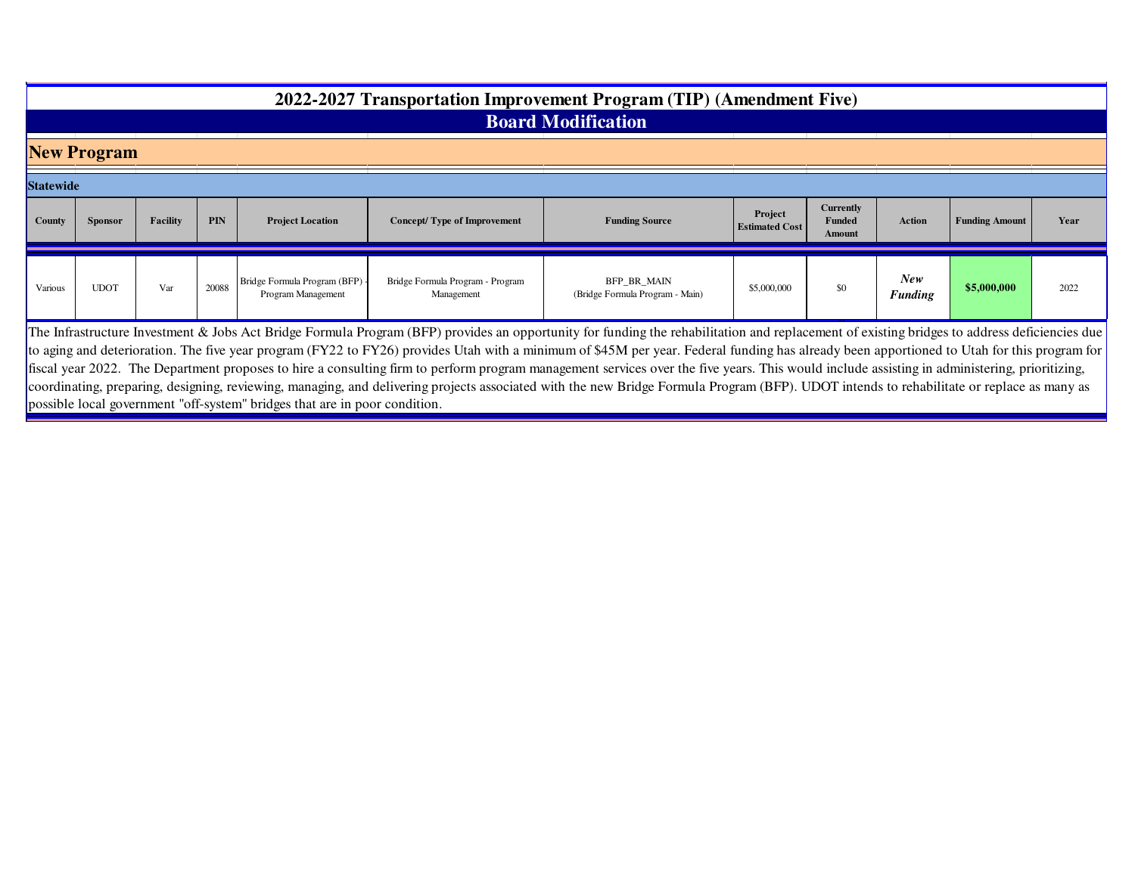# **2022-2027 Transportation Improvement Program (TIP) (Amendment Five)**

## **Board Modification**

**New Program**

| <b>Statewide</b> |                |          |            |                                                      |                                                |                                                |                                  |                                             |                       |                       |      |  |
|------------------|----------------|----------|------------|------------------------------------------------------|------------------------------------------------|------------------------------------------------|----------------------------------|---------------------------------------------|-----------------------|-----------------------|------|--|
| <b>County</b>    | <b>Sponsor</b> | Facility | <b>PIN</b> | <b>Project Location</b>                              | Concept/Type of Improvement                    | <b>Funding Source</b>                          | Project<br><b>Estimated Cost</b> | <b>Currently</b><br><b>Funded</b><br>Amount | Action                | <b>Funding Amount</b> | Year |  |
| Various          | <b>UDOT</b>    | Var      | 20088      | Bridge Formula Program (BFP) -<br>Program Management | Bridge Formula Program - Program<br>Management | BFP_BR_MAIN<br>(Bridge Formula Program - Main) | \$5,000,000                      | \$0                                         | New<br><b>Funding</b> | \$5,000,000           | 2022 |  |

The Infrastructure Investment & Jobs Act Bridge Formula Program (BFP) provides an opportunity for funding the rehabilitation and replacement of existing bridges to address deficiencies due to aging and deterioration. The five year program (FY22 to FY26) provides Utah with a minimum of \$45M per year. Federal funding has already been apportioned to Utah for this program for fiscal year 2022. The Department proposes to hire a consulting firm to perform program management services over the five years. This would include assisting in administering, prioritizing, coordinating, preparing, designing, reviewing, managing, and delivering projects associated with the new Bridge Formula Program (BFP). UDOT intends to rehabilitate or replace as many as possible local government "off-system" bridges that are in poor condition.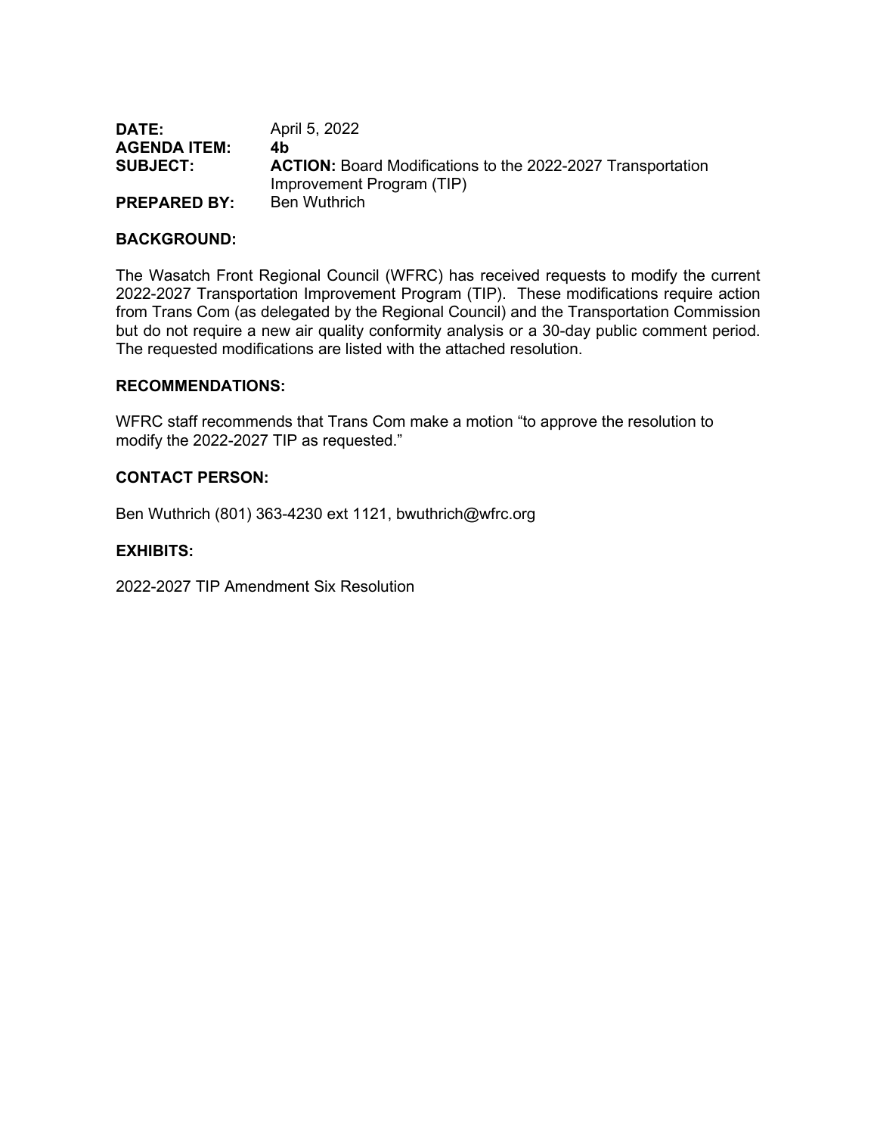| DATE:               | April 5, 2022                                                      |
|---------------------|--------------------------------------------------------------------|
| <b>AGENDA ITEM:</b> | 4b                                                                 |
| <b>SUBJECT:</b>     | <b>ACTION:</b> Board Modifications to the 2022-2027 Transportation |
|                     | Improvement Program (TIP)                                          |
| <b>PREPARED BY:</b> | <b>Ben Wuthrich</b>                                                |

#### **BACKGROUND:**

The Wasatch Front Regional Council (WFRC) has received requests to modify the current 2022-2027 Transportation Improvement Program (TIP). These modifications require action from Trans Com (as delegated by the Regional Council) and the Transportation Commission but do not require a new air quality conformity analysis or a 30-day public comment period. The requested modifications are listed with the attached resolution.

#### **RECOMMENDATIONS:**

WFRC staff recommends that Trans Com make a motion "to approve the resolution to modify the 2022-2027 TIP as requested."

#### **CONTACT PERSON:**

Ben Wuthrich (801) 363-4230 ext 1121, bwuthrich@wfrc.org

#### **EXHIBITS:**

2022-2027 TIP Amendment Six Resolution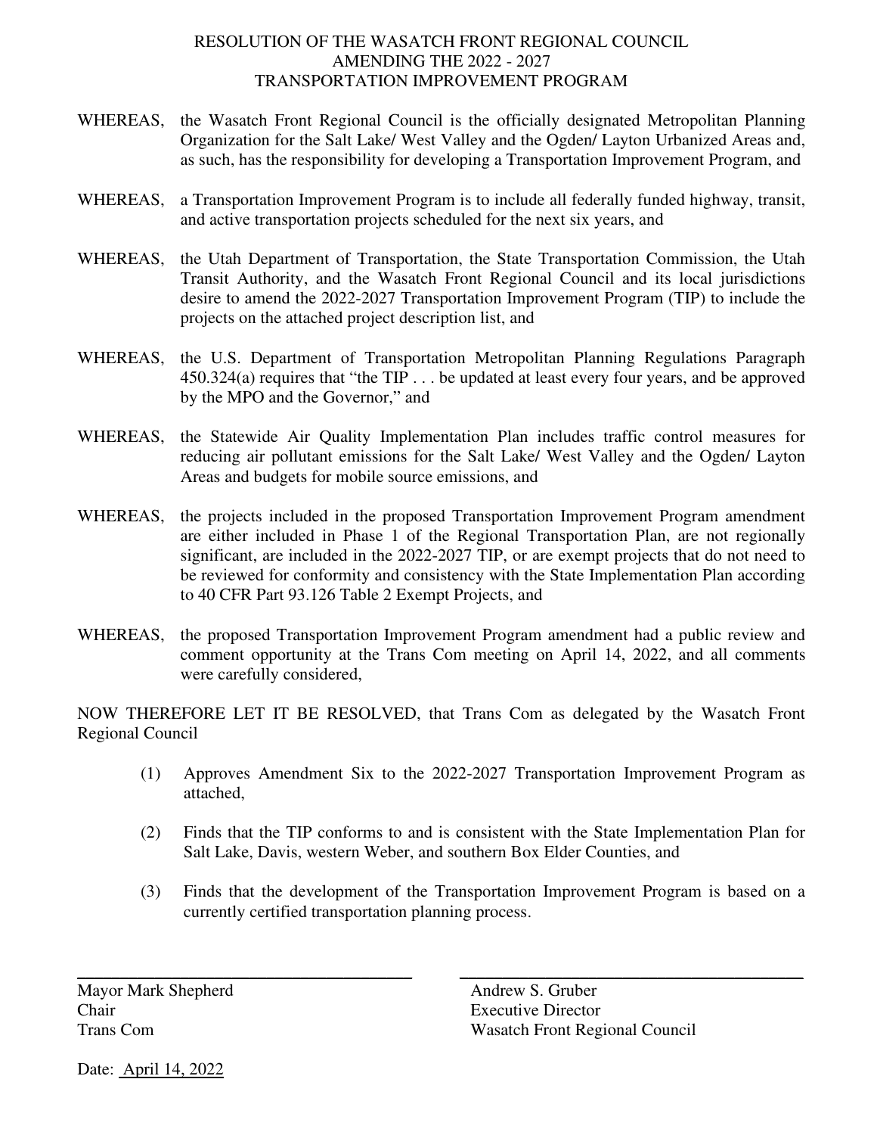## RESOLUTION OF THE WASATCH FRONT REGIONAL COUNCIL AMENDING THE 2022 - 2027 TRANSPORTATION IMPROVEMENT PROGRAM

- WHEREAS, the Wasatch Front Regional Council is the officially designated Metropolitan Planning Organization for the Salt Lake/ West Valley and the Ogden/ Layton Urbanized Areas and, as such, has the responsibility for developing a Transportation Improvement Program, and
- WHEREAS, a Transportation Improvement Program is to include all federally funded highway, transit, and active transportation projects scheduled for the next six years, and
- WHEREAS, the Utah Department of Transportation, the State Transportation Commission, the Utah Transit Authority, and the Wasatch Front Regional Council and its local jurisdictions desire to amend the 2022-2027 Transportation Improvement Program (TIP) to include the projects on the attached project description list, and
- WHEREAS, the U.S. Department of Transportation Metropolitan Planning Regulations Paragraph 450.324(a) requires that "the TIP . . . be updated at least every four years, and be approved by the MPO and the Governor," and
- WHEREAS, the Statewide Air Quality Implementation Plan includes traffic control measures for reducing air pollutant emissions for the Salt Lake/ West Valley and the Ogden/ Layton Areas and budgets for mobile source emissions, and
- WHEREAS, the projects included in the proposed Transportation Improvement Program amendment are either included in Phase 1 of the Regional Transportation Plan, are not regionally significant, are included in the 2022-2027 TIP, or are exempt projects that do not need to be reviewed for conformity and consistency with the State Implementation Plan according to 40 CFR Part 93.126 Table 2 Exempt Projects, and
- WHEREAS, the proposed Transportation Improvement Program amendment had a public review and comment opportunity at the Trans Com meeting on April 14, 2022, and all comments were carefully considered,

NOW THEREFORE LET IT BE RESOLVED, that Trans Com as delegated by the Wasatch Front Regional Council

- (1) Approves Amendment Six to the 2022-2027 Transportation Improvement Program as attached,
- (2) Finds that the TIP conforms to and is consistent with the State Implementation Plan for Salt Lake, Davis, western Weber, and southern Box Elder Counties, and
- (3) Finds that the development of the Transportation Improvement Program is based on a currently certified transportation planning process.

\_\_\_\_\_\_\_\_\_\_\_\_\_\_\_\_\_\_\_\_\_\_\_\_\_\_\_\_\_\_\_\_\_\_\_\_\_\_\_ \_\_\_\_\_\_\_\_\_\_\_\_\_\_\_\_\_\_\_\_\_\_\_\_\_\_\_\_\_\_\_\_\_\_\_\_\_\_\_\_

Mayor Mark Shepherd Andrew S. Gruber Chair Executive Director

Trans Com Wasatch Front Regional Council

Date: April 14, 2022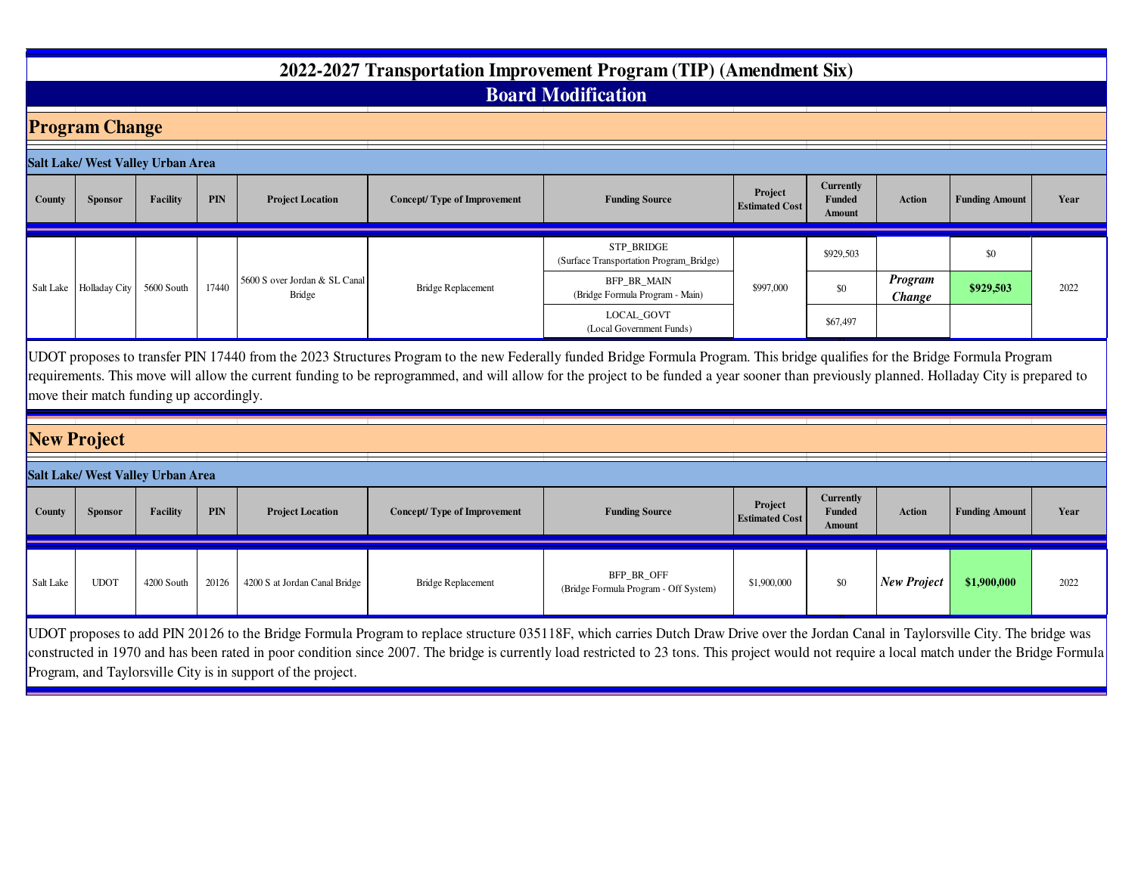## **2022-2027 Transportation Improvement Program (TIP) (Amendment Six)Board Modification**

## **Program Change**

|        | Salt Lake/ West Valley Urban Area |            |       |                                                |                                    |                                                       |                                  |                                      |                          |                       |      |
|--------|-----------------------------------|------------|-------|------------------------------------------------|------------------------------------|-------------------------------------------------------|----------------------------------|--------------------------------------|--------------------------|-----------------------|------|
| County | Sponsor                           | Facility   | PIN   | <b>Project Location</b>                        | <b>Concept/Type of Improvement</b> | <b>Funding Source</b>                                 | Project<br><b>Estimated Cost</b> | <b>Currently</b><br>Funded<br>Amount | <b>Action</b>            | <b>Funding Amount</b> | Year |
|        |                                   |            |       |                                                |                                    | STP BRIDGE<br>(Surface Transportation Program_Bridge) |                                  | \$929,503                            |                          | \$0                   |      |
|        | Salt Lake   Holladay City         | 5600 South | 17440 | 5600 S over Jordan & SL Canal<br><b>Bridge</b> | <b>Bridge Replacement</b>          | BFP_BR_MAIN<br>(Bridge Formula Program - Main)        | \$997,000                        | \$0                                  | <b>Program</b><br>Change | \$929,503             | 2022 |
|        |                                   |            |       |                                                |                                    | LOCAL_GOVT<br>(Local Government Funds)                |                                  | \$67,497                             |                          |                       |      |

 UDOT proposes to transfer PIN 17440 from the 2023 Structures Program to the new Federally funded Bridge Formula Program. This bridge qualifies for the Bridge Formula Program requirements. This move will allow the current funding to be reprogrammed, and will allow for the project to be funded a year sooner than previously planned. Holladay City is prepared to move their match funding up accordingly.

## **New Project**

|           |                | Salt Lake/ West Valley Urban Area |            |                               |                             |                                                           |             |                                                    |                    |                       |      |
|-----------|----------------|-----------------------------------|------------|-------------------------------|-----------------------------|-----------------------------------------------------------|-------------|----------------------------------------------------|--------------------|-----------------------|------|
| County    | <b>Sponsor</b> | Facility                          | <b>PIN</b> | <b>Project Location</b>       | Concept/Type of Improvement | Project<br><b>Funding Source</b><br><b>Estimated Cost</b> |             | <b>Currently</b><br><b>Funded</b><br><b>Amount</b> | Action             | <b>Funding Amount</b> | Year |
| Salt Lake | <b>UDOT</b>    | 4200 South                        | 20126      | 4200 S at Jordan Canal Bridge | Bridge Replacement          | BFP_BR_OFF<br>(Bridge Formula Program - Off System)       | \$1,900,000 | \$0                                                | <b>New Project</b> | \$1,900,000           | 2022 |

 UDOT proposes to add PIN 20126 to the Bridge Formula Program to replace structure 035118F, which carries Dutch Draw Drive over the Jordan Canal in Taylorsville City. The bridge was constructed in 1970 and has been rated in poor condition since 2007. The bridge is currently load restricted to 23 tons. This project would not require a local match under the Bridge Formula Program, and Taylorsville City is in support of the project.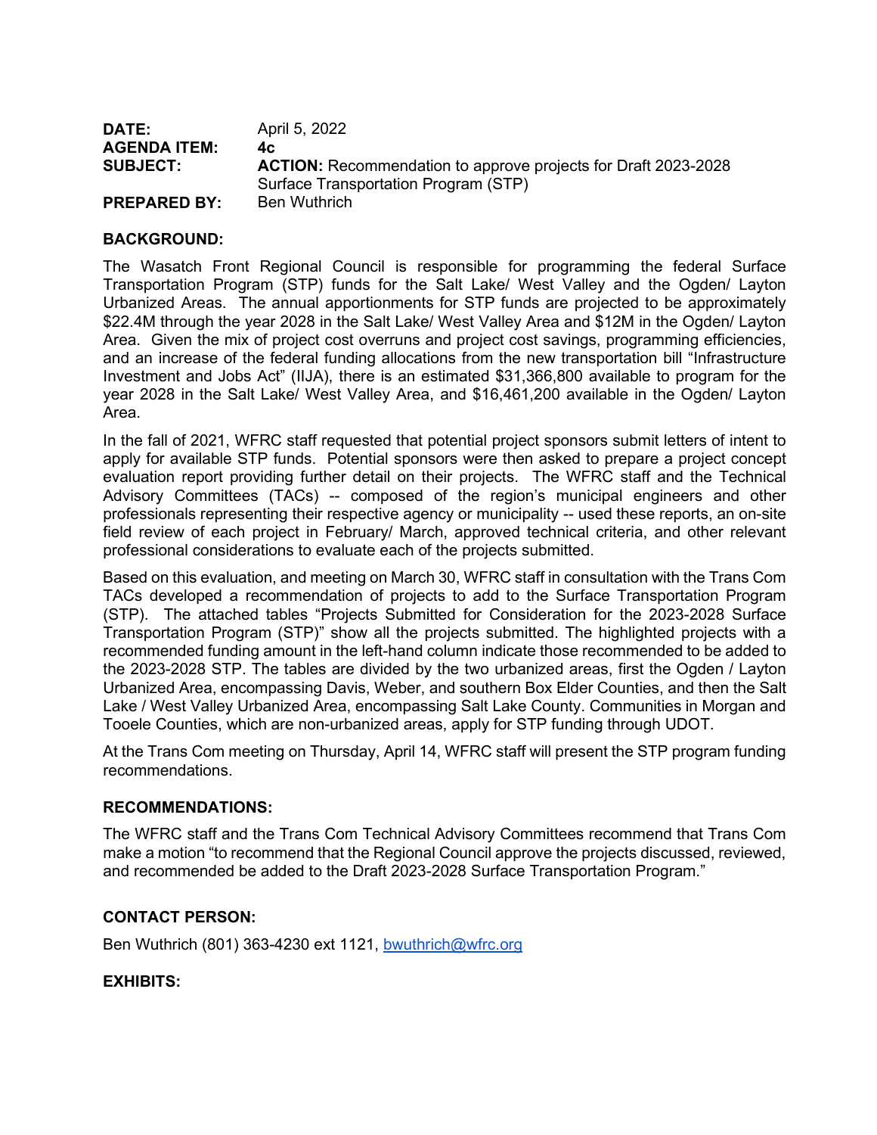| DATE:               | April 5, 2022                                                         |
|---------------------|-----------------------------------------------------------------------|
| <b>AGENDA ITEM:</b> | 4c.                                                                   |
| <b>SUBJECT:</b>     | <b>ACTION:</b> Recommendation to approve projects for Draft 2023-2028 |
|                     | Surface Transportation Program (STP)                                  |
| <b>PREPARED BY:</b> | Ben Wuthrich                                                          |

## **BACKGROUND:**

The Wasatch Front Regional Council is responsible for programming the federal Surface Transportation Program (STP) funds for the Salt Lake/ West Valley and the Ogden/ Layton Urbanized Areas. The annual apportionments for STP funds are projected to be approximately \$22.4M through the year 2028 in the Salt Lake/ West Valley Area and \$12M in the Ogden/ Layton Area. Given the mix of project cost overruns and project cost savings, programming efficiencies, and an increase of the federal funding allocations from the new transportation bill "Infrastructure Investment and Jobs Act" (IIJA), there is an estimated \$31,366,800 available to program for the year 2028 in the Salt Lake/ West Valley Area, and \$16,461,200 available in the Ogden/ Layton Area.

In the fall of 2021, WFRC staff requested that potential project sponsors submit letters of intent to apply for available STP funds. Potential sponsors were then asked to prepare a project concept evaluation report providing further detail on their projects. The WFRC staff and the Technical Advisory Committees (TACs) -- composed of the region's municipal engineers and other professionals representing their respective agency or municipality -- used these reports, an on-site field review of each project in February/ March, approved technical criteria, and other relevant professional considerations to evaluate each of the projects submitted.

Based on this evaluation, and meeting on March 30, WFRC staff in consultation with the Trans Com TACs developed a recommendation of projects to add to the Surface Transportation Program (STP). The attached tables "Projects Submitted for Consideration for the 2023-2028 Surface Transportation Program (STP)" show all the projects submitted. The highlighted projects with a recommended funding amount in the left-hand column indicate those recommended to be added to the 2023-2028 STP. The tables are divided by the two urbanized areas, first the Ogden / Layton Urbanized Area, encompassing Davis, Weber, and southern Box Elder Counties, and then the Salt Lake / West Valley Urbanized Area, encompassing Salt Lake County. Communities in Morgan and Tooele Counties, which are non-urbanized areas, apply for STP funding through UDOT.

At the Trans Com meeting on Thursday, April 14, WFRC staff will present the STP program funding recommendations.

#### **RECOMMENDATIONS:**

The WFRC staff and the Trans Com Technical Advisory Committees recommend that Trans Com make a motion "to recommend that the Regional Council approve the projects discussed, reviewed, and recommended be added to the Draft 2023-2028 Surface Transportation Program."

#### **CONTACT PERSON:**

Ben Wuthrich (801) 363-4230 ext 1121, [bwuthrich@wfrc.org](mailto:bwuthrich@wfrc.org)

## **EXHIBITS:**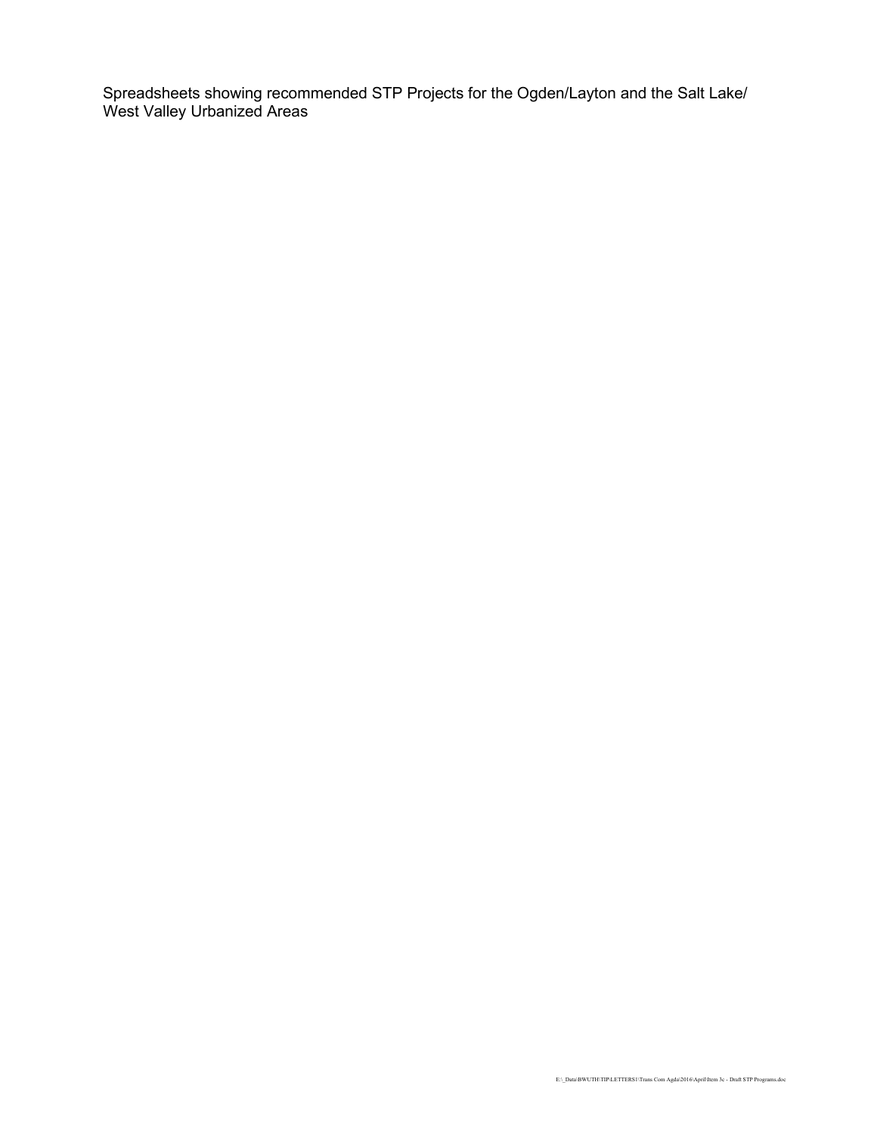Spreadsheets showing recommended STP Projects for the Ogden/Layton and the Salt Lake/ West Valley Urbanized Areas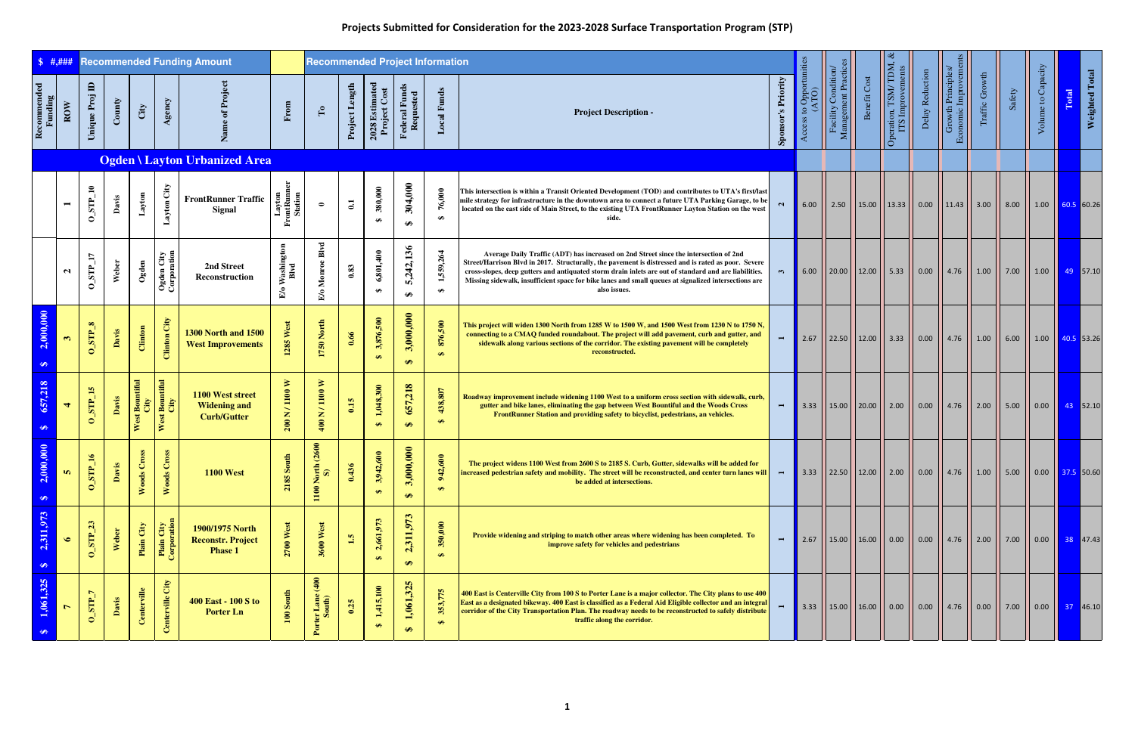| \$  #, # # #                |                |                               |        |                        |                                     | <b>Recommended Funding Amount</b>                             |                                                 | <b>Recommended Project Information</b> |                |                                |                            |                                 |                                                                                                                                                                                                                                                                                                                                                                                                                               |                    |                          |                                           |              |                                                                                                                                 |                 |                                          |                |        |                      |       |                                        |
|-----------------------------|----------------|-------------------------------|--------|------------------------|-------------------------------------|---------------------------------------------------------------|-------------------------------------------------|----------------------------------------|----------------|--------------------------------|----------------------------|---------------------------------|-------------------------------------------------------------------------------------------------------------------------------------------------------------------------------------------------------------------------------------------------------------------------------------------------------------------------------------------------------------------------------------------------------------------------------|--------------------|--------------------------|-------------------------------------------|--------------|---------------------------------------------------------------------------------------------------------------------------------|-----------------|------------------------------------------|----------------|--------|----------------------|-------|----------------------------------------|
| Recommended<br>Funding      | $_{\rm{ROW}}$  | $\blacksquare$<br>Unique Proj | County | City                   | Agency                              | Name of                                                       | From                                            | $\mathbf{L}^{\bullet}$                 | Project Length | $2028$ Estimated Project Cost  | Federal Funds<br>Requested | <b>Local Funds</b>              | <b>Project Description -</b>                                                                                                                                                                                                                                                                                                                                                                                                  | Sponsor's Priority | opportunities<br>$\circ$ | Facility Condition/<br>Management Practic | Benefit Cost | Operation, TSM/TDM, &<br>ITS Improvements                                                                                       | Delay Reduction | Economic Improveme:<br>Growth Principles | Traffic Growth | Safety | Volume to Capacity   | Total | <b>Weighted Total</b>                  |
|                             |                |                               |        |                        |                                     | Ogden \ Layton Urbanized Area                                 |                                                 |                                        |                |                                |                            |                                 |                                                                                                                                                                                                                                                                                                                                                                                                                               |                    |                          |                                           |              |                                                                                                                                 |                 |                                          |                |        |                      |       |                                        |
|                             | $\blacksquare$ | $0$ _STP_10                   | Davis  | Layton                 | Layton City                         | <b>FrontRunner Traffic</b><br><b>Signal</b>                   | Layton<br>FrontRunner<br>Station                | $\bullet$                              | $\mathbf{C}$   | 380,000<br>⊕                   | 304,000<br>$\bullet$       | 76,000<br>$\boldsymbol{\theta}$ | This intersection is within a Transit Oriented Development (TOD) and contributes to UTA's first/last<br>mile strategy for infrastructure in the downtown area to connect a future UTA Parking Garage, to be<br>located on the east side of Main Street, to the existing UTA FrontRunner Layton Station on the west                                                                                                            | $\mathbf{N}$       |                          |                                           |              | 6.00    2.50    15.00    13.33    0.00    11.43    3.00                                                                         |                 |                                          |                | 8.00   |                      |       | $1.00$ 60.5 60.26                      |
|                             | $\mathbf{a}$   | $0$ _STP_17                   | Weber  | $_{\rm Ogden}$         | Ogden City<br>Corporation           | 2nd Street<br>Reconstruction                                  | Vashington<br>Blvd<br>$\mathbb{E}_{\mathbf{0}}$ | Blvd<br>E/o Monroe                     | 0.83           | 6,801,400<br>$\bullet$         | 5,242,136<br>$\bullet$     | 1,559,264<br>$\bullet$          | Average Daily Traffic (ADT) has increased on 2nd Street since the intersection of 2nd<br>Street/Harrison Blvd in 2017. Structurally, the pavement is distressed and is rated as poor. Severe<br>cross-slopes, deep gutters and antiquated storm drain inlets are out of standard and are liabilities.<br>Missing sidewalk, insufficient space for bike lanes and small queues at signalized intersections are<br>also issues. | $\mathbf{r}$       |                          |                                           |              | 6.00    20.00    12.00    5.33    0.00    4.76    1.00                                                                          |                 |                                          |                | 7.00   | $\vert$ 1.00 $\vert$ |       | 49 57.10                               |
| 2,000,000<br>$\bigoplus$    | $\mathbf{c}$   | $0$ STP $_8$                  | Davis  | Clinton                | Clinton City                        | <b>1300 North and 1500</b><br><b>West Improvements</b>        | 1285 West                                       | 1750 North                             | 0.66           | 3,876,500<br>$\leftrightarrow$ | 3,000,000<br>$\bigoplus$   | 876,500<br>$\Theta$             | This project will widen 1300 North from 1285 W to 1500 W, and 1500 West from 1230 N to 1750 N,<br>connecting to a CMAQ funded roundabout. The project will add pavement, curb and gutter, and<br>sidewalk along various sections of the corridor. The existing pavement will be completely<br>reconstructed.                                                                                                                  |                    | $\vert$ 2.67             |                                           |              | 22.50    12.00    3.33    0.00    4.76    1.00                                                                                  |                 |                                          |                | 6.00   |                      |       | $1.00$ $ $ 40.5 53.26                  |
| ,218<br>657,<br>$\bullet$   | $\overline{4}$ | $0$ _STP_15                   | Davis  | West Bountiful<br>City | West Bountiful<br>City              | 1100 West street<br><b>Widening and</b><br><b>Curb/Gutter</b> | 200 N / 1100 W                                  | N /1100 W<br>400                       | 0.15           | 1,048,300<br>$\Theta$          | 657,218<br>$\bullet$       | 438,807<br>$\Theta$             | Roadway improvement include widening 1100 West to a uniform cross section with sidewalk, curb,<br>gutter and bike lanes, eliminating the gap between West Bountiful and the Woods Cross<br>FrontRunner Station and providing safety to bicyclist, pedestrians, an vehicles.                                                                                                                                                   | $\blacksquare$     | $\vert$ 3.33             |                                           |              | $\frac{1}{2}$ 15.00 $\frac{1}{20.00}$ 2.00 $\frac{1}{200}$ 0.00 $\frac{1}{200}$ 4.76 $\frac{1}{200}$                            |                 |                                          |                | 5.00   |                      |       | $0.00$ $\begin{array}{ c c }$ 43 52.10 |
| 000,<br>2,00<br>$\bigoplus$ | <b>In</b>      | $\mathbf{H}$<br>$0$ _STP      | Davi   | Cross<br>Woods         | cos <sub>x</sub><br>$\cup$<br>Woods | <b>1100 West</b>                                              | $\frac{4}{3}$<br>$\infty$<br>2185               | (2600)<br>North<br>S)<br>1100          | 0.436          | 600<br>3,942,<br>$\Theta$      | 3,000,000<br>$\bullet$     | 600<br>942<br>$\bullet$         | The project widens 1100 West from 2600 S to 2185 S. Curb, Gutter, sidewalks will be added for<br>increased pedestrian safety and mobility. The street will be reconstructed, and center turn lanes will<br>be added at intersections.                                                                                                                                                                                         | $\blacksquare$     |                          |                                           |              | 3.33    22.50    12.00    2.00    0.00    4.76    1.00    5.00    0.00   <mark>  37.5  </mark> 50.60                            |                 |                                          |                |        |                      |       |                                        |
| 2,311,973<br>$\bullet$      | $\bullet$      | $0$ _STP_23                   | Weber  | Plain City             | Plain City<br>Corporation           | 1900/1975 North<br><b>Reconstr. Project</b><br><b>Phase 1</b> | $2700$ West                                     | 3600 West                              | $\mathbf{1.5}$ | 2,661,973<br>$\Theta$          | 2,311,973<br>$\Theta$      | 350,000<br>$\Theta$             | Provide widening and striping to match other areas where widening has been completed. To<br>improve safety for vehicles and pedestrians                                                                                                                                                                                                                                                                                       |                    |                          |                                           |              | 2.67    15.00    16.00    0.00    0.00    4.76    2.00    7.00    0.00   <mark>  38  </mark> 47.43                              |                 |                                          |                |        |                      |       |                                        |
| 1,061,325                   |                | $0$ _STP_7                    | Davis  | Centerville            | City<br>nterville                   | 400 East - 100 S to<br><b>Porter Ln</b>                       | $100$ South                                     | (400)<br>Porter Lane                   | 0.25           | 1,415,100<br>$\bullet$         | 1,061,325<br>$\Theta$      | 353,775<br>$\bullet$            | 400 East is Centerville City from 100 S to Porter Lane is a major collector. The City plans to use 400<br>East as a designated bikeway. 400 East is classified as a Federal Aid Eligible collector and an integral<br>corridor of the City Transportation Plan. The roadway needs to be reconstructed to safely distribute<br>traffic along the corridor.                                                                     |                    |                          |                                           |              | 3.33 $\vert$ 15.00 $\vert$ 16.00 $\vert$ 0.00 $\vert$ 0.00 $\vert$ 4.76 $\vert$ 0.00 $\vert$ 7.00 $\vert$ 0.00 $\vert$ 37 46.10 |                 |                                          |                |        |                      |       |                                        |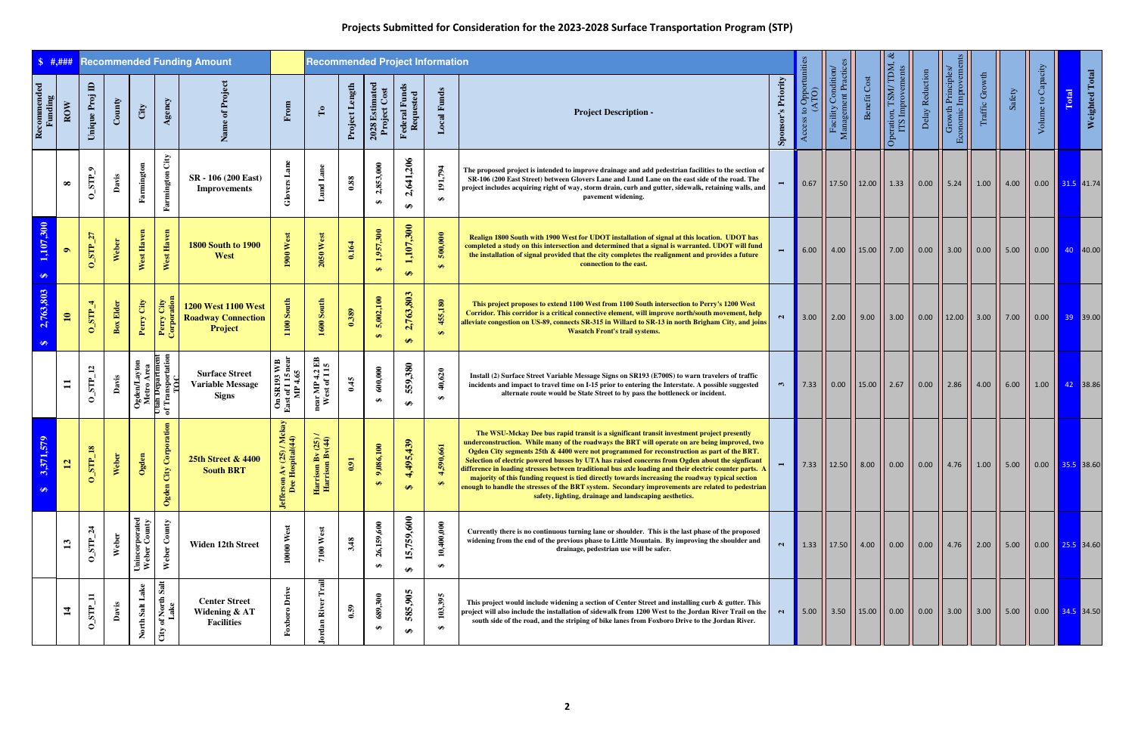| $\frac{1}{2}$ \$ #,###              |                                          | <b>Recommended Funding Amount</b><br>$\mathbf{a}$ |                  |                                                                           |                                                |                                                                    |                                                                 | <b>Recommended Project Information</b>               |                                   |                                |                                |                      |                                                                                                                                                                                                                                                                                                                                                                                                                                                                                                                                                                                                                                                                                                                                                                           |                      |                             |                                                                                                                                                                            |              |                                                                                                                                                                                                     |                      |                                         |                |        |                                 |       |                       |
|-------------------------------------|------------------------------------------|---------------------------------------------------|------------------|---------------------------------------------------------------------------|------------------------------------------------|--------------------------------------------------------------------|-----------------------------------------------------------------|------------------------------------------------------|-----------------------------------|--------------------------------|--------------------------------|----------------------|---------------------------------------------------------------------------------------------------------------------------------------------------------------------------------------------------------------------------------------------------------------------------------------------------------------------------------------------------------------------------------------------------------------------------------------------------------------------------------------------------------------------------------------------------------------------------------------------------------------------------------------------------------------------------------------------------------------------------------------------------------------------------|----------------------|-----------------------------|----------------------------------------------------------------------------------------------------------------------------------------------------------------------------|--------------|-----------------------------------------------------------------------------------------------------------------------------------------------------------------------------------------------------|----------------------|-----------------------------------------|----------------|--------|---------------------------------|-------|-----------------------|
| Recommended<br>Funding              | ROW                                      | Unique Proj                                       | County           | City                                                                      | Agency                                         |                                                                    | From                                                            | $\Gamma$ o                                           | Project Length                    | 2028 Estimated<br>Project Cost | Federal Funds<br>Requested     | <b>Local Funds</b>   | <b>Project Description -</b>                                                                                                                                                                                                                                                                                                                                                                                                                                                                                                                                                                                                                                                                                                                                              | 's Priority<br>Spons | Access to Opportun<br>(ATO) | Condition<br>Management Practic<br>Facility                                                                                                                                | Benefit Cost | Operation, TSM/TDM, ¿<br>ITS Improvements                                                                                                                                                           | Delay Reduction      | Economic Improveme<br>Growth Principles | Traffic Growth | Safety | Volume to Capacity              | Total | <b>Weighted Total</b> |
|                                     | $\infty$                                 | $0$ _STP_9                                        | Davis            | Farmington                                                                | City<br>Farmington                             | SR - 106 (200 East)<br><b>Improvements</b>                         | Glov                                                            | Lund Lane                                            | $\boldsymbol{0.88}$               | 2,853,000<br>$\bullet$         | 2,641,206<br>$\bullet$         | 191,794<br>$\bullet$ | The proposed project is intended to improve drainage and add pedestrian facilities to the section of<br>SR-106 (200 East Street) between Glovers Lane and Lund Lane on the east side of the road. The<br>project includes acquiring right of way, storm drain, curb and gutter, sidewalk, retaining walls, and<br>pavement widening.                                                                                                                                                                                                                                                                                                                                                                                                                                      |                      |                             |                                                                                                                                                                            |              | 0.67    17.50    12.00    1.33    0.00    5.24                                                                                                                                                      |                      |                                         | 1.00           | 4.00   | $\vert$ 0.00 $\vert$ 31.5 41.74 |       |                       |
| 1,107,300<br>$\bullet$              | $\bullet$                                | $0$ _STP_27                                       | Weber            | West Haven                                                                | West Haven                                     | <b>1800 South to 1900</b><br>West                                  | 1900 West                                                       | $2050$ West                                          | 0.164                             | 1,957,300<br>$\bullet$         | 1,107,300<br>$\leftrightarrow$ | 500,000<br>$\bullet$ | Realign 1800 South with 1900 West for UDOT installation of signal at this location. UDOT has<br>completed a study on this intersection and determined that a signal is warranted. UDOT will fund<br>the installation of signal provided that the city completes the realignment and provides a future<br>connection to the east.                                                                                                                                                                                                                                                                                                                                                                                                                                          |                      | 6.00                        |                                                                                                                                                                            |              | $\vert$ 4.00 $\vert$ 15.00 $\vert$ 7.00 $\vert$ 0.00 $\vert$ 3.00                                                                                                                                   |                      |                                         | $\vert$ 0.00   | 5.00   | $\vert 0.00 \vert$ 40 40.00     |       |                       |
| 2,763,803<br>$\bullet$              | $\blacksquare$                           | $0$ _STP_4                                        | <b>Box Elder</b> | City<br>Perry                                                             | Perry City<br>Corporation                      | <b>1200 West 1100 West</b><br><b>Roadway Connection</b><br>Project | 100 South                                                       | $1600$ South                                         | 0.389                             | 5,002,100<br>$\bullet$         | 2,763,803<br>$\leftrightarrow$ | 455,180<br>$\Theta$  | This project proposes to extend 1100 West from 1100 South intersection to Perry's 1200 West<br>Corridor. This corridor is a critical connective element, will improve north/south movement, help<br>alleviate congestion on US-89, connects SR-315 in Willard to SR-13 in north Brigham City, and joins<br><b>Wasatch Front's trail systems.</b>                                                                                                                                                                                                                                                                                                                                                                                                                          |                      |                             |                                                                                                                                                                            |              | 3.00    2.00    9.00    3.00    0.00    12.00    3.00    7.00                                                                                                                                       |                      |                                         |                |        | 0.00   39 39.00                 |       |                       |
|                                     | $\overline{\phantom{0}}$                 | $0$ _STP_12                                       | Davis            | Ogden/Layton<br>Metro Area<br>Utan Department<br>of Transportation<br>TOC | $\mathbf{\hat{a}}$                             | <b>Surface Street</b><br><b>Variable Message</b><br><b>Signs</b>   | On SR193 WB<br>East of 115 near<br>MP 4.65                      | near MP 4.2 EB<br>West of 15                         | 0.45                              | 600,000<br>$\bullet$           | 559,380<br>$\bullet$           | 40,620<br>$\bullet$  | Install (2) Surface Street Variable Message Signs on SR193 (E700S) to warn travelers of traffic<br>incidents and impact to travel time on I-15 prior to entering the Interstate. A possible suggested<br>alternate route would be State Street to by pass the bottleneck or incident.                                                                                                                                                                                                                                                                                                                                                                                                                                                                                     | $\mathfrak{m}$       |                             |                                                                                                                                                                            |              | 7.33    0.00    15.00    2.67    0.00    2.86    4.00                                                                                                                                               |                      |                                         |                | 6.00   | 1.00   42   38.86               |       |                       |
| 171,579<br><b>PASS</b><br>$\bullet$ | $\mathbf{N}$<br>$\overline{\phantom{0}}$ | $P_18$<br>$\overline{S}$                          | Weber            | Ogden                                                                     | Corpor<br>City<br>Ogden                        | 25th Street & 4400<br><b>South BRT</b>                             | $(25)/M$ ckay<br>pital $(44)$<br><b>Jefferson Av</b><br>Dee Hos | $n Bv (25) /$<br>$n Bv (44)$<br>Harrison<br>Harrison | 5 <sup>1</sup><br>$\dot{\bullet}$ | 9,086,100<br>$\bullet$         | 95,439<br>4,4<br>$\Theta$      | 90,661<br>$\bullet$  | The WSU-Mckay Dee bus rapid transit is a significant transit investment project presently<br>underconstruction. While many of the roadways the BRT will operate on are being improved, two<br>Ogden City segments 25th & 4400 were not programmed for reconstruction as part of the BRT.<br>Selection of electric powered busses by UTA has raised concerns from Ogden about the signficant<br>difference in loading stresses between traditional bus axle loading and their electric counter parts. A<br>majority of this funding request is tied directly towards increasing the roadway typical section<br>enough to handle the stresses of the BRT system. Secondary improvements are related to pedestrian<br>safety, lighting, drainage and landscaping aesthetics. |                      | 7.33                        |                                                                                                                                                                            |              | $\left \right $ 12.50 $\left \right $ 8.00 $\left \right $ 0.00 $\left \right $ 0.00 $\left \right $ 4.76 $\left \right $ 1.00 $\left \right $ 5.00 $\left \right $ 0.00 $\left \right $ 35.5 38.60 |                      |                                         |                |        |                                 |       |                       |
|                                     |                                          | $0$ _STP_24                                       | Weber            | Unincorporated<br>Weber County                                            | Weber County                                   | Widen 12th Street                                                  | West<br>10000                                                   | $7100$ West                                          | 3.48                              | 26,159,600<br>$\bullet$        | 5,759,600<br>$\bullet$         | 10,400,000<br>₩      | Currently there is no continuous turning lane or shoulder. This is the last phase of the proposed<br>widening from the end of the previous phase to Little Mountain. By improving the shoulder and<br>drainage, pedestrian use will be safer.                                                                                                                                                                                                                                                                                                                                                                                                                                                                                                                             | $\mathbf{N}$         | 1.33                        | $\begin{array}{ c c c c c c c c } \hline \end{array}$ 17.50 $\begin{array}{ c c c c c c } \hline \end{array}$ 4.00 $\begin{array}{ c c c c c c c c c } \hline \end{array}$ |              |                                                                                                                                                                                                     | $\vert$ 0.00 $\vert$ | $4.76$   2.00                           |                | 5.00   | $\vert$ 0.00 $\vert$ 25.5 34.60 |       |                       |
|                                     |                                          | $0\_STP\_11$                                      | Davis            | North Salt Lake                                                           | of North Salt<br>Lake<br>$\operatorname{City}$ | <b>Center Street</b><br>Widening & AT<br><b>Facilities</b>         | Drive<br>Foxbo                                                  | Trail<br>ordan River                                 | 0.59                              | 689,300<br>₩                   | 585,905<br>↮                   | 103,395<br>$\bullet$ | This project would include widening a section of Center Street and installing curb & gutter. This<br>project will also include the installation of sidewalk from 1200 West to the Jordan River Trail on the<br>south side of the road, and the striping of bike lanes from Foxboro Drive to the Jordan River.                                                                                                                                                                                                                                                                                                                                                                                                                                                             | $\sim$               | 5.00                        |                                                                                                                                                                            |              | 3.50    15.00    0.00    0.00    3.00                                                                                                                                                               |                      |                                         | $\vert$ 3.00   | 5.00   | $\vert$ 0.00 $\vert$ 34.5 34.50 |       |                       |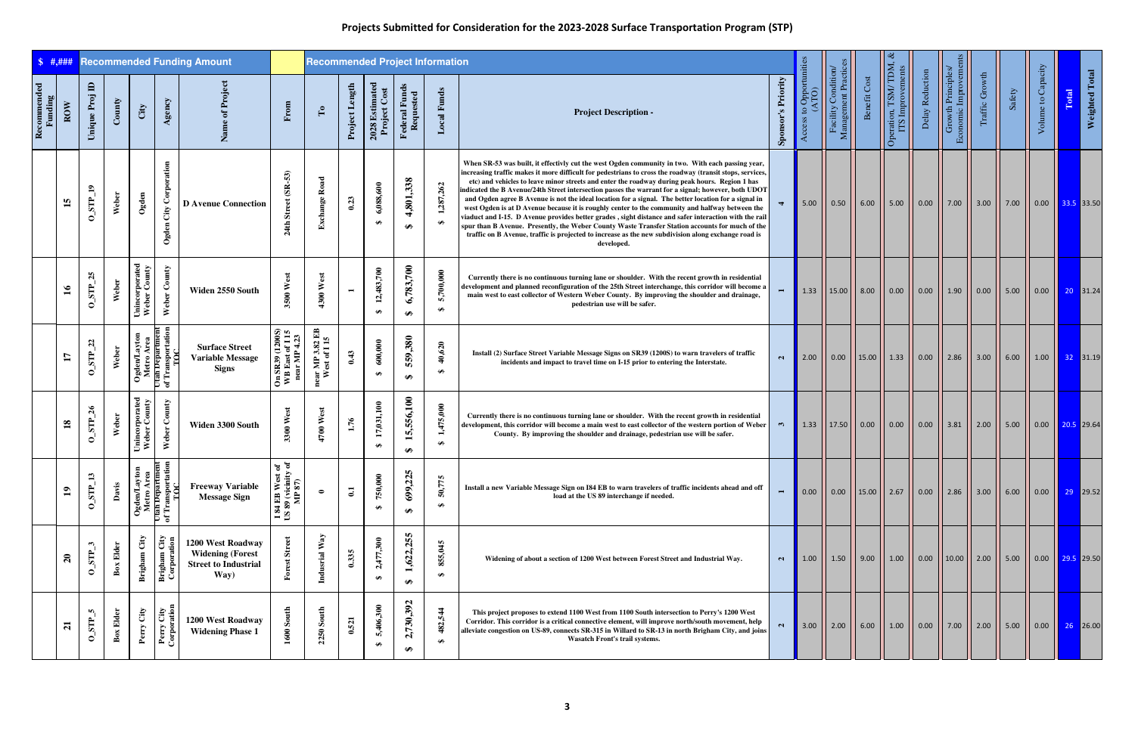| \$  #, ###             |                | <b>Recommended Funding Amount</b><br>$\blacksquare$ |                       |                                                                                    |                                    |                                                                                     |                                                    | <b>Recommended Project Information</b> |                  |                               |                            |                             |                                                                                                                                                                                                                                                                                                                                                                                                                                                                                                                                                                                                                                                                                                                                                                                                                                                                                                                                                                     |                           |                                       |                                             |                                         |                                                      |                                                                                                        |                                          |                |        |                                                                                |       |                |
|------------------------|----------------|-----------------------------------------------------|-----------------------|------------------------------------------------------------------------------------|------------------------------------|-------------------------------------------------------------------------------------|----------------------------------------------------|----------------------------------------|------------------|-------------------------------|----------------------------|-----------------------------|---------------------------------------------------------------------------------------------------------------------------------------------------------------------------------------------------------------------------------------------------------------------------------------------------------------------------------------------------------------------------------------------------------------------------------------------------------------------------------------------------------------------------------------------------------------------------------------------------------------------------------------------------------------------------------------------------------------------------------------------------------------------------------------------------------------------------------------------------------------------------------------------------------------------------------------------------------------------|---------------------------|---------------------------------------|---------------------------------------------|-----------------------------------------|------------------------------------------------------|--------------------------------------------------------------------------------------------------------|------------------------------------------|----------------|--------|--------------------------------------------------------------------------------|-------|----------------|
| Recommended<br>Funding | ROW            | Unique Proj                                         | County                | City                                                                               | Agency                             | Projec<br>đ<br>Name                                                                 | From                                               | $\mathbf{r}_{\bullet}$                 | Project Length   | $2028$ Estimated Project Cost | Federal Funds<br>Requested | <b>Local Funds</b>          | <b>Project Description -</b>                                                                                                                                                                                                                                                                                                                                                                                                                                                                                                                                                                                                                                                                                                                                                                                                                                                                                                                                        | <b>Sponsor's Priority</b> | s to Opportunities<br>(ATO)<br>Access | Condition<br>Management Practic<br>Facility | Benefit Cost                            | Operation, TSM/TDM, &<br>ITS Improvements            | Delay Reduction                                                                                        | Economic Improveme<br>Growth Principles. | Traffic Growth | Safety | Volume to Capacity                                                             | Total | Weighted Total |
|                        | $\mathbf{15}$  | $0$ <sub>L</sub> $9$                                | Weber                 | Ogden                                                                              | City Corporation<br>Ogden          | <b>D</b> Avenue Connection                                                          | $(SR-53)$<br>24th St                               | <b>Exchange Road</b>                   | 0.23             | 6,088,600<br>$\bullet$        | 4,801,338<br>$\bigoplus$   | ,262<br>1,287,<br>$\bullet$ | When SR-53 was built, it effectivly cut the west Ogden community in two. With each passing year,<br>increasing traffic makes it more difficult for pedestrians to cross the roadway (transit stops, services,<br>etc) and vehicles to leave minor streets and enter the roadway during peak hours. Region 1 has<br>indicated the B Avenue/24th Street intersection passes the warrant for a signal; however, both UDOT<br>and Ogden agree B Avenue is not the ideal location for a signal. The better location for a signal in<br>west Ogden is at D Avenue because it is roughly center to the community and halfway between the<br>viaduct and I-15. D Avenue provides better grades , sight distance and safer interaction with the rail<br>spur than B Avenue. Presently, the Weber County Waste Transfer Station accounts for much of the<br>traffic on B Avenue, traffic is projected to increase as the new subdivision along exchange road is<br>developed. |                           | 5.00                                  | 0.50                                        |                                         | $6.00$ 5.00                                          | 0.00                                                                                                   | 7.00                                     | 3.00           | 7.00   | $0.00$ $\overline{33.5}$ 33.50                                                 |       |                |
|                        | $\mathfrak{g}$ | 25<br>$0$ _STP_                                     | Weber                 | Unincorporated<br>Weber County                                                     | Weber County                       | Widen 2550 South                                                                    | West<br>3500                                       | 4300 West                              | $\blacksquare$   | 12,483,700<br>$\bullet$       | 6,783,700<br>₩             | 5,700,000<br>$\bullet$      | Currently there is no continuous turning lane or shoulder. With the recent growth in residential<br>development and planned reconfiguration of the 25th Street interchange, this corridor will become a<br>main west to east collector of Western Weber County. By improving the shoulder and drainage,<br>pedestrian use will be safer.                                                                                                                                                                                                                                                                                                                                                                                                                                                                                                                                                                                                                            |                           | 1.33                                  |                                             |                                         | $\vert$ 15.00 $\vert$ 8.00 $\vert$ 0.00 $\vert$      | $\begin{array}{ c c c c c c c c } \hline \text{0.00} & \text{1.90} & \text{0.00} \ \hline \end{array}$ |                                          |                | 5.00   | $\begin{array}{ c c c c c c c c } \hline 0.00 & 20 & 31.24 \hline \end{array}$ |       |                |
|                        | H              | 22<br>$0$ _STP_                                     | Weber                 | Ogden/Layton<br>Metro Area<br>Utan Department<br>UTansportation                    |                                    | <b>Surface Street</b><br><b>Variable Message</b><br><b>Signs</b>                    | On SR39 (1200S)<br>WB East of 1 15<br>near MP 4.23 | near MP 3.82 EB<br>West of 115         | 0.43             | 600,000<br>$\bullet$          | 559,380<br>₩               | 40,620<br>₩                 | Install (2) Surface Street Variable Message Signs on SR39 (1200S) to warn travelers of traffic<br>incidents and impact to travel time on I-15 prior to entering the Interstate.                                                                                                                                                                                                                                                                                                                                                                                                                                                                                                                                                                                                                                                                                                                                                                                     | $\mathbf{a}$              | 2.00                                  |                                             |                                         | $\vert$ 0.00 $\vert$ 15.00 $\vert$ 1.33 $\vert$ 0.00 |                                                                                                        | $\vert$ 2.86 $\vert$                     | 3.00           | 6.00   | $1.00$ 32 31.19                                                                |       |                |
|                        | $\mathbf{18}$  | 26<br>$0$ _STP_                                     | Weber                 | Unincorporated<br>Weber County                                                     | Weber County                       | Widen 3300 South                                                                    | 3300 West                                          | 4700 West                              | 1.76             | 17,031,100<br>$\bullet$       | 15,556,100<br>↮            | 1,475,000<br>$\bullet$      | Currently there is no continuous turning lane or shoulder. With the recent growth in residential<br>development, this corridor will become a main west to east collector of the western portion of Weber<br>County. By improving the shoulder and drainage, pedestrian use will be safer.                                                                                                                                                                                                                                                                                                                                                                                                                                                                                                                                                                                                                                                                           | ా                         | 1.33                                  |                                             | $\vert$ 17.50 $\vert$ 0.00 $\vert$ 0.00 |                                                      | $\vert 0.00 \vert$                                                                                     | $3.81$ 2.00                              |                | 5.00   | $\big  0.00 \big  \big  20.5 \big  29.64 \big $                                |       |                |
|                        | $\mathbf{a}$   | $0$ <sub>-STP</sub> <sub>13</sub>                   | Davis                 | <b>Ogden/Layton<br/>Metro Area<br/>Utan Department</b><br>of Transportation<br>TOC | $\blacksquare$                     | <b>Freeway Variable</b><br><b>Message Sign</b>                                      | I 84 EB West of<br>US 89 (vicinity of<br>MP 87)    | $\bullet$                              | $\overline{0.1}$ | 750,000<br>₩                  | 699,225<br>₩               | 50,775<br>$\bullet$         | Install a new Variable Message Sign on I84 EB to warn travelers of traffic incidents ahead and off<br>load at the US 89 interchange if needed.                                                                                                                                                                                                                                                                                                                                                                                                                                                                                                                                                                                                                                                                                                                                                                                                                      | $\blacksquare$            | 0.00                                  | 0.00                                        | 15.00 2.67                              |                                                      | $\vert 0.00 \vert$                                                                                     | 2.86                                     | 3.00           | 6.00   | $0.00$ 29 29.52                                                                |       |                |
|                        | $\mathbf{a}$   | $STP_3$<br>$\circ$                                  | Elder<br>$_{\rm Box}$ | City<br><b>Brigham</b>                                                             | <b>Brigham City</b><br>Corporation | 1200 West Roadway<br><b>Widening (Forest</b><br><b>Street to Industrial</b><br>Way) | est Street<br>$_{\rm Er}$                          | Indusrial Way                          | 0.335            | 2,477,300<br>$\bullet$        | 1,622,255<br>₩             | 855,045<br>$\bullet$        | Widening of about a section of 1200 West between Forest Street and Industrial Way.                                                                                                                                                                                                                                                                                                                                                                                                                                                                                                                                                                                                                                                                                                                                                                                                                                                                                  | $\mathbf{N}$              | 1.00                                  |                                             |                                         | $1.50$   9.00   1.00                                 | $\vert 0.00 \vert$                                                                                     | $\vert$ 10.00   2.00                     |                | 5.00   | $\vert$ 0.00 $\vert$ 29.5 29.50                                                |       |                |
|                        | $\overline{a}$ | $0$ <sub>STP</sub> $_5$                             | <b>Box Elder</b>      | City<br>Perry                                                                      | Perry City<br>Corporation          | 1200 West Roadway<br><b>Widening Phase 1</b>                                        | 600 South                                          | <b>2250 South</b>                      | 0.521            | 5,406,300<br>$\bullet$        | 2,730,392<br>$\bigoplus$   | 482,544<br>$\bullet$        | This project proposes to extend 1100 West from 1100 South intersection to Perry's 1200 West<br>Corridor. This corridor is a critical connective element, will improve north/south movement, help<br>alleviate congestion on US-89, connects SR-315 in Willard to SR-13 in north Brigham City, and joins<br>Wasatch Front's trail systems.                                                                                                                                                                                                                                                                                                                                                                                                                                                                                                                                                                                                                           | $\mathbf{N}$              | 3.00                                  |                                             |                                         | $\vert$ 2.00 $\vert$ 6.00 $\vert$ 1.00 $\vert$       | 0.00                                                                                                   | 7.00                                     | 2.00           | 5.00   |                                                                                |       | 26 26.00       |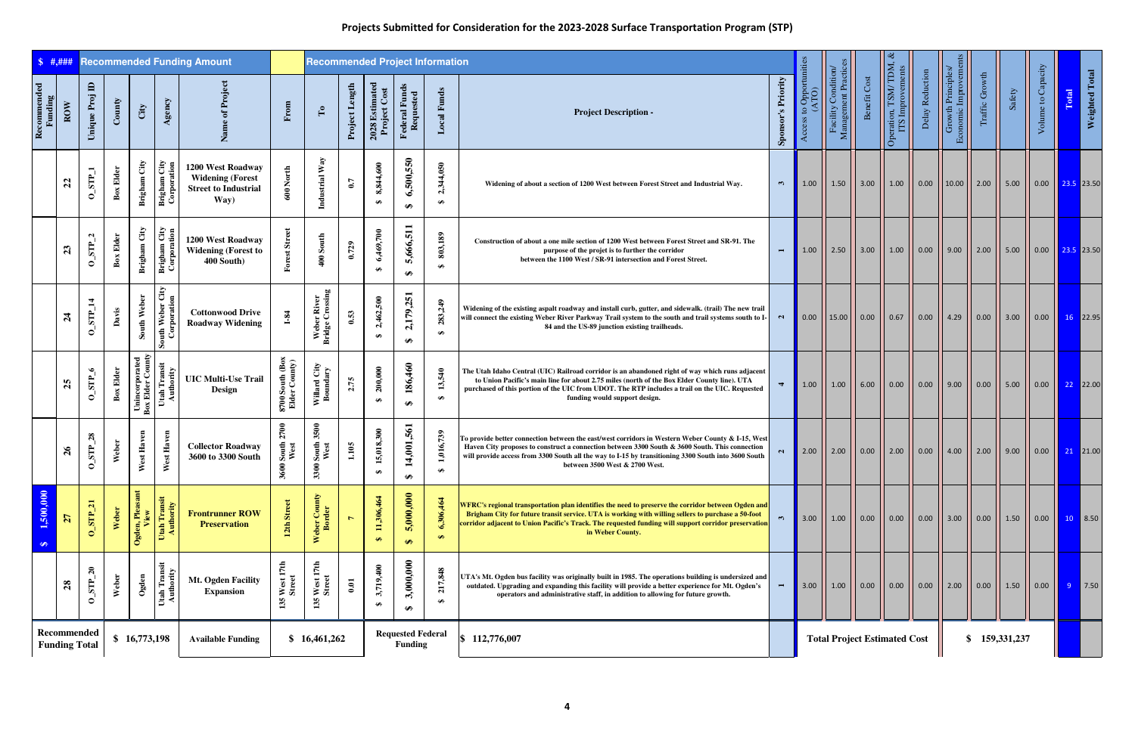| \$  #, # # #                              |                                     |                               |                  |                                    |                                    | <b>Recommended Funding Amount</b>                                                   |                                  | <b>Recommended Project Information</b> |                  |                               |                                            |                               |                                                                                                                                                                                                                                                                                                                                              |                           |                                  |                                            |                                     |                                           |                                                       |                                                                                                         |                         |                      |                                                          |                                                                                  |
|-------------------------------------------|-------------------------------------|-------------------------------|------------------|------------------------------------|------------------------------------|-------------------------------------------------------------------------------------|----------------------------------|----------------------------------------|------------------|-------------------------------|--------------------------------------------|-------------------------------|----------------------------------------------------------------------------------------------------------------------------------------------------------------------------------------------------------------------------------------------------------------------------------------------------------------------------------------------|---------------------------|----------------------------------|--------------------------------------------|-------------------------------------|-------------------------------------------|-------------------------------------------------------|---------------------------------------------------------------------------------------------------------|-------------------------|----------------------|----------------------------------------------------------|----------------------------------------------------------------------------------|
| ${\bf Recommended} \label{p3}$<br>Funding | $_{\rm{ROW}}$                       | $\blacksquare$<br>Unique Proj | County           | City                               | Agency                             | Name of Project                                                                     | From                             | $\mathbf{r}_0$                         | Project Length   | $2028$ Estimated Project Cost | Federal Funds<br>Requested                 | <b>Local Funds</b>            | <b>Project Description -</b>                                                                                                                                                                                                                                                                                                                 | <b>Sponsor's Priority</b> | Access to Opportunities<br>(ATO) | Facility Condition/<br>Management Practice | Benefit Cost                        | Operation, TSM/TDM, &<br>ITS Improvements | Delay Reduction                                       | Economic Improvements<br>Growth Principles/                                                             | Traffic Growth          | Safety               | Volume to Capacity                                       | Weighted Total<br>Total                                                          |
|                                           | $\mathfrak{L}$                      | $0$ _STP_1                    | Elder<br>Box     | Brigham City                       | <b>Brigham City</b><br>Corporation | 1200 West Roadway<br><b>Widening (Forest</b><br><b>Street to Industrial</b><br>Way) | 600 North                        | Industrial Way                         | 0.7              | 8,844,600<br>$\bullet$        | 6,500,550<br>₩                             | ,344,050<br>$\mathbf{C}$<br>₩ | Widening of about a section of 1200 West between Forest Street and Industrial Way.                                                                                                                                                                                                                                                           | $\mathfrak{m}$            | $\parallel$ 1.00 $\parallel$     |                                            |                                     |                                           |                                                       | 1.50 $\vert$ 3.00 $\vert$ 1.00 $\vert$ 0.00 $\vert$ 10.00 $\vert$ 2.00 $\vert$                          |                         | 5.00                 |                                                          | $\begin{array}{ c c c c c c c c } \hline 0.00 & 23.5 & 23.50 \hline \end{array}$ |
|                                           | 23                                  | $0$ _STP_                     | <b>Box Elder</b> | Brigham City                       | <b>Brigham City</b><br>Corporation | 1200 West Roadway<br><b>Widening (Forest to</b><br>400 South)                       | <b>Forest Street</b>             | $400$ South                            | 0.729            | 6,469,700<br>$\bullet$        | 5,666,511<br>↮                             | 803,189                       | Construction of about a one mile section of 1200 West between Forest Street and SR-91. The<br>purpose of the projet is to further the corridor<br>between the 1100 West / SR-91 intersection and Forest Street.                                                                                                                              | $\blacksquare$            | 1.00                             |                                            |                                     |                                           |                                                       | 2.50 $\vert$ 3.00 $\vert$ 1.00 $\vert$ 0.00 $\vert$ 9.00 $\vert$                                        |                         | 5.00                 |                                                          | $\big  0.00 \big  \big  23.5 \big  23.50$                                        |
|                                           | $\mathbf{z}$                        | $0$ _STP_14                   | Davis            | South Weber                        | Corporation<br>Corporation         | <b>Cottonwood Drive</b><br><b>Roadway Widening</b>                                  | $1-84$                           | Weber River<br>Bridge Crossing         | 0.53             | 2,462,500<br>$\bullet$        | 2,179,251<br>$\bullet$                     | 283,249<br>$\bullet$          | Widening of the existing aspalt roadway and install curb, gutter, and sidewalk. (trail) The new trail<br>will connect the existing Weber River Parkway Trail system to the south and trail systems south to I-<br>84 and the US-89 junction existing trailheads.                                                                             | $\sim$                    |                                  |                                            |                                     |                                           | $[0.00$ $[ 15.00$ $] 0.00$ $[ 0.67$ $] 0.00$ $[ 4.29$ |                                                                                                         | $\vert 0.00 \vert$      | $\vert$ 3.00         |                                                          | $0.00$   16 22.95                                                                |
|                                           | 25                                  | $0$ _STP_6                    | Elder<br>Box     | Unincorporated<br>Box Elder County | Utah Transit<br>Authority          | <b>UIC Multi-Use Trail</b><br>Design                                                | 8700 South (Box<br>Elder County) | Willard City<br>Boundary               | 2.75             | 200,000<br>$\bullet$          | 186,460<br>$\bullet$                       | 13,540<br>$\bullet$           | The Utah Idaho Central (UIC) Railroad corridor is an abandoned right of way which runs adjacent<br>to Union Pacific's main line for about 2.75 miles (north of the Box Elder County line). UTA<br>purchased of this portion of the UIC from UDOT. The RTP includes a trail on the UIC. Requested<br>funding would support design.            | $\blacktriangleleft$      | 1.00                             |                                            |                                     |                                           | 1.00    6.00    0.00    0.00    9.00                  |                                                                                                         | $\vert 0.00 \vert$ 5.00 |                      |                                                          | $\begin{array}{ c c c c c }\n\hline\n0.00 & 22 & 22.00\n\end{array}$             |
|                                           | $\frac{5}{6}$                       | 28<br>STP<br>$\circ$          | Weber            | est Haven<br>₹                     | est Haven<br>⋗                     | <b>Collector Roadway</b><br>3600 to 3300 South                                      | 2700<br>South<br>West<br>3600    | 3500<br>South .<br>West<br>3300        | 1.105            | 15,018,300<br>$\bullet$       | 1,001,561<br>$\bullet$                     | 1,016,739<br>$\bullet$        | To provide better connection between the east/west corridors in Western Weber County & I-15, West<br>Haven City proposes to construct a connection between 3300 South & 3600 South. This connection<br>will provide access from 3300 South all the way to I-15 by transitioning 3300 South into 3600 South<br>between 3500 West & 2700 West. | $\mathbf{a}$              |                                  |                                            |                                     |                                           |                                                       | 2.00    2.00    0.00    2.00    0.00    4.00                                                            | 2.00                    | $\vert$ 9.00 $\vert$ |                                                          | $\begin{array}{ c c c c c }\n\hline\n0.00 & 21 & 21.00\n\end{array}$             |
| 1,500,000<br>$\bigoplus$                  | $\overline{27}$                     | $0$ _STP_21                   | Weber            | Ogden, Pleasant<br>View            | Utah Transit<br>Authority          | <b>Frontrunner ROW</b><br><b>Preservation</b>                                       | 12th Street                      | Weber County<br>Border                 | $\triangleright$ | 11,306,464<br>$\bullet$       | ,000,000,<br>$\mathbf{w}$<br>$\Theta$      | 6,306,464<br>$\bullet$        | WFRC's regional transportation plan identifies the need to preserve the corridor between Ogden and<br>Brigham City for future transit service. UTA is working with willing sellers to purchase a 50-foot<br>corridor adjacent to Union Pacific's Track. The requested funding will support corridor preservation<br>in Weber County.         | $\mathbf{r}$              |                                  |                                            |                                     |                                           |                                                       | 3.00 $\vert$ 1.00 $\vert$ 0.00 $\vert$ 0.00 $\vert$ 0.00 $\vert$ 3.00 $\vert$ 0.00 $\vert$ 1.50 $\vert$ |                         |                      |                                                          | $\begin{array}{ c c c c c }\n\hline\n0.00 & 10 & 8.50\n\end{array}$              |
|                                           | 28                                  | $\mathbf{z}_0$<br>$0$ _STP_   | Weber            | Ogden                              | Utah Transit<br>Authority          | Mt. Ogden Facility<br><b>Expansion</b>                                              | West 17th<br>Street<br>135       | West 17th<br>Street<br>135             | 0.01             | 3,719,400<br>$\bullet$        | 3,000,000<br>$\bullet$                     | 217,848<br>$\bullet$          | UTA's Mt. Ogden bus facility was originally built in 1985. The operations building is undersized and<br>outdated. Upgrading and expanding this facility will provide a better experience for Mt. Ogden's<br>operators and administrative staff, in addition to allowing for future growth.                                                   | $\overline{ }$            | $3.00$ I                         |                                            |                                     |                                           |                                                       | 1.00    0.00    0.00    0.00    2.00    0.00    1.50                                                    |                         |                      | $\begin{array}{ c c c c }\n\hline\n0.00 & \n\end{array}$ | 9 7.50                                                                           |
|                                           | Recommended<br><b>Funding Total</b> |                               |                  | \$16,773,198                       |                                    | <b>Available Funding</b>                                                            |                                  | \$16,461,262                           |                  |                               | <b>Requested Federal</b><br><b>Funding</b> |                               | \$112,776,007                                                                                                                                                                                                                                                                                                                                |                           |                                  |                                            | <b>Total Project Estimated Cost</b> |                                           |                                                       |                                                                                                         |                         | \$159,331,237        |                                                          |                                                                                  |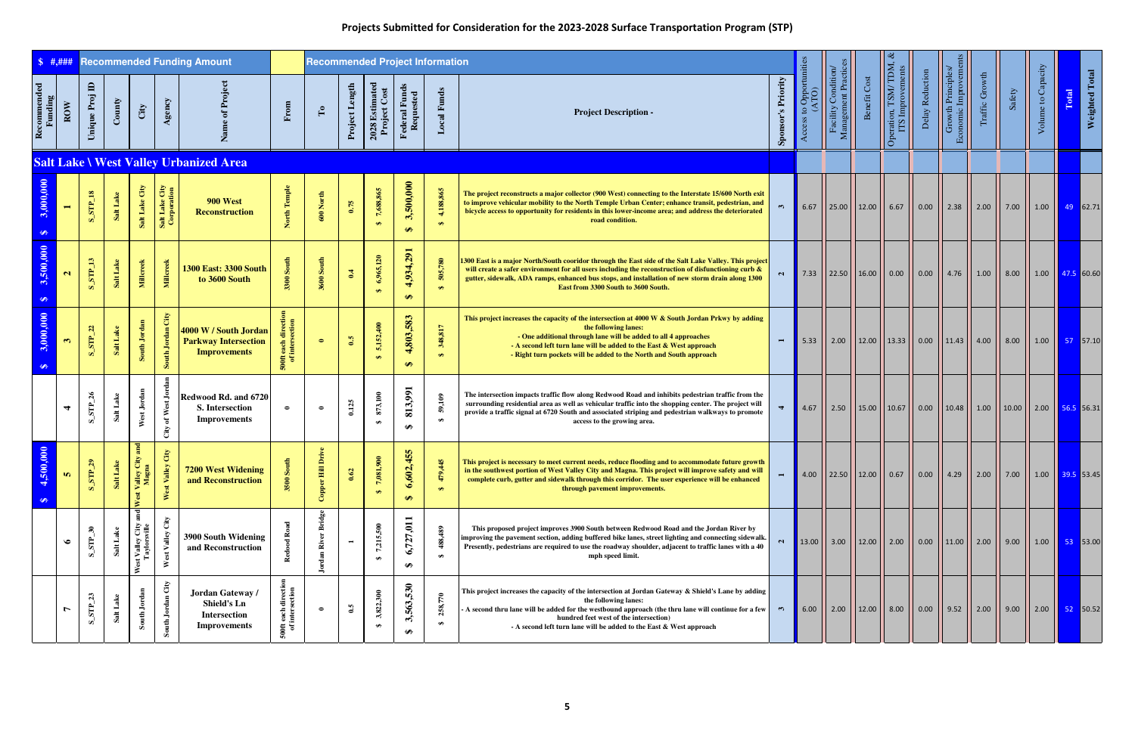|                            | \$  #, ###           |                               |                |                                                                                    |                                | <b>Recommended Funding Amount</b>                                             |                                                       | <b>Recommended Project Information</b> |                |                                   |                                |                                             |                                                                                                                                                                                                                                                                                                                                                           |                        |                  |                                             |              |                                                                                      |                 |                                           |                |        |                    |       |                       |
|----------------------------|----------------------|-------------------------------|----------------|------------------------------------------------------------------------------------|--------------------------------|-------------------------------------------------------------------------------|-------------------------------------------------------|----------------------------------------|----------------|-----------------------------------|--------------------------------|---------------------------------------------|-----------------------------------------------------------------------------------------------------------------------------------------------------------------------------------------------------------------------------------------------------------------------------------------------------------------------------------------------------------|------------------------|------------------|---------------------------------------------|--------------|--------------------------------------------------------------------------------------|-----------------|-------------------------------------------|----------------|--------|--------------------|-------|-----------------------|
| Recommended<br>Funding     | $_{\rm{Row}}$        | $\mathbf{D}$<br>Unique Proj   | County         | City                                                                               | Agency                         | $\overline{\mathbf{z}}$                                                       | From                                                  | $\mathbf{r}_0$                         | Project Length | $2028$ Estimated Project Cost     | Federal Funds<br>Requested     | <b>Local Funds</b>                          | <b>Project Description -</b>                                                                                                                                                                                                                                                                                                                              | 's Priority<br>Sponsor | Opportur<br>ATO) | Condition<br>Management Practic<br>Facility | Benefit Cost | Operation, TSM/TDM, &<br>ITS Improvements                                            | Delay Reduction | Economic Improveme:<br>Growth Principles/ | Traffic Growth | Safety | Volume to Capacity | Total | <b>Weighted Total</b> |
|                            |                      |                               |                |                                                                                    |                                | <b>Salt Lake \ West Valley Urbanized Area</b>                                 |                                                       |                                        |                |                                   |                                |                                             |                                                                                                                                                                                                                                                                                                                                                           |                        |                  |                                             |              |                                                                                      |                 |                                           |                |        |                    |       |                       |
| 3,000,000<br>$\bigoplus$   | $\blacksquare$       | $\mathbf{S\_STP\_18}$         | Salt Lake      | Salt Lake City                                                                     | Salt Lake City<br>Corporation  | <b>900 West</b><br><b>Reconstruction</b>                                      | North Temple                                          | $600$ North                            | 0.75           | 7,688,865                         | 3,500,000<br>$\leftrightarrow$ | 4,188,865<br>$\leftrightarrow$              | The project reconstructs a major collector (900 West) connecting to the Interstate 15/600 North exit<br>to improve vehicular mobility to the North Temple Urban Center; enhance transit, pedestrian, and<br>bicycle access to opportunity for residents in this lower-income area; and address the deteriorated<br>road condition.                        | $\mathbf{r}$           | 6.67             |                                             |              |                                                                                      |                 |                                           |                | 7.00   | 1.00   49 62.71    |       |                       |
| 3,500,000<br>$\Theta$      | $\mathbf{a}$         | $S\_SIP\_13$                  | Salt Lake      | Millcreek                                                                          | <b>Millcreek</b>               | <b>1300 East: 3300 South</b><br>to 3600 South                                 | South<br>3300                                         | <b>3600 South</b>                      | 0.4            | 6,965,120                         | 4,934,291<br>$\bullet$         | 505,780<br>$\leftrightarrow$                | 1300 East is a major North/South cooridor through the East side of the Salt Lake Valley. This project<br>will create a safer environment for all users including the reconstruction of disfunctioning curb $\&$<br>gutter, sidewalk, ADA ramps, enhanced bus stops, and installation of new storm drain along 1300<br>East from 3300 South to 3600 South. | $\sim$                 |                  |                                             |              | 7.33 $\vert$ 22.50 $\vert$ 16.00 $\vert$ 0.00 $\vert$ 0.00 $\vert$ 4.76 $\vert$ 1.00 |                 |                                           |                | 8.00   | 1.00   47.5 60.60  |       |                       |
| 3,000,000<br>$\bigoplus$   | $\mathfrak{S}$       | $S_S T P_2 22$                | Salt Lake      | South Jordan                                                                       | City<br>South Jordan           | 4000 W / South Jordan<br><b>Parkway Intersection</b><br><b>Improvements</b>   | directi<br>section<br>each<br>inters<br>$\frac{1}{2}$ | $\bullet$                              | 0.5            | 5,152,400                         | 4,803,583<br>$\Theta$          | 348,817<br>$\leftrightarrow$                | This project increases the capacity of the intersection at 4000 W & South Jordan Prkwy by adding<br>the following lanes:<br>- One additional through lane will be added to all 4 approaches<br>- A second left turn lane will be added to the East & West approach<br>- Right turn pockets will be added to the North and South approach                  |                        | 5.33             |                                             |              | 2.00    12.00    13.33    0.00    11.43    4.00                                      |                 |                                           |                | 8.00   | 1.00   57   57.10  |       |                       |
|                            | $\blacktriangleleft$ | $\mathfrak{A}$<br>$S$ _ $STP$ | Salt Lake      | West Jordan                                                                        | of West Jor<br>$\mathrm{City}$ | Redwood Rd. and 6720<br><b>S.</b> Intersection<br><b>Improvements</b>         | $\bullet$                                             | $\bullet$                              | 0.125          | 873,100<br>$\leftrightarrow$      | 813,991<br>$\bigoplus$         | 59,109<br>$\bullet$                         | The intersection impacts traffic flow along Redwood Road and inhibits pedestrian traffic from the<br>surrounding residential area as well as vehicular traffic into the shopping center. The project will<br>provide a traffic signal at 6720 South and associated striping and pedestrian walkways to promote<br>access to the growing area.             |                        | 4.67             |                                             |              | $\frac{1}{2.50}$   15.00   10.67   0.00   10.48   1.00   10.00   2.00   56.5 56.31   |                 |                                           |                |        |                    |       |                       |
| ,000<br>4,500<br>$\bullet$ | <b>In</b>            | $S\_STP_29$                   | ്യ<br>Salt Lak | $_{\rm and}$<br>$\mathfrak{A}^{\mathbb{C}}_{\mathbb{C}}$<br>Valley<br>Magr<br>West | $\mathrm{City}$<br>West Valley | <b>7200 West Widening</b><br>and Reconstruction                               | 呂<br>3500                                             | Drive<br>Copper Hill                   | 0.62           | $\epsilon$<br>7,081,9<br>$\Theta$ | 455<br>6,602,<br>$\bullet$     | $\mathfrak{D}$<br>479,<br>$\leftrightarrow$ | This project is necessary to meet current needs, reduce flooding and to accommodate future growth<br>in the southwest portion of West Valley City and Magna. This project will improve safety and will<br>complete curb, gutter and sidewalk through this corridor. The user experience will be enhanced<br>through pavement improvements.                | $\blacksquare$         |                  |                                             |              | 4.00   22.50   12.00    0.67    0.00    4.29    2.00    7.00    1.00    39.5 53.45   |                 |                                           |                |        |                    |       |                       |
|                            | $\bullet$            | $\mathbf{r}$<br>$S$ _STP_     | Salt Lake      | st Valley City :<br>Taylorsville<br>West                                           | Valley<br>$\geq$               | 3900 South Widening<br>and Reconstruction                                     |                                                       | <b>Bridge</b><br>River<br>Jordan       |                | 7,215,500                         | 6,727,011<br>$\bullet$         | 488,489<br>$\bullet$                        | This proposed project improves 3900 South between Redwood Road and the Jordan River by<br>improving the pavement section, adding buffered bike lanes, street lighting and connecting sidewalk.<br>Presently, pedestrians are required to use the roadway shoulder, adjacent to traffic lanes with a 40<br>mph speed limit.                                | $\mathbf{N}$           |                  |                                             |              | 13.00    3.00    12.00    2.00    0.00    11.00    2.00    9.00                      |                 |                                           |                |        | $1.00$ 53 53.00    |       |                       |
|                            |                      | $S\_SIP_223$                  | Lake<br>Salt   | Jordan<br>South                                                                    | South Jordan City              | Jordan Gateway /<br><b>Shield's Ln</b><br><b>Intersection</b><br>Improvements | directi<br>section<br>each<br>inters<br>$\epsilon$ is | $\bullet$                              | $\mathbf{S}$   | 3,822,300                         | 3,563,530<br>$\bullet$         | 258,770<br>$\bigoplus$                      | This project increases the capacity of the intersection at Jordan Gateway & Shield's Lane by adding<br>the following lanes:<br>A second thru lane will be added for the westbound approach (the thru lane will continue for a few<br>hundred feet west of the intersection)<br>- A second left turn lane will be added to the East & West approach        | $\mathfrak{m}$         | 6.00             |                                             |              | 2.00    12.00    8.00    0.00    9.52    2.00                                        |                 |                                           |                | 9.00   | 2.00   52   50.52  |       |                       |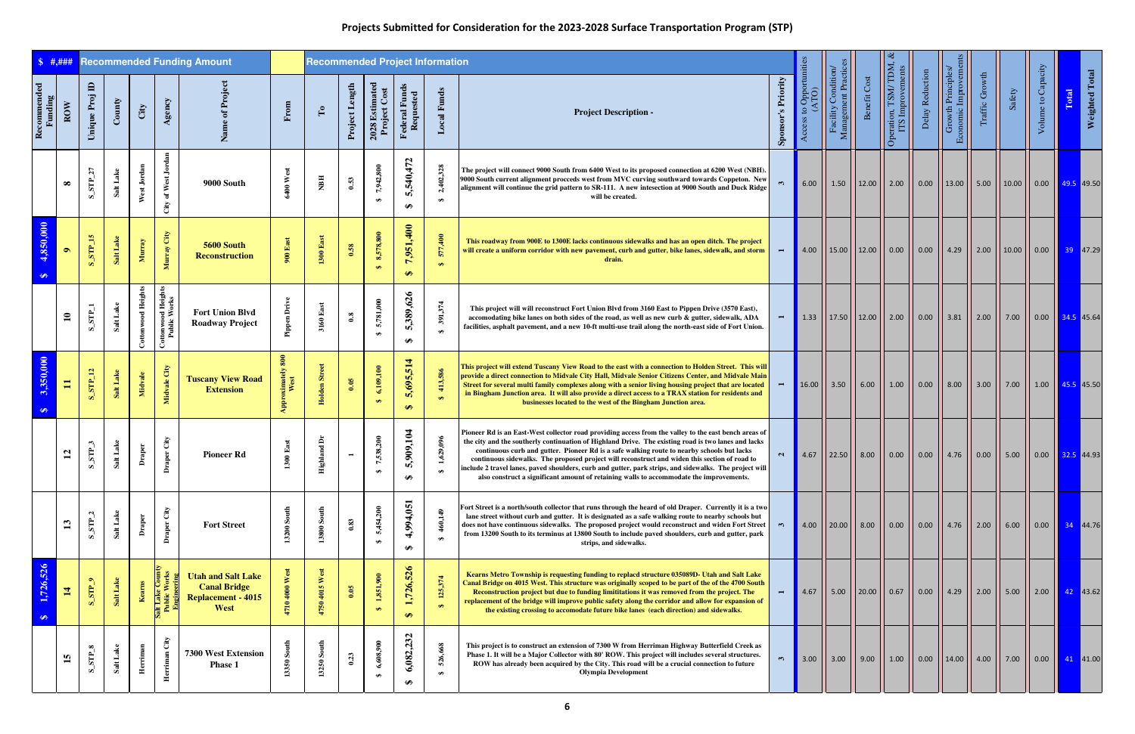| $\frac{1}{2}$ \$ #,### |                |                                                                           |                 |                    |                                    | <b>Recommended Funding Amount</b>                                                     |                       | <b>Recommended Project Information</b> |                |                                |                                   |                              |                                                                                                                                                                                                                                                                                                                                                                                                                                                                                                                                                                                                                    |                         |                     |                                         |                                                              |                                                     |                                                                                                            |                                                        |                |        |                    |                                                                            |
|------------------------|----------------|---------------------------------------------------------------------------|-----------------|--------------------|------------------------------------|---------------------------------------------------------------------------------------|-----------------------|----------------------------------------|----------------|--------------------------------|-----------------------------------|------------------------------|--------------------------------------------------------------------------------------------------------------------------------------------------------------------------------------------------------------------------------------------------------------------------------------------------------------------------------------------------------------------------------------------------------------------------------------------------------------------------------------------------------------------------------------------------------------------------------------------------------------------|-------------------------|---------------------|-----------------------------------------|--------------------------------------------------------------|-----------------------------------------------------|------------------------------------------------------------------------------------------------------------|--------------------------------------------------------|----------------|--------|--------------------|----------------------------------------------------------------------------|
| Recommended<br>Funding | ROW            | Unique Proj ID                                                            | $\mathbf{Comy}$ | City               | Agency                             |                                                                                       | From                  | $\Gamma$                               | Project Length | 2028 Estimated<br>Project Cost | <b>Federal Funds</b><br>Requested | <b>Local Funds</b>           | <b>Project Description -</b>                                                                                                                                                                                                                                                                                                                                                                                                                                                                                                                                                                                       | 's Priority<br>Sponsor' | Opportun<br>ATO)    | Facility Condition<br>Management Practi | Benefit Cost                                                 | eration, TSM/TDM, ¿<br>ITS Improvements<br>$\sigma$ | Delay Reduction                                                                                            | <b>Economic Improvements</b><br>Growth Principles      | Traffic Growth | Safety | Volume to Capacity | Weighted Total<br>Total                                                    |
|                        | $\infty$       | $S$ _STP_27                                                               | Salt Lake       | West Jordan        | of West Jore<br>$\mathrm{City}$    | 9000 South                                                                            | 6400 West             | NBH                                    | 0.53           | 7,942,800                      | 5,540,472<br>$\bullet$            | 2,402,328<br>$\bullet$       | The project will connect 9000 South from 6400 West to its proposed connection at 6200 West (NBH).<br>9000 South current alignment procceds west from MVC curving southward towards Coppeton. New<br>alignment will continue the grid pattern to SR-111. A new intesection at 9000 South and Duck Ridge<br>will be created.                                                                                                                                                                                                                                                                                         |                         |                     |                                         |                                                              |                                                     | 6.00 $\vert$ 1.50 $\vert$ 12.00 $\vert$ 2.00 $\vert$ 0.00 $\vert$ 13.00 $\vert$ 5.00 $\vert$ 10.00 $\vert$ |                                                        |                |        |                    | $\vert$ 0.00 $\vert$ 49.5 49.50                                            |
| 4,850,000<br>$\bullet$ | $\bullet$      | $S$ STP_15                                                                | Salt Lake       | Murray             | Murray City                        | 5600 South<br><b>Reconstruction</b>                                                   | 900 East              | $1300\;\mathrm{East}$                  | 0.58           | 8,578,800<br>$\leftrightarrow$ | 7,951,400<br>$\Theta$             | 577,400<br>$\leftrightarrow$ | This roadway from 900E to 1300E lacks continuous sidewalks and has an open ditch. The project<br>will create a uniform corridor with new pavement, curb and gutter, bike lanes, sidewalk, and storm<br>drain.                                                                                                                                                                                                                                                                                                                                                                                                      | $\blacksquare$          |                     |                                         |                                                              |                                                     | 4.00   15.00   12.00   0.00   0.00   4.29   2.00   10.00                                                   |                                                        |                |        |                    | $\vert$ 0.00 $\vert$ 39 47.29                                              |
|                        | $\mathbf{a}$   | $S$ _STP_1                                                                | Salt Lake       | Cottonwood Heights | Cottonwood Heights<br>Public Works | <b>Fort Union Blvd</b><br><b>Roadway Project</b>                                      | <b>Pipp</b>           | $3160~\mathrm{East}$                   | $\mathbf{0.8}$ | 5,781,000<br>$\theta$          | 5,389,626<br>₩                    | 391,374<br>$\bullet$         | This project will will reconstruct Fort Union Blvd from 3160 East to Pippen Drive (3570 East),<br>accomodating bike lanes on both sides of the road, as well as new curb & gutter, sidewalk, ADA<br>facilities, asphalt pavement, and a new 10-ft multi-use trail along the north-east side of Fort Union.                                                                                                                                                                                                                                                                                                         |                         |                     |                                         |                                                              |                                                     | 1.33    17.50    12.00    2.00    0.00    3.81    2.00                                                     |                                                        |                |        |                    | $\vert$ 0.00 $\vert$ 34.5 45.64                                            |
| 3,350,000<br>$\bullet$ | $\equiv$       | $S\_STP\_12$                                                              | Salt Lake       | Midvale            | Midvale City                       | <b>Tuscany View Road</b><br><b>Extension</b>                                          | <b>ximate</b><br>West | <b>Holden Street</b>                   | 0.05           | 6,109,100                      | 5,695,514<br>$\Theta$             | 413,586<br>$\leftrightarrow$ | This project will extend Tuscany View Road to the east with a connection to Holden Street. This will<br>provide a direct connection to Midvale City Hall, Midvale Senior Citizens Center, and Midvale Main<br>Street for several multi family complexes along with a senior living housing project that are located<br>in Bingham Junction area. It will also provide a direct access to a TRAX station for residents and<br>businesses located to the west of the Bingham Junction area.                                                                                                                          |                         |                     |                                         |                                                              |                                                     | 16.00    3.50    6.00    1.00    0.00    8.00    3.00    7.00                                              |                                                        |                |        |                    | $1.00$ $\overline{45.5}$ 45.50                                             |
|                        | $\mathbf{r}$   | $STP_3$<br>$\infty$                                                       | Salt Lake       | ā                  | aper City<br>Ā                     | <b>Pioneer Rd</b>                                                                     | Eas                   | Ă<br>hland <sup>1</sup><br>Ë           |                | 538.200<br>Đ                   | ,909,104<br>m,<br>₩               | ,629,096                     | Pioneer Rd is an East-West collector road providing access from the valley to the east bench areas of<br>the city and the southerly continuation of Highland Drive. The existing road is two lanes and lacks<br>continuous curb and gutter. Pioneer Rd is a safe walking route to nearby schools but lacks<br>continuous sidewalks. The proposed project will reconstruct and widen this section of road to<br>  include 2 travel lanes, paved shoulders, curb and gutter, park strips, and sidewalks. The project will<br>also construct a significant amount of retaining walls to accommodate the improvements. | $\mathbf{N}$            |                     |                                         |                                                              |                                                     | 4.67    22.50    8.00    0.00    0.00    4.76    0.00    5.00                                              |                                                        |                |        |                    | $\vert$ 0.00 $\vert$ 32.5 44.93                                            |
|                        |                | $S\_SIP_2$                                                                | Salt Lake       | Draper             | Draper City                        | <b>Fort Street</b>                                                                    | 13200 South           | 13800 South                            | 0.83           | 5,454,200<br>$\bullet$         | 4,994,051<br>$\bullet$            | 460,149<br>$\bullet$         | Fort Street is a north/south collector that runs through the heard of old Draper. Currently it is a two<br>lane street without curb and gutter. It is designated as a safe walking route to nearby schools but<br>does not have continuous sidewalks. The proposed project would reconstruct and widen Fort Street $\begin{pmatrix} 1 & 1 \\ 1 & 1 \end{pmatrix}$<br>from 13200 South to its terminus at 13800 South to include paved shoulders, curb and gutter, park<br>strips, and sidewalks.                                                                                                                   |                         |                     |                                         | 4.00 $\vert$ 20.00 $\vert$ 8.00 $\vert$ 0.00 $\vert$ 0.00    |                                                     |                                                                                                            |                                                        |                | $6.00$ |                    | $0.00$ $\begin{array}{ c c c c c } \hline 34 & 44.76 \ \hline \end{array}$ |
| 1,726,526<br>$\bullet$ | $\overline{1}$ | $\sqrt{\mathrm{S}T\mathrm{S}}$                                            | Salt Lake       | Kearns             | alt Lake Courle<br>Public Worl     | <b>Utah and Salt Lake</b><br><b>Canal Bridge</b><br><b>Replacement - 4015</b><br>West | West<br>4710          | 4750 4015 West                         | 0.05           | 1,851,900<br>$\leftrightarrow$ | 1,726,526<br>$\Theta$             | 125,374<br>$\leftrightarrow$ | Kearns Metro Township is requesting funding to replacd structure 035089D- Utah and Salt Lake<br>Canal Bridge on 4015 West. This structure was originally scoped to be part of the of the 4700 South<br>Reconstruction project but due to funding limititations it was removed from the project. The<br>replacement of the bridge will improve public safety along the corridor and allow for expansion of<br>the existing crossing to accomodate future bike lanes (each direction) and sidewalks.                                                                                                                 |                         |                     |                                         | $\mid$ 4.67 $\mid$ 5.00 $\mid$ 20.00 $\mid$ 0.67 $\mid$ 0.00 |                                                     |                                                                                                            | $\begin{array}{ c c c c c c } 4.29 & 2.00 \end{array}$ |                | 5.00   |                    | 2.00 $\begin{array}{ c c c }\n\hline\n42 & 43.62\n\end{array}$             |
|                        | $\mathbf{5}$   | $\mathbf{S}\_{\mathbf{S} \mathbf{I} \mathbf{I} \mathbf{F} \_{mathbf{S}}}$ | Salt Lake       | Herriman           | Herriman                           | 7300 West Extension<br><b>Phase 1</b>                                                 | 13350                 | 13250 South                            | 0.23           | 6,608,900<br>$\bullet$         | 6,082,232<br>$\bigoplus$          | 526,668<br>$\bullet$         | This project is to construct an extension of 7300 W from Herriman Highway Butterfield Creek as<br>Phase 1. It will be a Major Collector with 80' ROW. This project will includes several structures.<br>ROW has already been acquired by the City. This road will be a crucial connection to future<br><b>Olympia Development</b>                                                                                                                                                                                                                                                                                  |                         | $\blacksquare$ 3.00 |                                         |                                                              |                                                     | 3.00    9.00    1.00    0.00    14.00    4.00    7.00                                                      |                                                        |                |        |                    | $\begin{array}{ c c c c c }\n\hline\n0.00 & 41 & 41.00\n\end{array}$       |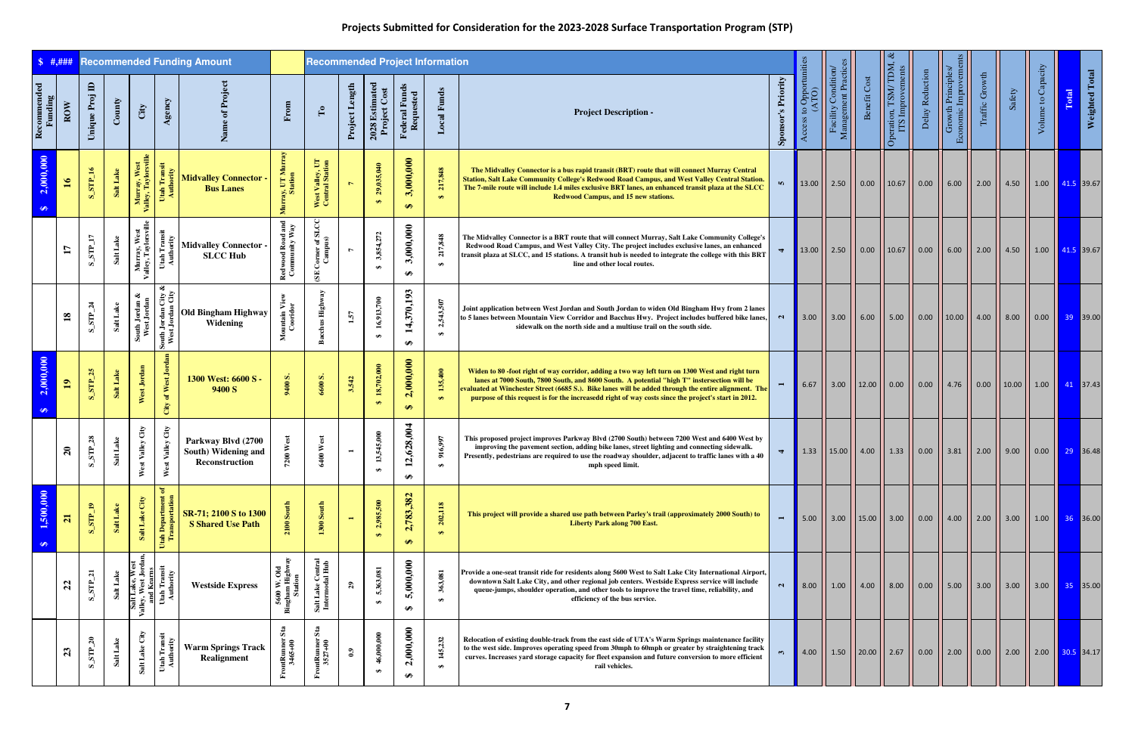| \$ 1, ####             |                |                       |                 |                                                                                        |                                                | <b>Recommended Funding Amount</b>                                  |                                                      | <b>Recommended Project Information</b>                                                  |                          |                                 |                                          |                              |                                                                                                                                                                                                                                                                                                                                                                                                               |                         |                                    |                                            |              |                                                        |                 |                                            |                    |                       |                    |                                                                                  |
|------------------------|----------------|-----------------------|-----------------|----------------------------------------------------------------------------------------|------------------------------------------------|--------------------------------------------------------------------|------------------------------------------------------|-----------------------------------------------------------------------------------------|--------------------------|---------------------------------|------------------------------------------|------------------------------|---------------------------------------------------------------------------------------------------------------------------------------------------------------------------------------------------------------------------------------------------------------------------------------------------------------------------------------------------------------------------------------------------------------|-------------------------|------------------------------------|--------------------------------------------|--------------|--------------------------------------------------------|-----------------|--------------------------------------------|--------------------|-----------------------|--------------------|----------------------------------------------------------------------------------|
| Recommended<br>Funding | ROW            | Unique Proj ID        | $\mathbf{Comy}$ | City                                                                                   | Agency                                         |                                                                    | From                                                 | $\Gamma$ o                                                                              | Project Length           | 2028 Estimated<br>Project Cost  | Federal Funds<br>Requested               | <b>Local Funds</b>           | <b>Project Description -</b>                                                                                                                                                                                                                                                                                                                                                                                  | 's Priority<br>Sponsor' | opportunities<br>$\circ$<br>Access | Facility Condition/<br>Management Practice | Benefit Cost | Operation, TSM/TDM, &<br>ITS Improvements              | Delay Reduction | Economic Improvements<br>Growth Principles | Traffic Growth     | Safety                | Volume to Capacity | Weighted Total<br>Total                                                          |
| 2,000,000<br>$\bullet$ | $\mathfrak{g}$ | $S$ _STP_16           | <b>SaltLake</b> | Murray, West<br>Valley, Taylorsville                                                   | Utah Transit<br>Authority                      | <b>Midvalley Connector -</b><br><b>Bus Lanes</b>                   | Murray, UT Murray<br>Station                         | West Valley, UT<br>Central Station                                                      | $\overline{ }$           | 29,035,040<br>$\leftrightarrow$ | 3,000,000<br>$\leftrightarrow$           | 217,848<br>$\leftrightarrow$ | The Midvalley Connector is a bus rapid transit (BRT) route that will connect Murray Central<br><b>Station, Salt Lake Community College's Redwood Road Campus, and West Valley Central Station.</b><br>The 7-mile route will include 1.4 miles exclusive BRT lanes, an enhanced transit plaza at the SLCC<br>Redwood Campus, and 15 new stations.                                                              |                         |                                    |                                            |              | 13.00    2.50    0.00    10.67    0.00    6.00    2.00 |                 |                                            |                    | 4.50                  |                    | $1.00$   41.5 39.67                                                              |
|                        |                | $S$ STP_17            | Salt Lake       | Murray, West<br>Valley, Taylorsville                                                   | Utah Transit<br>Authority                      | <b>Midvalley Connector</b><br><b>SLCC Hub</b>                      | Redwood Road and<br>Community Way                    | $\begin{bmatrix} \text{Corner of SLCC} \\ \text{Campus} \end{bmatrix}$<br>$\mathbf{SE}$ | L                        | 3,854,272<br>$\bullet$          | 3,000,000<br>$\bullet$                   | 217,848<br>$\bullet$         | The Midvalley Connector is a BRT route that will connect Murray, Salt Lake Community College's<br>Redwood Road Campus, and West Valley City. The project includes exclusive lanes, an enhanced<br>transit plaza at SLCC, and 15 stations. A transit hub is needed to integrate the college with this BRT<br>line and other local routes.                                                                      | $\blacktriangledown$    |                                    |                                            |              | 13.00    2.50    0.00    10.67    0.00    6.00    2.00 |                 |                                            |                    | 4.50                  |                    | $1.00$ $ $ 41.5 39.67                                                            |
|                        | $\mathbf{18}$  | $S$ STP_24            | Salt Lake       | South Jordan &<br>West Jordan                                                          | ಷ<br>South Jordan City                         | Old Bingham Highway<br>Widening                                    | Mountain View<br>Cooridor                            | <b>Bacchus Highw</b>                                                                    | 1.57                     | 16,913,700<br>$\bullet$         | 4,370,193<br>$\blacksquare$<br>$\bullet$ | 2,543,507<br>$\bullet$       | Joint application between West Jordan and South Jordan to widen Old Bingham Hwy from 2 lanes<br>to 5 lanes between Mountain View Corridor and Bacchus Hwy. Project includes buffered bike lanes,<br>sidewalk on the north side and a multiuse trail on the south side.                                                                                                                                        | $\sim$                  |                                    |                                            |              |                                                        |                 |                                            |                    | $\vert$ 8.00          |                    | $0.00$ 39 39.00                                                                  |
| 2,000,000<br>$\bullet$ | $\mathbf{p}$   | $S$ _STP_25           | Salt Lake       | West Jordan                                                                            | of West Jordan<br>City                         | 1300 West: 6600 S -<br>9400 S                                      | 9400 S.                                              | 6600 S.                                                                                 | 3.542                    | 18,702,000<br>$\Theta$          | 2,000,000<br>$\Theta$                    | 135,400<br>$\leftrightarrow$ | Widen to 80 -foot right of way corridor, adding a two way left turn on 1300 West and right turn<br>lanes at 7000 South, 7800 South, and 8600 South. A potential "high T" instersection will be<br>evaluated at Winchester Street (6685 S.). Bike lanes will be added through the entire alignment. The<br>purpose of this request is for the increasedd right of way costs since the project's start in 2012. |                         | 6.67                               |                                            |              | 3.00    12.00    0.00    0.00    4.76    0.00          |                 |                                            |                    | $\vert$ 10.00 $\vert$ |                    | $1.00$ $1.00$ 41 37.43                                                           |
|                        | $\mathbf{z}$   | $\text{STP}\_28$<br>Ø | Salt Lake       | City<br>Valley<br>Wes                                                                  | City<br>st Valley<br>Wes                       | Parkway Blvd (2700<br><b>South) Widening and</b><br>Reconstruction |                                                      | 400 West                                                                                | $\overline{\phantom{a}}$ | 13,545,000<br>₩                 | 2,628,004<br><del>ഗ</del>                | 916,997                      | This proposed project improves Parkway Blvd (2700 South) between 7200 West and 6400 West by<br>improving the pavement section, adding bike lanes, street lighting and connecting sidewalk.<br>Presently, pedestrians are required to use the roadway shoulder, adjacent to traffic lanes with a 40<br>mph speed limit.                                                                                        | $\blacktriangleleft$    |                                    |                                            |              | 1.33    15.00    4.00    1.33    0.00    3.81    2.00  |                 |                                            |                    | 9.00                  |                    | $\begin{array}{ c c c c c c c c } \hline 0.00 & 29 & 36.48 \ \hline \end{array}$ |
| 1,500,000<br>$\bullet$ | $\overline{z}$ | ${\bf S\_STP\_19}$    | Salt Lake       | Salt Lake City                                                                         | ិ៍<br>$\overline{a}$<br>Utah Depar<br>Transpor | SR-71; 2100 S to 1300<br><b>S Shared Use Path</b>                  | 2100                                                 | 1300 South                                                                              | $\blacksquare$           | 2,985,500<br>$\Theta$           | 2,783,382<br>$\leftrightarrow$           | 202,118<br>$\leftrightarrow$ | This project will provide a shared use path between Parley's trail (approximately 2000 South) to<br><b>Liberty Park along 700 East.</b>                                                                                                                                                                                                                                                                       | $\blacksquare$          | 5.00                               |                                            |              | $\vert$ 3.00 $\vert$ 15.00 $\vert$ 3.00 $\vert$ 0.00   |                 | $ 4.00 $ 2.00                              |                    | $\vert$ 3.00 $\vert$  |                    | $1.00$ $\begin{array}{ c c }$ 36 36.00                                           |
|                        | $\mathfrak{a}$ | $S$ _ $STP_2$ 1       | Salt Lake       | ್ಕಿತ<br>$\overline{\mathbf{w}}$ es<br>Salt Lake, We<br>Valley, West Jorc<br>and Kearns | Utah Transit<br>Authority                      | <b>Westside Express</b>                                            | W. Old<br>n Highw<br><b>Station</b><br>5600<br>Bingh | Salt Lake Central<br>Intermodal Hub                                                     | $\mathbf{g}$             | 5,363,081<br>$\bullet$          | 5,000,000<br>$\bullet$                   | 363,081<br>$\bullet$         | Provide a one-seat transit ride for residents along 5600 West to Salt Lake City International Airport,<br>downtown Salt Lake City, and other regional job centers. Westside Express service will include<br>queue-jumps, shoulder operation, and other tools to improve the travel time, reliability, and<br>efficiency of the bus service.                                                                   | $\mathbf{a}$            | 8.00                               | 1.00                                       |              | $ 4.00 $ 8.00                                          | $\vert$ 0.00    | $\vert$ 5.00 $\vert$                       | 3.00               |                       |                    | $3.00$ 35 35.00                                                                  |
|                        | 23             | $\text{S\_STP\_20}$   | Salt Lake       | Salt Lake City                                                                         | Utah Transit<br>Authority                      | <b>Warm Springs Track</b><br>Realignment                           | Sta<br>ontRunner<br>3465+00                          | $S_{2}$<br>FrontRumer!<br>3527+00                                                       | 0.9                      | 46,000,000<br>$\bullet$         | 2,000,000<br>$\bullet$                   | 145,232<br>$\bullet$         | Relocation of existing double-track from the east side of UTA's Warm Springs maintenance facility<br>to the west side. Improves operating speed from 30mph to 60mph or greater by straightening track<br>curves. Increases yard storage capacity for fleet expansion and future conversion to more efficient<br>rail vehicles.                                                                                | $\mathfrak{m}$          | 4.00                               |                                            |              | $1.50$   20.00   2.67                                  | $\vert$ 0.00    | 2.00                                       | $\vert 0.00 \vert$ | 2.00                  |                    | $2.00$ $\overline{30.5}$ 34.17                                                   |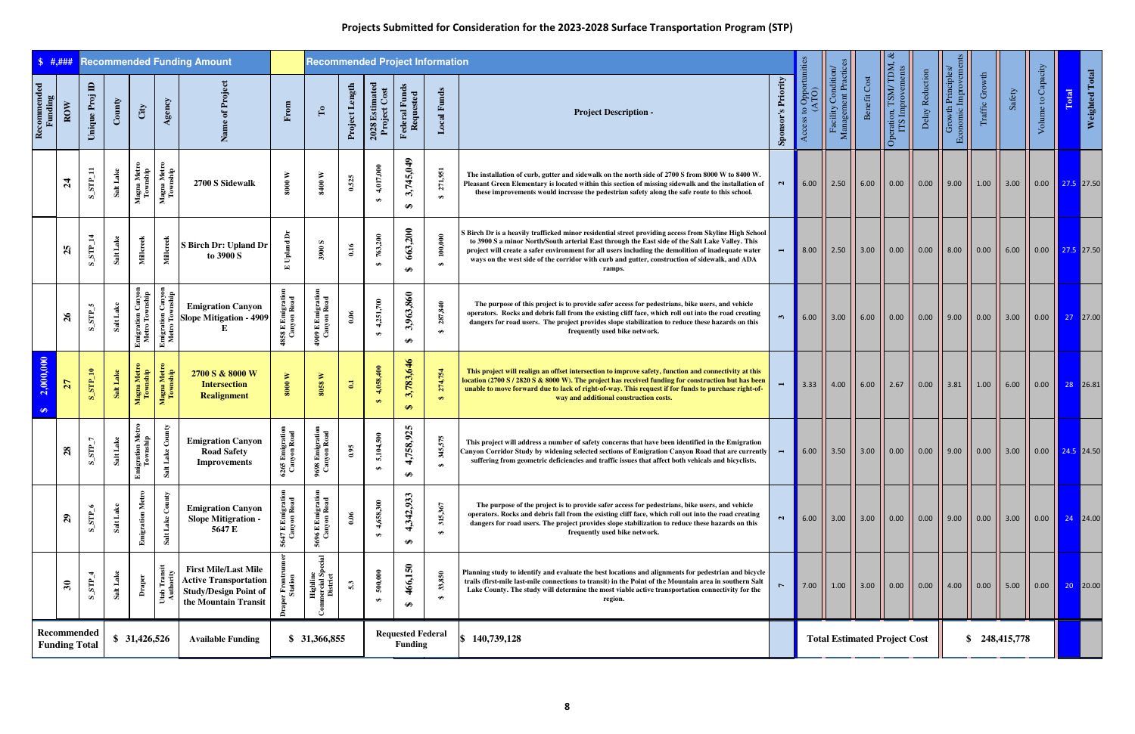| \$  #, # # #           |                      |                             |           |                                             |                                            | <b>Recommended Funding Amount</b>                                                                                   |                                 |                                                |                |                               |                                            | <b>Recommended Project Information</b> |                                                                                                                                                                                                                                                                                                                                                                                                                           |                           |                                  |                                            |                                     |                                           |                                                                     |                                             |                      |                                                   |                    |                                                                                    |
|------------------------|----------------------|-----------------------------|-----------|---------------------------------------------|--------------------------------------------|---------------------------------------------------------------------------------------------------------------------|---------------------------------|------------------------------------------------|----------------|-------------------------------|--------------------------------------------|----------------------------------------|---------------------------------------------------------------------------------------------------------------------------------------------------------------------------------------------------------------------------------------------------------------------------------------------------------------------------------------------------------------------------------------------------------------------------|---------------------------|----------------------------------|--------------------------------------------|-------------------------------------|-------------------------------------------|---------------------------------------------------------------------|---------------------------------------------|----------------------|---------------------------------------------------|--------------------|------------------------------------------------------------------------------------|
| Recommended<br>Funding | ROW                  | $\mathbf{a}$<br>Unique Proj | County    | City                                        | Agency                                     | Name of Projec                                                                                                      | From                            | $\mathbf{r}$                                   | Project Length | $2028$ Estimated Project Cost | Federal Funds<br>Requested                 | <b>Local Funds</b>                     | <b>Project Description -</b>                                                                                                                                                                                                                                                                                                                                                                                              | <b>Sponsor's Priority</b> | Access to Opportunities<br>(ATO) | Facility Condition/<br>Management Practice | Benefit Cost                        | Operation, TSM/TDM, &<br>ITS Improvements | Delay Reduction                                                     | Economic Improvements<br>Growth Principles/ | Traffic Growth       | Safety                                            | Volume to Capacity | Weighted Total<br>Total                                                            |
|                        | $\mathfrak{p}$       | $S_STP_11$                  | Salt Lake | Magna Metro<br>Township                     | Magna Metro<br>Township                    | 2700 S Sidewalk                                                                                                     | $8000\ \rm{W}$                  | 8400 W                                         | 0.525          | 4,017,000<br>$\bullet$        | 3,745,049<br>$\bullet$                     | 271,951<br>$\bullet$                   | The installation of curb, gutter and sidewalk on the north side of 2700 S from 8000 W to 8400 W.<br>Pleasant Green Elementary is located within this section of missing sidewalk and the installation of<br>these improvements would increase the pedestrian safety along the safe route to this school.                                                                                                                  | $\mathbf{N}$              | 6.00                             |                                            |                                     |                                           | 2.50    6.00    0.00    0.00    9.00                                |                                             | 1.00                 |                                                   |                    | $\begin{array}{ c c c c c c c c c } \hline 0.00 & 27.5 & 27.50 \hline \end{array}$ |
|                        | 25                   | ${\bf S\_STP\_14}$          | Salt Lake | Millcreek                                   | Millcreek                                  | S Birch Dr: Upland Dr<br>to 3900 S                                                                                  | $_{\rm Upland}$<br>$\mathbf{r}$ | <b>S006</b>                                    | 0.16           | 763,200<br>$\bullet$          | 663,200<br>↮                               | 100,000<br>$\bullet$                   | Birch Dr is a heavily trafficked minor residential street providing access from Skyline High School (<br>to 3900 S a minor North/South arterial East through the East side of the Salt Lake Valley. This<br>project will create a safer environment for all users including the demolition of inadequate water<br>ways on the west side of the corridor with curb and gutter, construction of sidewalk, and ADA<br>ramps. |                           | $\vert 8.00 \vert$               |                                            |                                     |                                           | 2.50 $\vert$ 3.00 $\vert$ 0.00 $\vert$ 0.00 $\vert$ 8.00 $\vert$    |                                             | $\vert 0.00 \vert$   | $6.00$                                            |                    | $\begin{array}{ c c c c c c c c } \hline 0.00 & 27.5 & 27.50 \hline \end{array}$   |
|                        | $\mathfrak{g}_2$     | $STP_5$<br>ທ່               | Salt Lake | <b>Emigration Canyon<br/>Metro Township</b> | <b>Emigration Canyon</b><br>Metro Township | <b>Emigration Canyon</b><br><b>Slope Mitigation - 4909</b><br>Е                                                     | 4858 E Emigration               | 4909 E Emigration<br>Canyon Road               | 0.06           | 4,251,700<br>$\Theta$         | 3,963,860<br>$\bullet$                     | 287,840<br>$\bullet$                   | The purpose of this project is to provide safer access for pedestrians, bike users, and vehicle<br>operators. Rocks and debris fall from the existing cliff face, which roll out into the road creating<br>dangers for road users. The project provides slope stabilization to reduce these hazards on this<br>frequently used bike network.                                                                              | $\mathbf{r}$              | 6.00                             |                                            |                                     |                                           | 3.00    6.00    0.00    0.00    9.00                                |                                             | $\vert 0.00 \vert$   | $\begin{array}{ c c }\n\hline\n3.00\n\end{array}$ |                    | $\begin{array}{ c c c c c c c c } \hline 0.00 & 27 & 27.00 \hline \end{array}$     |
| 2,000,000              | $\overline{27}$      | $S\_STP\_10$                | Salt Lake | Magna Metro<br>Township                     | Magna Metro<br>Township                    | 2700 S & 8000 W<br><b>Intersection</b><br><b>Realignment</b>                                                        | $8000~\mathrm{W}$               | $8058\ \mathrm{W}$                             | $\mathbf{G}$   | 4,058,400                     | 1,783,646<br>$\omega$<br>$\Theta$          | 274,754<br>$\leftrightarrow$           | This project will realign an offset intersection to improve safety, function and connectivity at this<br>location (2700 S / 2820 S & 8000 W). The project has received funding for construction but has been<br>unable to move forward due to lack of right-of-way. This request if for funds to purchase right-of-<br>way and additional construction costs.                                                             |                           | 3.33                             |                                            |                                     |                                           | 4.00 $\begin{vmatrix} 6.00 & 2.67 & 0.00 & 3.81 \end{vmatrix}$ 1.00 |                                             |                      | 6.00                                              |                    | $\begin{array}{ c c c c c c c c } \hline 0.00 & 28 & 26.81 \ \hline \end{array}$   |
|                        | 28                   | $S$ _STP_7                  | Salt Lake | Emigration Metro<br>Township                | Lake County<br>Salt                        | <b>Emigration Canyon</b><br><b>Road Safety</b><br><b>Improvements</b>                                               | 5 Emigration<br>nyon Road<br>65 | 8 Emigration<br>nyon Road<br>$\frac{6}{3}$     | 0.95           | 5,104,500<br>$\bullet$        | 4,758,925<br>₩                             | 345,575                                | This project will address a number of safety concerns that have been identified in the Emigration<br>Canyon Corridor Study by widening selected sections of Emigration Canyon Road that are currently<br>suffering from geometric deficiencies and traffic issues that affect both vehicals and bicyclists.                                                                                                               | $\overline{\phantom{0}}$  |                                  |                                            |                                     |                                           | 6.00    3.50    3.00    0.00    0.00    9.00    0.00                |                                             |                      | $\vert$ 3.00 $\vert$                              |                    | $0.00$ 24.5 24.50                                                                  |
|                        | $\mathbf{S}$         | $S\_STP_6$                  | Salt Lake | <b>Emigration Metro</b>                     | Salt Lake County                           | <b>Emigration Canyon</b><br><b>Slope Mitigration -</b><br>5647 E                                                    | 5647 E Emigratio<br>Canyon Road | 5696 E Emigration<br>Canyon Road               | 0.06           | 4,658,300<br>$\bullet$        | ,342,933<br>$\overline{4}$<br>$\bullet$    | 315,367<br>$\bullet$                   | The purpose of the project is to provide safer access for pedestrians, bike users, and vehicle<br>operators. Rocks and debris fall from the existing cliff face, which roll out into the road creating<br>dangers for road users. The project provides slope stabilization to reduce these hazards on this<br>frequently used bike network.                                                                               | $\mathbf{N}$              |                                  |                                            |                                     |                                           | 6.00   3.00   3.00   0.00   0.00   9.00   0.00   3.00               |                                             |                      |                                                   |                    | $\begin{array}{ c c c c c }\n\hline\n0.00 & 24 & 24.00\n\end{array}$               |
|                        | $\mathbf{r}$         | $S$ _STP_4                  | Salt Lake | Draper                                      | Utah Transit<br>Authority                  | <b>First Mile/Last Mile</b><br><b>Active Transportation</b><br><b>Study/Design Point of</b><br>the Mountain Transit | r Front<br>Station              | Highline<br>nercial S <sub>)</sub><br>District | 5.3            | 500,000<br>$\Theta$           | 466,150<br>$\bullet$                       | 33,850<br>$\bullet$                    | Planning study to identify and evaluate the best locations and alignments for pedestrian and bicycle<br>trails (first-mile last-mile connections to transit) in the Point of the Mountain area in southern Salt<br>Lake County. The study will determine the most viable active transportation connectivity for the<br>region.                                                                                            | $\triangleright$          | 7.00                             |                                            |                                     |                                           | $1.00$   3.00   0.00   0.00   4.00                                  |                                             | $\vert$ 0.00 $\vert$ | $\vert$ 5.00 $\vert$                              |                    | $\begin{array}{ c c c c c c c c c } \hline 0.00 & 20 & 20.00 \ \hline \end{array}$ |
|                        | <b>Funding Total</b> | Recommended                 |           | \$31,426,526                                |                                            | <b>Available Funding</b>                                                                                            |                                 | \$ 31,366,855                                  |                |                               | <b>Requested Federal</b><br><b>Funding</b> |                                        | $\$ 140,739,128$                                                                                                                                                                                                                                                                                                                                                                                                          |                           |                                  |                                            | <b>Total Estimated Project Cost</b> |                                           |                                                                     |                                             |                      | \$248,415,778                                     |                    |                                                                                    |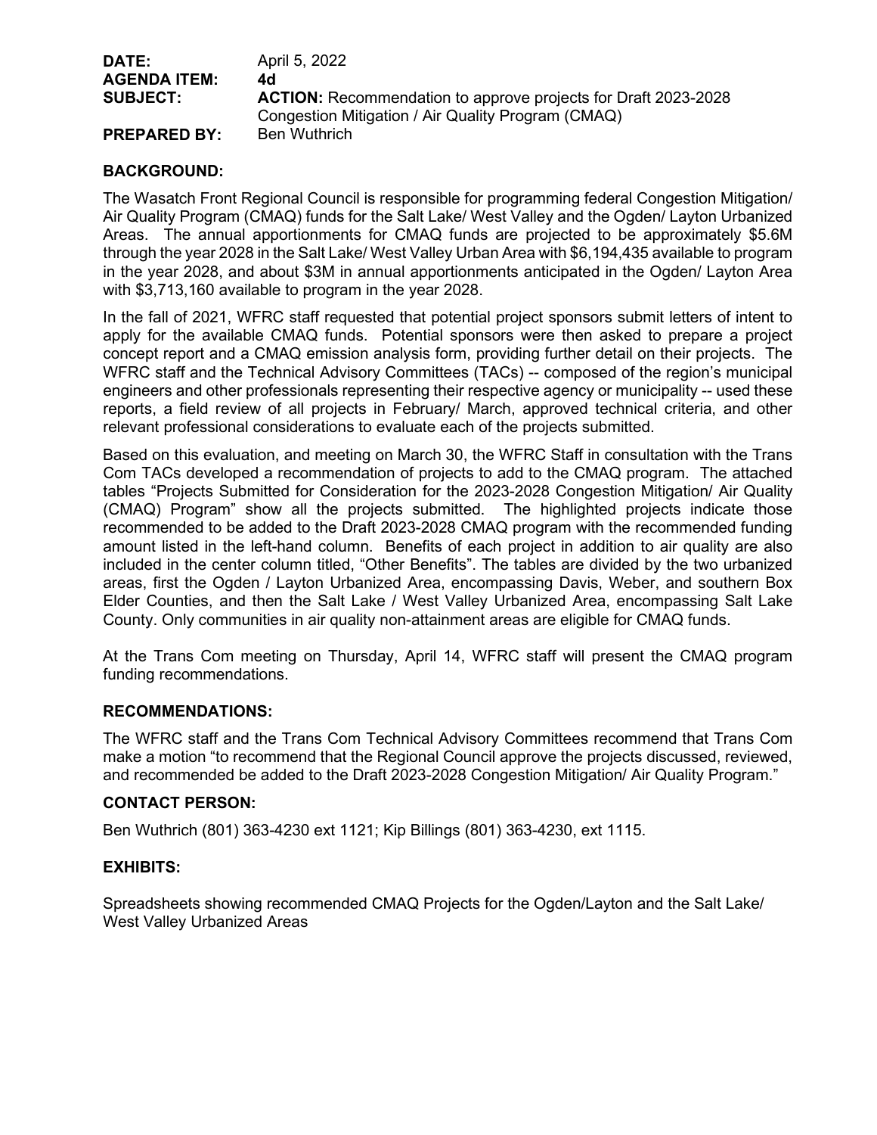| DATE:<br><b>AGENDA ITEM:</b> | April 5, 2022<br>4d                                                   |
|------------------------------|-----------------------------------------------------------------------|
| <b>SUBJECT:</b>              | <b>ACTION:</b> Recommendation to approve projects for Draft 2023-2028 |
|                              | Congestion Mitigation / Air Quality Program (CMAQ)                    |
| <b>PREPARED BY:</b>          | <b>Ben Wuthrich</b>                                                   |

## **BACKGROUND:**

The Wasatch Front Regional Council is responsible for programming federal Congestion Mitigation/ Air Quality Program (CMAQ) funds for the Salt Lake/ West Valley and the Ogden/ Layton Urbanized Areas. The annual apportionments for CMAQ funds are projected to be approximately \$5.6M through the year 2028 in the Salt Lake/ West Valley Urban Area with \$6,194,435 available to program in the year 2028, and about \$3M in annual apportionments anticipated in the Ogden/ Layton Area with \$3,713,160 available to program in the year 2028.

In the fall of 2021, WFRC staff requested that potential project sponsors submit letters of intent to apply for the available CMAQ funds. Potential sponsors were then asked to prepare a project concept report and a CMAQ emission analysis form, providing further detail on their projects. The WFRC staff and the Technical Advisory Committees (TACs) -- composed of the region's municipal engineers and other professionals representing their respective agency or municipality -- used these reports, a field review of all projects in February/ March, approved technical criteria, and other relevant professional considerations to evaluate each of the projects submitted.

Based on this evaluation, and meeting on March 30, the WFRC Staff in consultation with the Trans Com TACs developed a recommendation of projects to add to the CMAQ program. The attached tables "Projects Submitted for Consideration for the 2023-2028 Congestion Mitigation/ Air Quality (CMAQ) Program" show all the projects submitted. The highlighted projects indicate those recommended to be added to the Draft 2023-2028 CMAQ program with the recommended funding amount listed in the left-hand column. Benefits of each project in addition to air quality are also included in the center column titled, "Other Benefits". The tables are divided by the two urbanized areas, first the Ogden / Layton Urbanized Area, encompassing Davis, Weber, and southern Box Elder Counties, and then the Salt Lake / West Valley Urbanized Area, encompassing Salt Lake County. Only communities in air quality non-attainment areas are eligible for CMAQ funds.

At the Trans Com meeting on Thursday, April 14, WFRC staff will present the CMAQ program funding recommendations.

## **RECOMMENDATIONS:**

The WFRC staff and the Trans Com Technical Advisory Committees recommend that Trans Com make a motion "to recommend that the Regional Council approve the projects discussed, reviewed, and recommended be added to the Draft 2023-2028 Congestion Mitigation/ Air Quality Program."

## **CONTACT PERSON:**

Ben Wuthrich (801) 363-4230 ext 1121; Kip Billings (801) 363-4230, ext 1115.

## **EXHIBITS:**

Spreadsheets showing recommended CMAQ Projects for the Ogden/Layton and the Salt Lake/ West Valley Urbanized Areas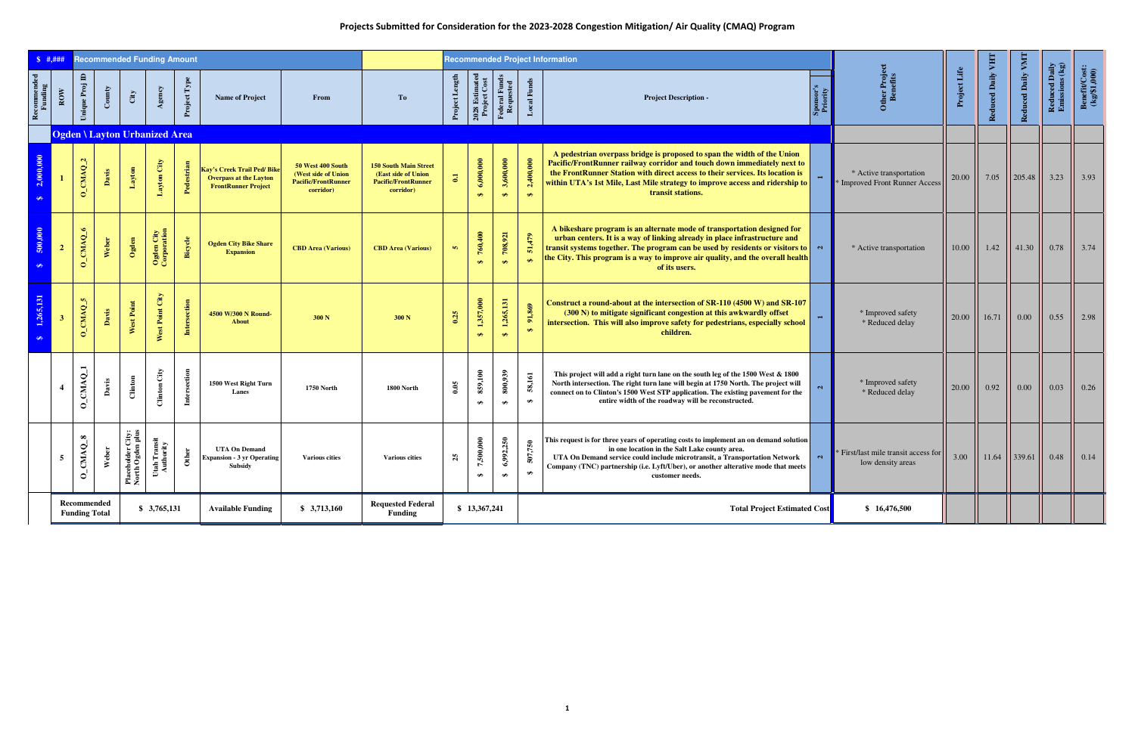## **Projects Submitted for Consideration for the 2023-2028 Congestion Mitigation/ Air Quality (CMAQ) Program**

| \$  # .# # #           |                         |                                     |        |                                       | <b>Recommended Funding Amount</b>    |              |                                                                                                  |                                                                                            |                                                                                                |                |                                |                                    |                             | <b>Recommended Project Information</b>                                                                                                                                                                                                                                                                                                          |              |                                                           |              |                   |                   |                                         |                                                  |
|------------------------|-------------------------|-------------------------------------|--------|---------------------------------------|--------------------------------------|--------------|--------------------------------------------------------------------------------------------------|--------------------------------------------------------------------------------------------|------------------------------------------------------------------------------------------------|----------------|--------------------------------|------------------------------------|-----------------------------|-------------------------------------------------------------------------------------------------------------------------------------------------------------------------------------------------------------------------------------------------------------------------------------------------------------------------------------------------|--------------|-----------------------------------------------------------|--------------|-------------------|-------------------|-----------------------------------------|--------------------------------------------------|
| Recommended<br>Funding | ROW                     | $\mathbf{a}$<br>Unique Proj         | County | City                                  | Agency                               | Project Type | <b>Name of Project</b>                                                                           | From                                                                                       | To                                                                                             | Project Length | 2028 Estimated<br>Project Cost | Federal Funds<br>Requested         | <b>Local Funds</b>          | <b>Project Description -</b>                                                                                                                                                                                                                                                                                                                    | Spon<br>Prio | Other Project<br>Benefits                                 | Project Life | Reduced Daily VHT | Reduced Daily VMT | <b>Reduced Daily<br/>Emissions (kg)</b> | $\frac{\text{BenefttCost:}}{\text{(kg/$1,000)}}$ |
|                        |                         |                                     |        |                                       | <b>Ogden \ Layton Urbanized Area</b> |              |                                                                                                  |                                                                                            |                                                                                                |                |                                |                                    |                             |                                                                                                                                                                                                                                                                                                                                                 |              |                                                           |              |                   |                   |                                         |                                                  |
| 2,000,000<br>$\bullet$ |                         | $O$ <sub>CMAQ</sub> <sub>2</sub>    | Davis  | Layton                                | Layton City                          | Pedestrian   | <b>Kay's Creek Trail Ped/Bike</b><br><b>Overpass at the Layton</b><br><b>FrontRunner Project</b> | 50 West 400 South<br><b>(West side of Union</b><br><b>Pacific/FrontRunner</b><br>corridor) | <b>150 South Main Street</b><br>(East side of Union<br><b>Pacific/FrontRunner</b><br>corridor) | $\overline{a}$ | 6,000,000<br>$\Theta$          | 3,600,000<br>$\leftrightarrow$     | 2,400,000<br>$\bullet$      | A pedestrian overpass bridge is proposed to span the width of the Union<br><b>Pacific/FrontRunner railway corridor and touch down immediately next to</b><br>the FrontRunner Station with direct access to their services. Its location is<br>within UTA's 1st Mile, Last Mile strategy to improve access and ridership to<br>transit stations. |              | * Active transportation<br>* Improved Front Runner Access | 20.00        | 7.05              | 205.48            | 3.23                                    | 3.93                                             |
| 500,000<br>$\bullet$   | $\overline{\mathbf{2}}$ | O_CMAQ_6                            | Weber  | $_{\rm Ogden}$                        | Ogden City<br>Corporation            | Bicycle      | <b>Ogden City Bike Share</b><br><b>Expansion</b>                                                 | <b>CBD Area (Various)</b>                                                                  | <b>CBD</b> Area (Various)                                                                      | <b>In</b>      | 760,400<br>$\leftrightarrow$   | 708,921<br>$\overline{\Theta}$     | 51,479<br>$\leftrightarrow$ | A bikeshare program is an alternate mode of transportation designed for<br>urban centers. It is a way of linking already in place infrastructure and<br>transit systems together. The program can be used by residents or visitors to<br>the City. This program is a way to improve air quality, and the overall health<br>of its users.        | $\mathbf{N}$ | * Active transportation                                   | 10.00        | 1.42              | 41.30             | 0.78                                    | 3.74                                             |
| 1,265,131<br>$\bullet$ | $\overline{3}$          | O_CMAQ_5                            | Davis  | <b>West Point</b>                     | West Point City                      | Intersection | 4500 W/300 N Round-<br><b>About</b>                                                              | 300 N                                                                                      | 300 N                                                                                          | 0.25           | 1,357,000<br>$\leftrightarrow$ | 1,265,131<br>$\leftrightarrow$     | 91,869<br>$\leftrightarrow$ | Construct a round-about at the intersection of SR-110 (4500 W) and SR-107<br>(300 N) to mitigate significant congestion at this awkwardly offset<br>intersection. This will also improve safety for pedestrians, especially school<br>children.                                                                                                 |              | * Improved safety<br>* Reduced delay                      | 20.00        | 16.71             | 0.00              | 0.55                                    | 2.98                                             |
|                        |                         | O_CMAQ_1                            | Davis  | Climcon                               | Clinton City                         | Intersection | 1500 West Right Turn<br><b>Lanes</b>                                                             | <b>1750 North</b>                                                                          | 1800 North                                                                                     | 0.05           | 859,100<br>$\bullet$           | 800,939<br>$\overline{\mathbf{v}}$ | 58,161<br>$\Theta$          | This project will add a right turn lane on the south leg of the 1500 West & 1800<br>North intersection. The right turn lane will begin at 1750 North. The project will<br>connect on to Clinton's 1500 West STP application. The existing pavement for the<br>entire width of the roadway will be reconstructed.                                |              | * Improved safety<br>* Reduced delay                      | 20.00        | 0.92              | 0.00              | 0.03                                    | 0.26                                             |
|                        | 5                       | $O$ <sub>CMAQ</sub> $8$             | Weber  | Placeholder City:<br>North Ogden plus | Utah Transit<br>Authority            | Other        | <b>UTA On Demand</b><br><b>Expansion - 3 yr Operating</b><br><b>Subsidy</b>                      | <b>Various cities</b>                                                                      | <b>Various cities</b>                                                                          | 25             | 7,500,000<br>$\bullet$         | 6,992,250<br>$\clubsuit$           | 507,750<br>$\bullet$        | This request is for three years of operating costs to implement an on demand solution<br>in one location in the Salt Lake county area.<br>UTA On Demand service could include microtransit, a Transportation Network<br>Company (TNC) partnership (i.e. Lyft/Uber), or another alterative mode that meets<br>customer needs.                    | $\mathbf{N}$ | First/last mile transit access for<br>low density areas   | 3.00         | 11.64             | 339.61            | 0.48                                    | 0.14                                             |
|                        |                         | Recommended<br><b>Funding Total</b> |        |                                       | \$3,765,131                          |              | <b>Available Funding</b>                                                                         | \$3,713,160                                                                                | <b>Requested Federal</b><br><b>Funding</b>                                                     |                | \$13,367,241                   |                                    |                             | <b>Total Project Estimated Cost</b>                                                                                                                                                                                                                                                                                                             |              | \$16,476,500                                              |              |                   |                   |                                         |                                                  |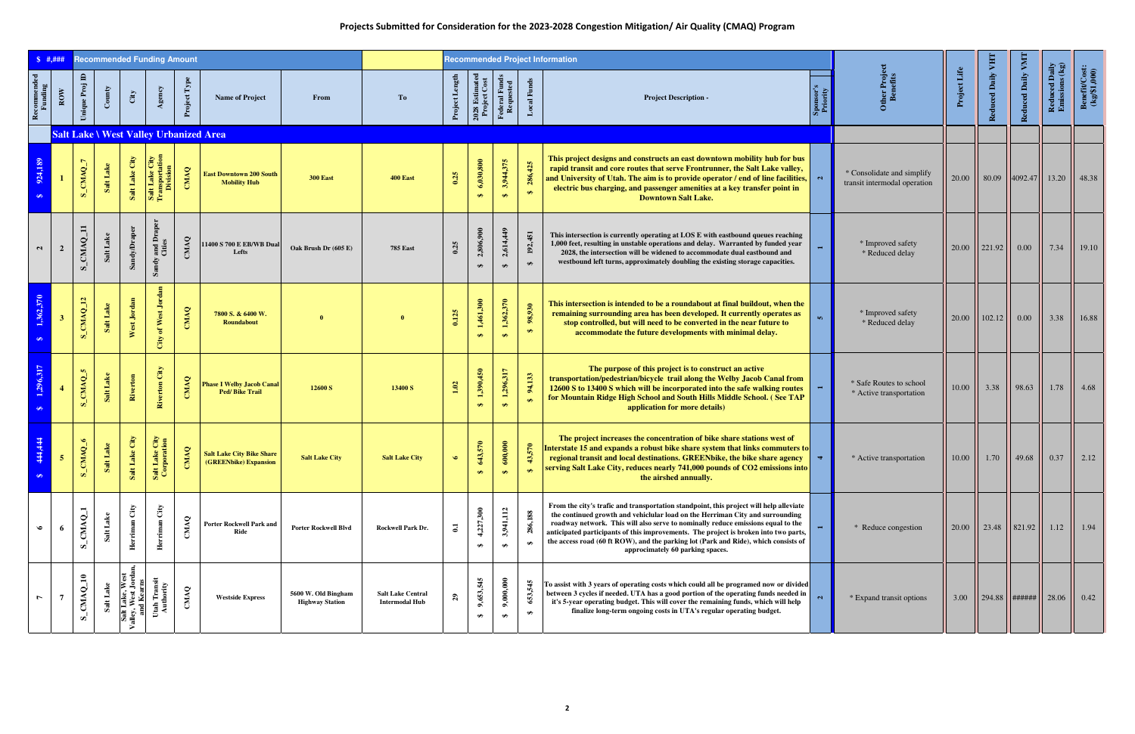## **Projects Submitted for Consideration for the 2023-2028 Congestion Mitigation/ Air Quality (CMAQ) Program**

|                          | \$  #. # # #   |                         |                     |                                                      | <b>Recommended Funding Amount</b>                               |              |                                                           |                                               |                                                   |                            |                                |                                |                               | <b>Recommended Project Information</b>                                                                                                                                                                                                                                                                                                                                                                                                                                         |                |                                                            |              |                    |                   |                                 |                                                   |
|--------------------------|----------------|-------------------------|---------------------|------------------------------------------------------|-----------------------------------------------------------------|--------------|-----------------------------------------------------------|-----------------------------------------------|---------------------------------------------------|----------------------------|--------------------------------|--------------------------------|-------------------------------|--------------------------------------------------------------------------------------------------------------------------------------------------------------------------------------------------------------------------------------------------------------------------------------------------------------------------------------------------------------------------------------------------------------------------------------------------------------------------------|----------------|------------------------------------------------------------|--------------|--------------------|-------------------|---------------------------------|---------------------------------------------------|
| Recommended<br>Funding   | $_{\rm{Row}}$  | Unique Proj ID          | $\mathbf{Country}$  | City                                                 | Agency                                                          | Project Type | <b>Name of Project</b>                                    | From                                          | To                                                | Project Len                | 2028 Estimated<br>Project Cost | Federal Funds<br>Requested     | <b>Local Funds</b>            | <b>Project Description -</b>                                                                                                                                                                                                                                                                                                                                                                                                                                                   |                | Other Projec<br>Benefits                                   | Project Life | Reduced Daily VHT  | Reduced Daily VMT | Reduced Daily<br>Emissions (kg) | $\frac{\text{BenefttCost:}}{\text{(kg/\$1,000)}}$ |
|                          |                |                         |                     |                                                      |                                                                 |              | <b>Salt Lake \ West Valley Urbanized Area</b>             |                                               |                                                   |                            |                                |                                |                               |                                                                                                                                                                                                                                                                                                                                                                                                                                                                                |                |                                                            |              |                    |                   |                                 |                                                   |
| 924,189<br>$\bullet$     |                | S_CMAQ_7                | Salt Lake           | Salt Lake City                                       | <b>It Lake City</b><br>nnsportation<br>Division<br>Salt<br>Tran | CMAQ         | <b>East Downtown 200 South</b><br><b>Mobility Hub</b>     | <b>300 East</b>                               | 400 East                                          | 0.25                       | 6,030,800<br>$\leftrightarrow$ | 3,944,375<br>$\leftrightarrow$ | 286,425<br>$\bullet$          | This project designs and constructs an east downtown mobility hub for bus<br>rapid transit and core routes that serve Frontrunner, the Salt Lake valley,<br>and University of Utah. The aim is to provide operator / end of line facilities, $  \cdot  $<br>electric bus charging, and passenger amenities at a key transfer point in<br><b>Downtown Salt Lake.</b>                                                                                                            |                | * Consolidate and simplify<br>transit intermodal operation | 20.00        | 80.09              | 4092.47           | 13.20                           | 48.38                                             |
| $\mathbf{a}$             | $\overline{2}$ | S_CMAQ_11               | Salt Lake           | Sandy/Draper                                         | and Draper<br>Cities<br>Sandy                                   | CMAQ         | 1400 S 700 E EB/WB Dual<br>Lefts                          | Oak Brush Dr (605 E)                          | <b>785 East</b>                                   | 0.25                       | 2,806,900<br>$\bigoplus$       | 2,614,449<br>$\bigoplus$       | 192,451<br>$\bigoplus$        | This intersection is currently operating at LOS E with eastbound queues reaching<br>1,000 feet, resulting in unstable operations and delay. Warranted by funded year<br>2028, the intersection will be widened to accommodate dual eastbound and<br>westbound left turns, approximately doubling the existing storage capacities.                                                                                                                                              |                | * Improved safety<br>* Reduced delay                       | 20.00        | $\frac{1}{221.92}$ | 0.00              | 7.34                            | 19.10                                             |
| 1,362,370<br>$\Theta$    |                | S_CMAQ_12               | Salt Lake           | West Jordan                                          | City of West Jordan                                             | CMAQ         | 7800 S. & 6400 W.<br>Roundabout                           |                                               |                                                   | 0.125                      | 1,461,300<br>$\leftrightarrow$ | 1,362,370<br>$\leftrightarrow$ | 98,930<br>$\overline{\Theta}$ | This intersection is intended to be a roundabout at final buildout, when the<br>remaining surrounding area has been developed. It currently operates as<br>stop controlled, but will need to be converted in the near future to<br>accommodate the future developments with minimal delay.                                                                                                                                                                                     |                | * Improved safety<br>* Reduced delay                       | 20.00        | 102.12             | $0.00\,$          | 3.38                            | 16.88                                             |
| 1,296,317<br>$\clubsuit$ |                | S_CMAQ_5                | Salt Lake           | Riverton                                             | Riverton City                                                   | CMAQ         | <b>Phase I Welby Jacob Canal</b><br><b>Ped/Bike Trail</b> | 12600 S                                       | 13400 S                                           | 1.02                       | 1,390,450<br>$\leftrightarrow$ | 1,296,317<br>$\leftrightarrow$ | 94,133<br>$\leftrightarrow$   | The purpose of this project is to construct an active<br>transportation/pedestrian/bicycle trail along the Welby Jacob Canal from<br>12600 S to 13400 S which will be incorporated into the safe walking routes<br>for Mountain Ridge High School and South Hills Middle School. (See TAP<br>application for more details)                                                                                                                                                     |                | * Safe Routes to school<br>* Active transportation         | 10.00        | 3.38               | 98.63             | 1.78                            | 4.68                                              |
| 444,444<br>$\bullet$     | 5 <sub>5</sub> | MAQ_6<br>$S_{\text{C}}$ | lt Lake<br>$S_{al}$ | ake City<br>Salt L                                   | ake City<br>poration<br>Salt L                                  | CMAQ         | <b>Salt Lake City Bike Share</b><br>(GREENbike) Expansion | <b>Salt Lake City</b>                         | <b>Salt Lake City</b>                             | $\bullet$                  | 43,570<br>$\leftrightarrow$    | 00,000<br>$\leftrightarrow$    | 43,570                        | The project increases the concentration of bike share stations west of<br>Interstate 15 and expands a robust bike share system that links commuters to<br>regional transit and local destinations. GREENbike, the bike share agency<br>serving Salt Lake City, reduces nearly 741,000 pounds of CO2 emissions into<br>the airshed annually.                                                                                                                                    | $\overline{a}$ | * Active transportation                                    | 10.00        | 1.70               | 49.68             | 0.37                            | 2.12                                              |
| $\bullet$                |                | S_CMAQ_1                | Salt Lake           | Herriman City                                        | Herriman City                                                   | CMAQ         | <b>Porter Rockwell Park and</b><br>Ride                   | <b>Porter Rockwell Blvd</b>                   | Rockwell Park Dr.                                 | $\mathbf{c}$               | 4,227,300<br>₩                 | 3,941,112<br>₩                 | 286,188<br>$\bullet$          | From the city's trafic and transportation standpoint, this project will help alleviate<br>the continued growth and vehiclular load on the Herriman City and surrounding<br>roadway network. This will also serve to nominally reduce emissions equal to the<br>anticipated participants of this improvements. The project is broken into two parts,<br>the access road (60 ft ROW), and the parking lot (Park and Ride), which consists of<br>approcimately 60 parking spaces. |                | * Reduce congestion                                        |              | $20.00$   23.48    | 821.92            | 1.12                            | 1.94                                              |
|                          |                | S_CMAQ_10               | Salt Lake           | Salt Lake, West<br>Valley, West Jordan<br>and Kearns | Utah Transit<br>Authority                                       | CMAQ         | <b>Westside Express</b>                                   | 5600 W. Old Bingham<br><b>Highway Station</b> | <b>Salt Lake Central</b><br><b>Intermodal Hub</b> | $\boldsymbol{\mathcal{E}}$ | 9,653,545<br>$\bullet$         | 9,000,000<br>₩                 | 653,545<br>$\bullet$          | To assist with 3 years of operating costs which could all be programed now or divided<br>between 3 cycles if needed. UTA has a good portion of the operating funds needed in<br>it's 5-year operating budget. This will cover the remaining funds, which will help<br>finalize long-term ongoing costs in UTA's regular operating budget.                                                                                                                                      |                | * Expand transit options                                   | 3.00         | 294.88             | ######            | 28.06                           | 0.42                                              |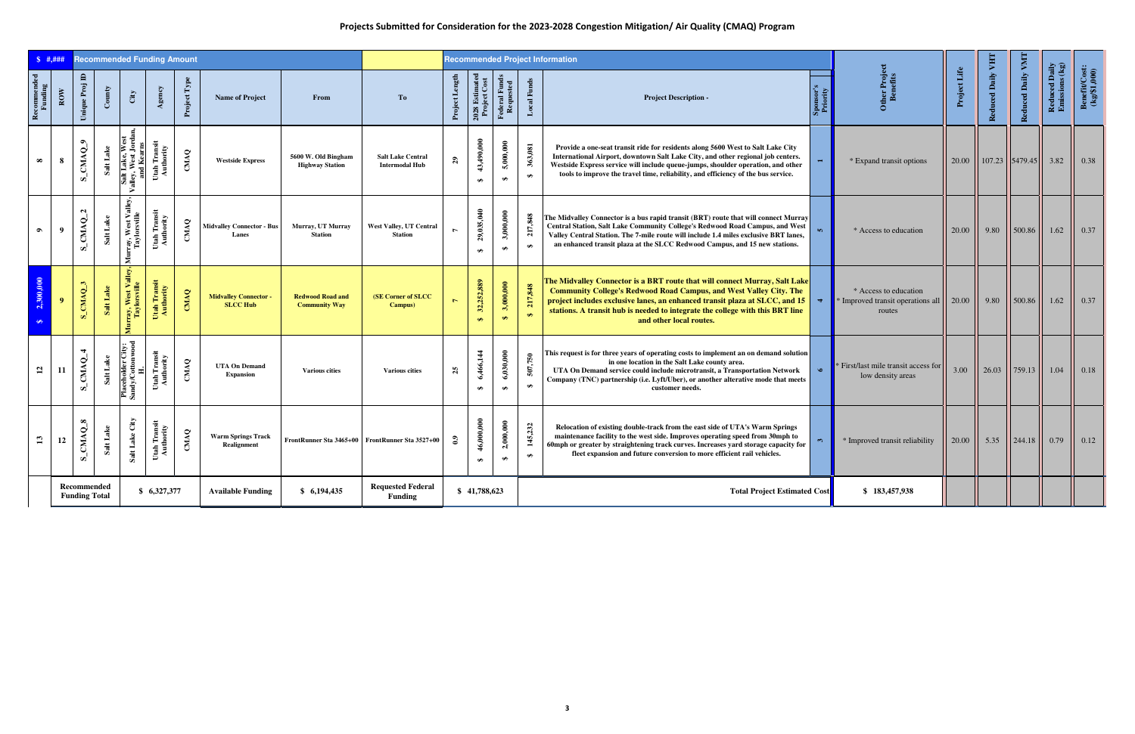## **Projects Submitted for Consideration for the 2023-2028 Congestion Mitigation/ Air Quality (CMAQ) Program**

| $\frac{1}{2}$ #.###                    |                |                                     |                 |                                                       | <b>Recommended Funding Amount</b> |              |                                               |                                                 |                                                   |                  |                                     |                                |                              | <b>Recommended Project Information</b>                                                                                                                                                                                                                                                                                                             |                      |                                                                      |              |                   |                   |                                 |                                                  |
|----------------------------------------|----------------|-------------------------------------|-----------------|-------------------------------------------------------|-----------------------------------|--------------|-----------------------------------------------|-------------------------------------------------|---------------------------------------------------|------------------|-------------------------------------|--------------------------------|------------------------------|----------------------------------------------------------------------------------------------------------------------------------------------------------------------------------------------------------------------------------------------------------------------------------------------------------------------------------------------------|----------------------|----------------------------------------------------------------------|--------------|-------------------|-------------------|---------------------------------|--------------------------------------------------|
| ${\bf Re}{\bf {commented}}$<br>Funding | $_{\rm{Row}}$  | $\blacksquare$<br>Unique Proj       | $_{\rm Comity}$ | City                                                  | Agency                            | Project Type | <b>Name of Project</b>                        | From                                            | To                                                | Project Length   | $2028$ Estimated $\rm Project~Cost$ | Federal Funds<br>Requested     | <b>Local Funds</b>           | <b>Project Description -</b>                                                                                                                                                                                                                                                                                                                       | Spon<br>Prio         | Other Project<br>Benefits                                            | Project Life | Reduced Daily VHT | Reduced Daily VMT | Reduced Daily<br>Emissions (kg) | $\frac{\text{BenefttCost:}}{\text{(kg/$1,000)}}$ |
| $\infty$                               | 8              | S_CMAQ_9                            | Salt Lake       | Salt Lake, West<br>Valley, West Jordan,<br>and Kearns | Utah Transit<br>Authority         | CMAQ         | <b>Westside Express</b>                       | 5600 W. Old Bingham<br><b>Highway Station</b>   | <b>Salt Lake Central</b><br><b>Intermodal Hub</b> | 29               | 43,490,000<br>$\bullet$             | 5,000,000<br>$\clubsuit$       | 363,081<br>$\leftrightarrow$ | Provide a one-seat transit ride for residents along 5600 West to Salt Lake City<br>International Airport, downtown Salt Lake City, and other regional job centers.<br>Westside Express service will include queue-jumps, shoulder operation, and other<br>tools to improve the travel time, reliability, and efficiency of the bus service.        |                      | * Expand transit options                                             | 20.00        |                   | $107.23$ 5479.45  | 3.82                            | 0.38                                             |
| $\bullet$                              | - 9            | $S_C M A Q_2$                       | Salt Lake       | Murray, West Valley,<br>Taylorsville                  | Utah Transit<br>Authority         | CMAQ         | <b>Midvalley Connector - Bus</b><br>Lanes     | Murray, UT Murray<br><b>Station</b>             | <b>West Valley, UT Central</b><br><b>Station</b>  |                  | 29,035,040<br>$\bullet$             | 3,000,000<br>₩                 | 217,848<br>$\Theta$          | The Midvalley Connector is a bus rapid transit (BRT) route that will connect Murray<br>Central Station, Salt Lake Community College's Redwood Road Campus, and West<br>Valley Central Station. The 7-mile route will include 1.4 miles exclusive BRT lanes,<br>an enhanced transit plaza at the SLCC Redwood Campus, and 15 new stations.          |                      | * Access to education                                                | 20.00        | 9.80              | 500.86            | 1.62                            | 0.37                                             |
| 2,300,000<br>$\bullet$                 | $\overline{9}$ | S_CMAQ_3                            | Salt Lake       | Murray, West Valley,<br>Taylorsville                  | Utah Transit<br>Authority         | CMAQ         | <b>Midvalley Connector</b><br><b>SLCC Hub</b> | <b>Redwood Road and</b><br><b>Community Way</b> | <b>(SE Corner of SLCC)</b><br>Campus)             | $\triangleright$ | 32,252,889<br>$\leftrightarrow$     | 3,000,000<br>$\leftrightarrow$ | 217,848<br>$\leftrightarrow$ | The Midvalley Connector is a BRT route that will connect Murray, Salt Lake<br><b>Community College's Redwood Road Campus, and West Valley City. The</b><br>project includes exclusive lanes, an enhanced transit plaza at SLCC, and 15<br>stations. A transit hub is needed to integrate the college with this BRT line<br>and other local routes. | $\blacktriangleleft$ | * Access to education<br>* Improved transit operations all<br>routes | 20.00        | 9.80              | 500.86            | 1.62                            | 0.37                                             |
| $\mathbf{5}$                           | -11            | S_CMAQ_4                            | Salt Lake       | Placeholder City:<br>Sandy/Cottonwood<br>H.           | Utah Transit<br>Authority         | CMAQ         | <b>UTA On Demand</b><br><b>Expansion</b>      | <b>Various cities</b>                           | <b>Various cities</b>                             | 25               | 6,466,144<br>$\bullet$              | 6,030,000<br>$\clubsuit$       | 507,750<br>$\bullet$         | This request is for three years of operating costs to implement an on demand solution<br>in one location in the Salt Lake county area.<br>UTA On Demand service could include microtransit, a Transportation Network<br>Company (TNC) partnership (i.e. Lyft/Uber), or another alterative mode that meets<br>customer needs.                       | $\bullet$            | First/last mile transit access for<br>low density areas              | 3.00         | 26.03             | 759.13            | 1.04                            | 0.18                                             |
| $\mathbf{r}$                           | 12             | S_CMAQ_8                            | Salt Lake       | Salt Lake City                                        | Utah Transit<br>Authority         | CMAQ         | <b>Warm Springs Track</b><br>Realignment      |                                                 | FrontRunner Sta 3465+00 FrontRunner Sta 3527+00   | $\mathbf{c}$     | 46,000,000<br>$\bullet$             | 2,000,000<br>₩                 | 145,232<br>$\Theta$          | Relocation of existing double-track from the east side of UTA's Warm Springs<br>maintenance facility to the west side. Improves operating speed from 30mph to<br>60mph or greater by straightening track curves. Increases yard storage capacity for<br>fleet expansion and future conversion to more efficient rail vehicles.                     |                      | * Improved transit reliability                                       | 20.00        | 5.35              | 244.18            | 0.79                            | 0.12                                             |
|                                        |                | Recommended<br><b>Funding Total</b> |                 |                                                       | \$6,327,377                       |              | <b>Available Funding</b>                      | \$6,194,435                                     | <b>Requested Federal</b><br><b>Funding</b>        |                  | \$41,788,623                        |                                |                              | <b>Total Project Estimated Cost</b>                                                                                                                                                                                                                                                                                                                |                      | \$183,457,938                                                        |              |                   |                   |                                 |                                                  |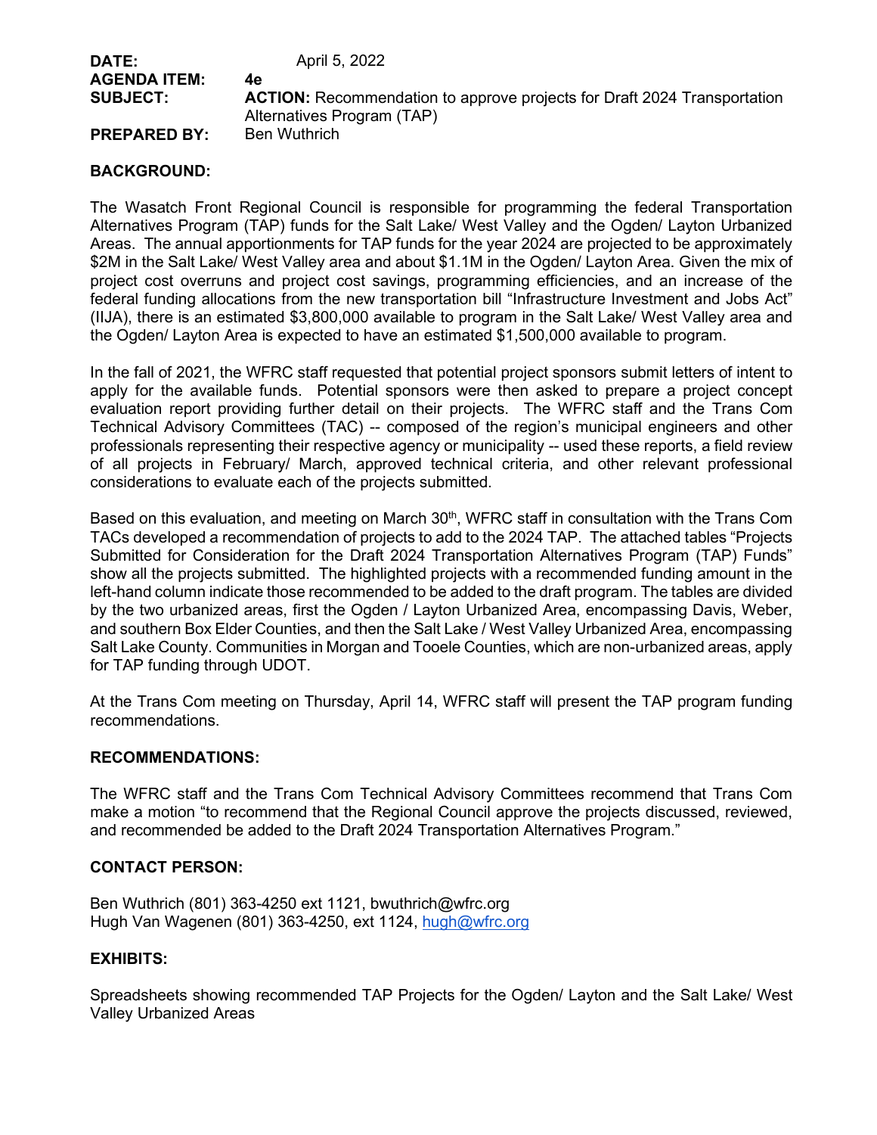| <b>DATE:</b>        | April 5, 2022                                                                   |
|---------------------|---------------------------------------------------------------------------------|
| <b>AGENDA ITEM:</b> | 4e                                                                              |
| <b>SUBJECT:</b>     | <b>ACTION:</b> Recommendation to approve projects for Draft 2024 Transportation |
|                     | Alternatives Program (TAP)                                                      |
| <b>PREPARED BY:</b> | Ben Wuthrich                                                                    |

## **BACKGROUND:**

The Wasatch Front Regional Council is responsible for programming the federal Transportation Alternatives Program (TAP) funds for the Salt Lake/ West Valley and the Ogden/ Layton Urbanized Areas. The annual apportionments for TAP funds for the year 2024 are projected to be approximately \$2M in the Salt Lake/ West Valley area and about \$1.1M in the Ogden/ Layton Area. Given the mix of project cost overruns and project cost savings, programming efficiencies, and an increase of the federal funding allocations from the new transportation bill "Infrastructure Investment and Jobs Act" (IIJA), there is an estimated \$3,800,000 available to program in the Salt Lake/ West Valley area and the Ogden/ Layton Area is expected to have an estimated \$1,500,000 available to program.

In the fall of 2021, the WFRC staff requested that potential project sponsors submit letters of intent to apply for the available funds. Potential sponsors were then asked to prepare a project concept evaluation report providing further detail on their projects. The WFRC staff and the Trans Com Technical Advisory Committees (TAC) -- composed of the region's municipal engineers and other professionals representing their respective agency or municipality -- used these reports, a field review of all projects in February/ March, approved technical criteria, and other relevant professional considerations to evaluate each of the projects submitted.

Based on this evaluation, and meeting on March 30<sup>th</sup>, WFRC staff in consultation with the Trans Com TACs developed a recommendation of projects to add to the 2024 TAP. The attached tables "Projects Submitted for Consideration for the Draft 2024 Transportation Alternatives Program (TAP) Funds" show all the projects submitted. The highlighted projects with a recommended funding amount in the left-hand column indicate those recommended to be added to the draft program. The tables are divided by the two urbanized areas, first the Ogden / Layton Urbanized Area, encompassing Davis, Weber, and southern Box Elder Counties, and then the Salt Lake / West Valley Urbanized Area, encompassing Salt Lake County. Communities in Morgan and Tooele Counties, which are non-urbanized areas, apply for TAP funding through UDOT.

At the Trans Com meeting on Thursday, April 14, WFRC staff will present the TAP program funding recommendations.

## **RECOMMENDATIONS:**

The WFRC staff and the Trans Com Technical Advisory Committees recommend that Trans Com make a motion "to recommend that the Regional Council approve the projects discussed, reviewed, and recommended be added to the Draft 2024 Transportation Alternatives Program."

#### **CONTACT PERSON:**

Ben Wuthrich (801) 363-4250 ext 1121, bwuthrich@wfrc.org Hugh Van Wagenen (801) 363-4250, ext 1124, [hugh@wfrc.org](mailto:hugh@wfrc.org)

#### **EXHIBITS:**

Spreadsheets showing recommended TAP Projects for the Ogden/ Layton and the Salt Lake/ West Valley Urbanized Areas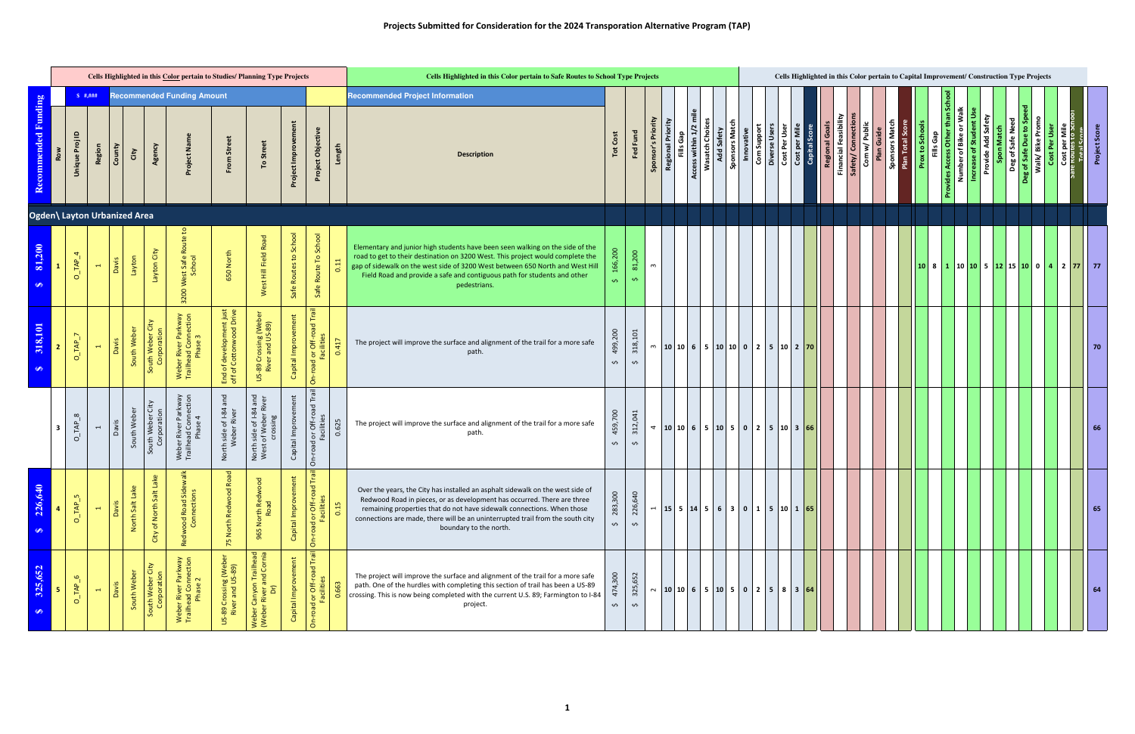|                        |                                     |                              |        |                    |                                       | Cells Highlighted in this Color pertain to Studies/ Planning Type Projects |                                                     |                                                                    |                        |                                                                                  |                | Cells Highlighted in this Color pertain to Safe Routes to School Type Projects                                                                                                                                                                                                                                                                  |                               |                               |                    |                                       |                        |                        |                              |                           |               |                                              |                                |                                         | Cells Highlighted in this Color pertain to Capital Improvement/ Construction Type Projects |                             |                                  |                        |                                                      |                               |                    |                  |                                            |               |                                                 |                      |
|------------------------|-------------------------------------|------------------------------|--------|--------------------|---------------------------------------|----------------------------------------------------------------------------|-----------------------------------------------------|--------------------------------------------------------------------|------------------------|----------------------------------------------------------------------------------|----------------|-------------------------------------------------------------------------------------------------------------------------------------------------------------------------------------------------------------------------------------------------------------------------------------------------------------------------------------------------|-------------------------------|-------------------------------|--------------------|---------------------------------------|------------------------|------------------------|------------------------------|---------------------------|---------------|----------------------------------------------|--------------------------------|-----------------------------------------|--------------------------------------------------------------------------------------------|-----------------------------|----------------------------------|------------------------|------------------------------------------------------|-------------------------------|--------------------|------------------|--------------------------------------------|---------------|-------------------------------------------------|----------------------|
|                        |                                     | \$  #. # ##                  |        |                    |                                       | <b>Recommended Funding Amount</b>                                          |                                                     |                                                                    |                        |                                                                                  |                | <b>Recommended Project Information</b>                                                                                                                                                                                                                                                                                                          |                               |                               |                    |                                       |                        |                        |                              |                           |               |                                              |                                |                                         |                                                                                            |                             |                                  |                        |                                                      |                               |                    |                  |                                            |               |                                                 |                      |
| Recommended Funding    | $\mathbf{r}$<br>Unique Proj         | Region                       | County | City               | Agency                                | Project Nar                                                                | From Street                                         | To Street                                                          | Project Improvement    | Project Objective                                                                | Length         | <b>Description</b>                                                                                                                                                                                                                                                                                                                              |                               | Fed Fund                      | Sponsor's Priority | <b>Regional Priority</b><br>Fills Gap | Ē<br>Access within 1/2 | <b>Wasatch Choices</b> | Add Safety<br>Sponsors Match | Com Support<br>Innovative | Diverse Users | Cost Per User                                | Cost per Mile<br>Capital Score | Regional Goals<br>Financial Feasibility | Safety/ Connectio                                                                          | Com w/ Public<br>Plan Guide | Sponsors Matu<br>Plan Total Scor | <b>Prox to Schools</b> | Number of Bike or Walk<br>than<br>ovides Access Othe | <b>Increase of Student Us</b> | Provide Add Safety | Deg of Safe Need | Walk/Bike Promo<br><b>g</b> of Safe Due to | Cost Per User | Cost per Mile<br>e Routes to Sci<br>Total Score | <b>Project Score</b> |
|                        |                                     | Ogden\ Layton Urbanized Area |        |                    |                                       |                                                                            |                                                     |                                                                    |                        |                                                                                  |                |                                                                                                                                                                                                                                                                                                                                                 |                               |                               |                    |                                       |                        |                        |                              |                           |               |                                              |                                |                                         |                                                                                            |                             |                                  |                        |                                                      |                               |                    |                  |                                            |               |                                                 |                      |
| 81,200<br>S            |                                     | $O\_TAP\_4$<br>$\leftarrow$  | Davis  | Layton             | Layton City                           | 3200 West Safe Route                                                       | 650 North                                           | West Hill Field Road                                               | Safe Routes to School  | Safe Route To School                                                             |                | Elementary and junior high students have been seen walking on the side of the<br>road to get to their destination on 3200 West. This project would complete the<br>gap of sidewalk on the west side of 3200 West between 650 North and West Hill<br>Field Road and provide a safe and contiguous path for students and other<br>pedestrians.    | $\mathbf{v}$                  | 81,200<br>$\mathbf{v}$        | ო                  |                                       |                        |                        |                              |                           |               |                                              |                                |                                         |                                                                                            |                             |                                  |                        |                                                      |                               |                    |                  |                                            |               |                                                 |                      |
| 318,101<br>$\bullet$   | $O$ <sub>IAP</sub> $_7$             | $\overline{ }$               | Davis  | South Weber        | South Weber City<br>Corporation       | Weber River Parkway<br>Trailhead Connection<br>Phase 3                     | End of development just<br>off of Cottonwood Drive  | US-89 Crossing (Weber<br>River and US-89)                          | Capital Improvement    | On-road or Off-road Trail<br>Facilities                                          | 0.417          | The project will improve the surface and alignment of the trail for a more safe<br>path.                                                                                                                                                                                                                                                        | 499,200<br>Ş                  | 318,101<br>$\hat{\mathbf{v}}$ | $\mathsf{m}$       |                                       |                        |                        |                              |                           |               | $ 10 10 6 5 10 10 0 2 5 10 2$ 70             |                                |                                         |                                                                                            |                             |                                  |                        |                                                      |                               |                    |                  |                                            |               |                                                 | 70                   |
|                        | $O$ <sub>IAP</sub> $8$<br>-3        | $\overline{ }$               | Davis  | South Weber        | City<br>South Weber Ci<br>Corporation | Weber River Parkway<br>Trailhead Connection<br>Phase 4                     | and<br>North side of I-84 a<br>Weber River          | North side of I-84 and<br>West of Weber River<br>crossing          | Capital Improvement    | On-road or Off-road Tra<br>Facilities                                            | 0.625          | The project will improve the surface and alignment of the trail for a more safe<br>path.                                                                                                                                                                                                                                                        | 459,700<br>$\mathbf{v}$       | 312,041<br>$\mathbf{v}$       |                    |                                       |                        |                        |                              |                           |               | $\frac{10}{10}$ 10 10 6 5 10 5 0 2 5 10 3 66 |                                |                                         |                                                                                            |                             |                                  |                        |                                                      |                               |                    |                  |                                            |               |                                                 | 66                   |
| 226,640<br>$\bigoplus$ | $O$ <sub><math>-MP</math></sub> $5$ | $\leftarrow$                 | Davis  | Lake<br>North Salt | ke<br>$S$ alt<br>City of North        | valk<br>Road Sid<br>Inections<br>$\frac{8}{9}$<br>Redw                     | beo<br>ood<br>North Redw<br>$\overline{5}$          | $\mathbf{\overline{o}}$<br>rth Re<br>Road<br>$\overline{2}$<br>965 | ŧ.<br>Capital Improvem | Trail<br>l or Off-road <sup>-</sup><br>Facilities<br>beo.<br>$\overline{\delta}$ | $\frac{15}{2}$ | Over the years, the City has installed an asphalt sidewalk on the west side of<br>Redwood Road in pieces, or as development has occurred. There are three<br>remaining properties that do not have sidewalk connections. When those<br>connections are made, there will be an uninterrupted trail from the south city<br>boundary to the north. | 283,300<br>Ş                  | 226,640<br>$\hat{\mathbf{v}}$ |                    |                                       |                        |                        |                              |                           |               |                                              |                                |                                         |                                                                                            |                             |                                  |                        |                                                      |                               |                    |                  |                                            |               |                                                 | 65                   |
| 325,652<br>$\bullet$   | $O$ <sub>IAP</sub> $_6$<br>-5.      | $\blacksquare$               | Davis  | South Weber        | City<br>South Weber Ci<br>Corporation | Weber River Parkway<br>Trailhead Connection<br>Phase 2                     | 9 Crossing (Weber<br>ver and US-89)<br><b>US-89</b> | Weber Canyon Trailhead<br>(Weber River and Cornia)<br>Dr)          | Capital Improvement    | Trail<br>ad or Off-road T<br>Facilities<br>$On$ -roa                             | $\circ$        | The project will improve the surface and alignment of the trail for a more safe<br>path. One of the hurdles with completing this section of trail has been a US-89<br>crossing. This is now being completed with the current U.S. 89; Farmington to I-84<br>project.                                                                            | 474,300<br>$\mathbf{\hat{v}}$ | 325,652<br>$\hat{\mathbf{v}}$ |                    |                                       |                        |                        |                              |                           |               | $\sim$ 10 10 6 5 10 5 0 2 5 8 3 64           |                                |                                         |                                                                                            |                             |                                  |                        |                                                      |                               |                    |                  |                                            |               |                                                 | 64                   |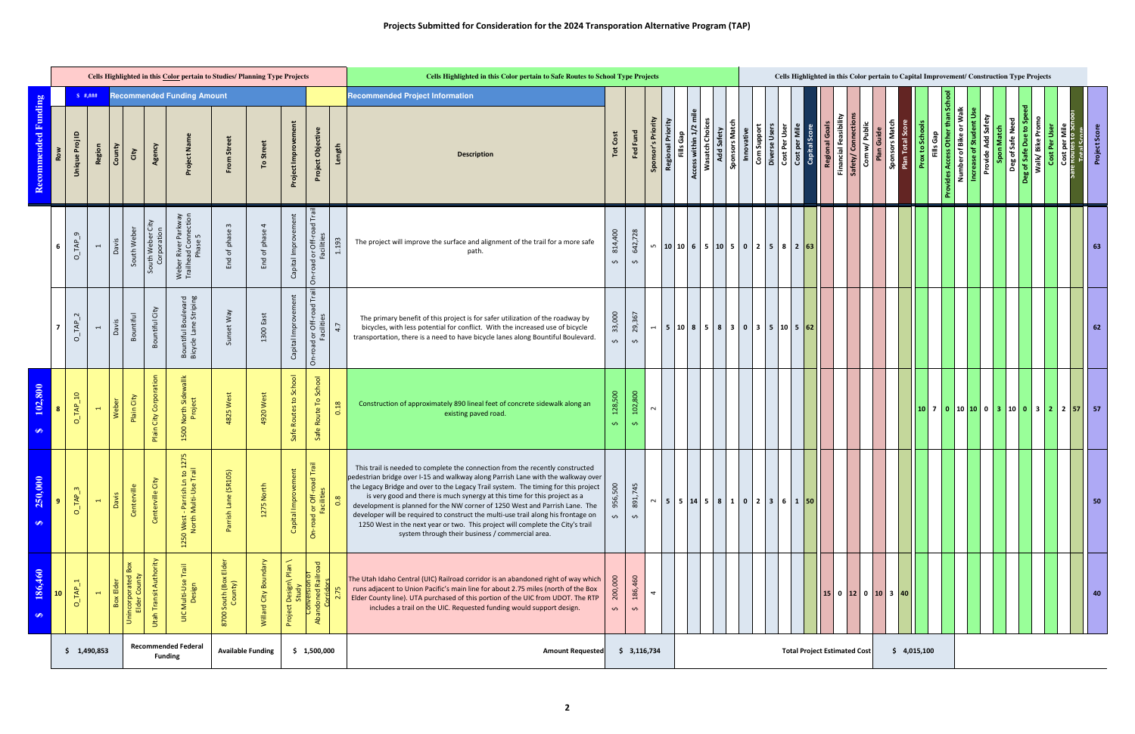|                                  |                |                                             |                          |                                                 |            |                                              | Cells Highlighted in this Color pertain to Studies/ Planning Type Projects |                                          |                                                                    |                                                              |                                                                           |        | Cells Highlighted in this Color pertain to Safe Routes to School Type Projects                                                                                                                                                                                                                                                                                                                                                                                                                                                                                                                                                                 |                                  |                               |                          |                                       |                                                          |                   |                              |             |                                |                                                        |                                         |                                    |            |                               | Cells Highlighted in this Color pertain to Capital Improvement/ Construction Type Projects |                                  |                        |                                               |                                                    |                 |                                                                                                                         |               |
|----------------------------------|----------------|---------------------------------------------|--------------------------|-------------------------------------------------|------------|----------------------------------------------|----------------------------------------------------------------------------|------------------------------------------|--------------------------------------------------------------------|--------------------------------------------------------------|---------------------------------------------------------------------------|--------|------------------------------------------------------------------------------------------------------------------------------------------------------------------------------------------------------------------------------------------------------------------------------------------------------------------------------------------------------------------------------------------------------------------------------------------------------------------------------------------------------------------------------------------------------------------------------------------------------------------------------------------------|----------------------------------|-------------------------------|--------------------------|---------------------------------------|----------------------------------------------------------|-------------------|------------------------------|-------------|--------------------------------|--------------------------------------------------------|-----------------------------------------|------------------------------------|------------|-------------------------------|--------------------------------------------------------------------------------------------|----------------------------------|------------------------|-----------------------------------------------|----------------------------------------------------|-----------------|-------------------------------------------------------------------------------------------------------------------------|---------------|
|                                  |                | \$  #. # # #                                |                          |                                                 |            |                                              | <b>Recommended Funding Amount</b>                                          |                                          |                                                                    |                                                              |                                                                           |        | <b>Recommended Project Information</b>                                                                                                                                                                                                                                                                                                                                                                                                                                                                                                                                                                                                         |                                  |                               |                          |                                       |                                                          |                   |                              |             |                                |                                                        |                                         |                                    |            |                               |                                                                                            |                                  |                        |                                               |                                                    |                 |                                                                                                                         |               |
| ed Funding<br><b>ommend</b>      |                | $\mathbf{r}$<br>$\bar{\sigma}$<br>Unique Pr | Region                   | County<br>City                                  |            | Agency                                       | Project Nar                                                                | From Street                              | To Street                                                          | Project Improvement                                          | Project Objective                                                         | Length | <b>Description</b>                                                                                                                                                                                                                                                                                                                                                                                                                                                                                                                                                                                                                             | Cost<br>$\overline{\phantom{a}}$ | Fed Fund                      | Sponsor's Priority       | <b>Regional Priority</b><br>Fills Gap | Access within 1/2 mile<br><b>Wasatch Choices</b>         | <b>Add Safety</b> | Sponsors Match<br>Innovative | Com Support | Diverse Users<br>Cost Per User | $\frac{1}{2}$<br><b>Cost per Mile</b><br>Capital Score | Regional Goals<br>Financial Feasibility | Safety/ Connectio<br>Com w/ Public | Plan Guide | Plan Total Sco<br>sec         | Prox to Schools                                                                            | than<br>ခြ<br>ovides Access Othe | Number of Bike or Walk | Increase of Student Use<br>Provide Add Safety | Deg of Safe Need<br><b>3</b> of Safe Due to S<br>് | Walk/Bike Promo | <b>Cost per Mile<br/>Trinutes to Sci</b><br>Total S <i>core</i><br>Cost Per User                                        | Project Score |
|                                  |                | $\sigma$ .<br>$O_I$ TAP                     | $\overline{ }$           | South Weber<br>Davis                            |            | South Weber City<br>Corporation              | Weber River Parkway<br>Trailhead Connection<br>Phase 5                     | $\mathbf{\hat{z}}$<br>End of phase       | $\overline{4}$<br>End of phase                                     | Capital Improvement                                          | On-road or Off-road Trail<br>Facilities                                   | 1.193  | The project will improve the surface and alignment of the trail for a more safe<br>path.                                                                                                                                                                                                                                                                                                                                                                                                                                                                                                                                                       | 814,400<br>$\hat{\mathbf{v}}$    | 642,728<br>$\hat{\mathbf{v}}$ | ഗ                        |                                       | 10 10 6 5 10 5 0 2 5 8 263                               |                   |                              |             |                                |                                                        |                                         |                                    |            |                               |                                                                                            |                                  |                        |                                               |                                                    |                 |                                                                                                                         | 63            |
|                                  |                | $\sim$<br>$O$ <sub><math>-NP</math></sub>   | $\overline{\phantom{0}}$ | Bountiful<br>Davis                              |            | Bountiful City                               | Bountiful Boulevard<br>Bicycle Lane Striping                               | Sunset Way                               | 1300 East                                                          | Capital Improvement                                          | On-road or Off-road Trail<br>Facilities                                   | 4.7    | The primary benefit of this project is for safer utilization of the roadway by<br>bicycles, with less potential for conflict. With the increased use of bicycle<br>transportation, there is a need to have bicycle lanes along Bountiful Boulevard.                                                                                                                                                                                                                                                                                                                                                                                            | 33,000<br>$\sim$                 | 29,367<br>$\hat{\mathbf{v}}$  | $\mathbf{H}$             |                                       | 5 10 8 5 830303510562                                    |                   |                              |             |                                |                                                        |                                         |                                    |            |                               |                                                                                            |                                  |                        |                                               |                                                    |                 |                                                                                                                         | 62            |
| <b>SOC</b><br>102<br>$\bullet$   |                | $O_L$ TAP_10                                | $\blacksquare$           | Weber                                           | Plain City | Plain City Corporation                       | 1500 North Sidewallk<br>Project                                            | 4825 West                                | 4920 West                                                          | Safe Routes to School                                        | School<br>$\mathsf{P}$<br>Route<br>Safe                                   | 0.18   | Construction of approximately 890 lineal feet of concrete sidewalk along an<br>existing paved road.                                                                                                                                                                                                                                                                                                                                                                                                                                                                                                                                            | 128,500<br>$\mathbf{v}$          | 102,800<br>$\bullet$          | $\sim$                   |                                       |                                                          |                   |                              |             |                                |                                                        |                                         |                                    |            |                               |                                                                                            |                                  |                        |                                               |                                                    |                 | $\vert 10 \vert 7 \vert 0 \vert 10 \vert 10 \vert 0 \vert 3 \vert 10 \vert 0 \vert 3 \vert 2 \vert 2 \vert 57 \vert 57$ |               |
| $\bullet$<br>250,00<br>$\bullet$ | $\overline{9}$ | $O$ <sub><math>-MP</math></sub> $3$         | $\leftarrow$             | Centerville<br>Davis                            |            | $\mathfrak{t}$<br>ΰ<br><b>Centerville</b>    | .n to 1275<br>1 Trail<br>1250 West - Parrish L<br>North Multi-Use          | (105)<br>Parrish Lane (SR                | 1275 North                                                         | ment<br>Capital Improve                                      | On-road or Off-road Trail<br>Facilities<br>0.8                            |        | This trail is needed to complete the connection from the recently constructed<br>pedestrian bridge over I-15 and walkway along Parrish Lane with the walkway over<br>the Legacy Bridge and over to the Legacy Trail system. The timing for this project<br>is very good and there is much synergy at this time for this project as a<br>development is planned for the NW corner of 1250 West and Parrish Lane. The<br>developer will be required to construct the multi-use trail along his frontage on<br>1250 West in the next year or two. This project will complete the City's trail<br>system through their business / commercial area. | 956,500<br>$\hat{\mathbf{v}}$    | 891,745<br>$\mathbf{\hat{v}}$ |                          |                                       | $\sim$   5   5   14   5   8   1   0   2   3   6   1   50 |                   |                              |             |                                |                                                        |                                         |                                    |            |                               |                                                                                            |                                  |                        |                                               |                                                    |                 |                                                                                                                         | 50            |
| 186,460<br>↮                     | 10             | $O$ <sub>IAP</sub> <sub>1</sub>             | $\blacksquare$           | Box<br>Box Elder<br>Unincorporate<br>Elder Cour |            | Utah Transit Authority                       | UIC Multi-Use Trail<br>Design                                              | Elder<br>South (Box I<br>County)<br>8700 | $\overline{\mathbf{e}}$<br>ard City Bou<br>$\overline{\mathsf{z}}$ | $\epsilon$<br>$\frac{1}{2}$<br>Design\ I<br>Study<br>Project | <b>Conversion of Languary Concrete</b><br>Abandoned Railroad<br>Lorridors |        | The Utah Idaho Central (UIC) Railroad corridor is an abandoned right of way which<br>runs adjacent to Union Pacific's main line for about 2.75 miles (north of the Box<br>Elder County line). UTA purchased of this portion of the UIC from UDOT. The RTP<br>includes a trail on the UIC. Requested funding would support design.                                                                                                                                                                                                                                                                                                              | 200,000<br>$\hat{\mathbf{v}}$    | 186,460<br>$\mathbf{\hat{v}}$ | $\overline{\mathcal{A}}$ |                                       |                                                          |                   |                              |             |                                |                                                        |                                         |                                    |            | $ 15 $ 0 $ 12 $ 0 $ 10 $ 3 40 |                                                                                            |                                  |                        |                                               |                                                    |                 |                                                                                                                         | 40            |
|                                  |                | \$1,490,853                                 |                          |                                                 |            | <b>Recommended Federal</b><br><b>Funding</b> |                                                                            |                                          | <b>Available Funding</b>                                           |                                                              | \$1,500,000                                                               |        | <b>Amount Requested</b>                                                                                                                                                                                                                                                                                                                                                                                                                                                                                                                                                                                                                        |                                  | \$3,116,734                   |                          |                                       |                                                          |                   |                              |             |                                | <b>Total Project Estimated Cost</b>                    |                                         |                                    |            |                               | \$4,015,100                                                                                |                                  |                        |                                               |                                                    |                 |                                                                                                                         |               |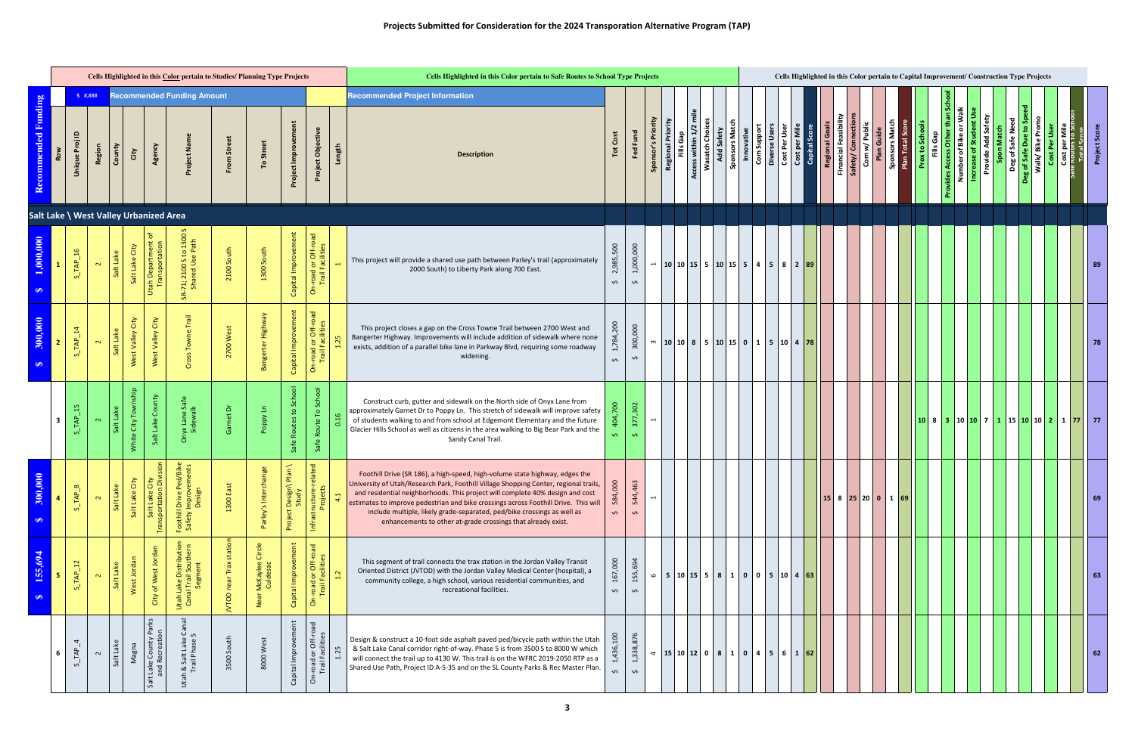| Cells Highlighted in this Color pertain to Studies/ Planning Type Projects<br><b>Recommended Funding Amount</b> |              |                                        |           |                                |                                                         |                                                                         |                                             |                                  |                                  |                                                          |        | Cells Highlighted in this Color pertain to Safe Routes to School Type Projects                                                                                                                                                                                                                                                                                                                                                                                                         |                                 |                                            |                    |                                     |                        |                                      |                              |             | Cells Highlighted in this Color pertain to Capital Improvement/ Construction Type Projects                |                                       |  |                                         |                                             |            |                                  |                        |                                           |                                        |                    |                                                          |                 |              |                                                         |              |
|-----------------------------------------------------------------------------------------------------------------|--------------|----------------------------------------|-----------|--------------------------------|---------------------------------------------------------|-------------------------------------------------------------------------|---------------------------------------------|----------------------------------|----------------------------------|----------------------------------------------------------|--------|----------------------------------------------------------------------------------------------------------------------------------------------------------------------------------------------------------------------------------------------------------------------------------------------------------------------------------------------------------------------------------------------------------------------------------------------------------------------------------------|---------------------------------|--------------------------------------------|--------------------|-------------------------------------|------------------------|--------------------------------------|------------------------------|-------------|-----------------------------------------------------------------------------------------------------------|---------------------------------------|--|-----------------------------------------|---------------------------------------------|------------|----------------------------------|------------------------|-------------------------------------------|----------------------------------------|--------------------|----------------------------------------------------------|-----------------|--------------|---------------------------------------------------------|--------------|
| Recommended Funding                                                                                             | $\mathbf{r}$ | Proj<br><b>Region</b><br><b>Unique</b> | County    | City                           | Agency                                                  | Project Nan                                                             | 5tr<br>From                                 | To Street                        | Project Improvem                 | Project Objective                                        | Length | <b>Recommended Project Information</b><br><b>Description</b>                                                                                                                                                                                                                                                                                                                                                                                                                           | Cost<br>Tot                     | Fed Fund                                   | Sponsor's Priority | Priority<br>Fills Gap<br>Regional I | Ē<br>Access within 1/2 | <b>Wasatch Choices</b><br>Add Safety | Sponsors Match<br>Innovative | Com Support | Diverse Users<br>Cost Per User                                                                            | <b>Cost per Mile</b><br>Capital Score |  | Regional Goals<br>Financial Feasibility | Safety/ Connectio<br>w/Public<br>င်္ခ       | Plan Guide | Sponsors Ivia.<br>Plan Total Sco | <b>Prox to Schools</b> | than<br>Gap<br>Other<br>≝<br>vides Access | Number of Bike or<br>Increase of Stude | Provide Add Safety | Deg of Safe Need<br>$\mathbf{e}$<br>g of Safe Due<br>്ട് | Walk/Bike Promo | Cost Per Use | <b>Cost per Mile</b><br>Te Routes to Sch<br>Total Score | Project Scor |
|                                                                                                                 |              | Salt Lake \ West Valley Urbanized Area |           |                                |                                                         |                                                                         |                                             |                                  |                                  |                                                          |        |                                                                                                                                                                                                                                                                                                                                                                                                                                                                                        |                                 |                                            |                    |                                     |                        |                                      |                              |             |                                                                                                           |                                       |  |                                         |                                             |            |                                  |                        |                                           |                                        |                    |                                                          |                 |              |                                                         |              |
| 1,000,000<br>S                                                                                                  |              | $S$ <sub>_TAP_16</sub>                 | Salt Lake | Salt Lake City                 | ৳<br>Utah Department o<br>Transportation                | SR-71; 2100 S to 1300<br>Shared Use Path                                | 2100 South                                  | 1300 South                       | Capital Improvement              | -road or Off-road<br>Trail Facilities<br>ō               |        | This project will provide a shared use path between Parley's trail (approximately<br>2000 South) to Liberty Park along 700 East.                                                                                                                                                                                                                                                                                                                                                       | 2,985,500<br>$\hat{\mathbf{v}}$ | 1,000,000<br>$\mathbf{\hat{v}}$            |                    |                                     |                        |                                      |                              |             | $\left  \begin{array}{c c c c c c c c c} \hline \end{array} \right $ 10   15   5   5   4   5   8   2   89 |                                       |  |                                         |                                             |            |                                  |                        |                                           |                                        |                    |                                                          |                 |              |                                                         | 89           |
| 300,000<br>S                                                                                                    |              | $S$ <sub>_TAP_14</sub>                 | Salt Lake | West Valley City               | City<br>West Valley                                     | Trail<br>Towne <sup>'</sup><br>Cross                                    | 2700 West                                   | Bangerter Highway                | Capital Improvement              | <b>-road or Off-road</b><br>Trail Facilities<br>$\delta$ |        | This project closes a gap on the Cross Towne Trail between 2700 West and<br>Bangerter Highway. Improvements will include addition of sidewalk where none<br>exists, addition of a parallel bike lane in Parkway Blvd, requiring some roadway<br>widening.                                                                                                                                                                                                                              | 784,200<br>$\hat{\mathbf{v}}$   | 300,000<br>$\hat{\mathbf{v}}$              |                    |                                     |                        |                                      |                              |             | $\sim$ 10 10 8 5 10 15 0 1 5 10 4 78                                                                      |                                       |  |                                         |                                             |            |                                  |                        |                                           |                                        |                    |                                                          |                 |              |                                                         | 78           |
|                                                                                                                 | 15<br>-3     | $S$ <sub>TAP</sub>                     |           | aship<br>White City Tow        | County<br>Salt Lake                                     | nyx Lane Saf<br>Sidewalk<br>$\circ$                                     | ة<br>ලි                                     | Poppy Ln                         | Routes to School<br>Safe         | Route To School<br>Safe                                  | 16     | Construct curb, gutter and sidewalk on the North side of Onyx Lane from<br>approximately Garnet Dr to Poppy Ln. This stretch of sidewalk will improve safety<br>of students walking to and from school at Edgemont Elementary and the future<br>Glacier Hills School as well as citizens in the area walking to Big Bear Park and the<br>Sandy Canal Trail.                                                                                                                            | 04,700<br>$\sim$                | 377,302<br>$\mathbf{v}$                    | $\blacksquare$     |                                     |                        |                                      |                              |             |                                                                                                           |                                       |  |                                         |                                             |            |                                  |                        |                                           |                                        |                    | $108310107711115101021177777$                            |                 |              |                                                         |              |
| $\mathbf{S}$<br>300,0<br>↮                                                                                      |              | $S\_TAP\_8$<br>$\mathbf{\Omega}$       | Salt Lake | $\mathfrak{p}$<br>Salt Lake Ci | City<br>Division<br>Salt Lake Ci<br>Transportation D    | ed/Bike<br>ments<br>Foothill Drive Pee<br>Safety Improven<br>Design     | 1300 Eas                                    | ange<br>Parley's Interc          | Plan<br>Project Design\<br>Study | elated<br>Infrastructure-r<br>Projects                   |        | Foothill Drive (SR 186), a high-speed, high-volume state highway, edges the<br>University of Utah/Research Park, Foothill Village Shopping Center, regional trails,<br>and residential neighborhoods. This project will complete 40% design and cost<br>estimates to improve pedestrian and bike crossings across Foothill Drive. This will<br>include multiple, likely grade-separated, ped/bike crossings as well as<br>enhancements to other at-grade crossings that already exist. | 584,000<br>$\hat{\mathbf{v}}$   | $\sim$<br>544,46<br>$\mathbf{\hat{v}}$     | $\overline{ }$     |                                     |                        |                                      |                              |             |                                                                                                           |                                       |  |                                         | $15 \t  8 \t  25 \t  20 \t  0 \t  1 \t  69$ |            |                                  |                        |                                           |                                        |                    |                                                          |                 |              |                                                         | 69           |
| 155,694<br>$\bullet$                                                                                            |              | $S_TAP_12$                             | Salt Lake | West Jordan                    | City of West Jordan                                     | ake Distribution<br>  Trail Southern<br>Segm<br>Utah Lake<br>Canal Trai | station<br>Trax<br>near <sup>1</sup><br>100 | õ<br>McKaylee<br>Culdesac<br>Nea | Capital Improvement              | <b>-road or Off-road</b><br>Trail Facilities<br>ō        |        | This segment of trail connects the trax station in the Jordan Valley Transit<br>Oriented District (JVTOD) with the Jordan Valley Medical Center (hospital), a<br>community college, a high school, various residential communities, and<br>recreational facilities.                                                                                                                                                                                                                    | 167,000<br>Ş                    | 155,694<br>$\mathbf{\hat{v}}$              | $\mathbf \omega$   |                                     |                        |                                      |                              |             | $  5   10   15   5   8   1   0   0   5   10   4   63$                                                     |                                       |  |                                         |                                             |            |                                  |                        |                                           |                                        |                    |                                                          |                 |              |                                                         | 63           |
|                                                                                                                 |              | $S$ <sub>IAP</sub> <sub>4</sub>        | Salt Lake | Magna                          | Salt Lake County Parks<br>and Recreation<br>$rac{1}{2}$ | ි ය<br>Utah & Salt Lake (<br>Trail Phase 5                              | 3500 South                                  | 8000 West                        | Capital Improvement              | n-road or Off-road<br>Trail Facilities<br>ō              |        | Design & construct a 10-foot side asphalt paved ped/bicycle path within the Utah<br>& Salt Lake Canal corridor right-of-way. Phase 5 is from 3500 S to 8000 W which<br>will connect the trail up to 4130 W. This trail is on the WFRC 2019-2050 RTP as a<br>Shared Use Path, Project ID A-S-35 and on the SL County Parks & Rec Master Plan.                                                                                                                                           | 1,436,100<br>$\hat{\mathbf{v}}$ | 338,876<br>$\vec{r}$<br>$\hat{\mathbf{v}}$ |                    |                                     |                        |                                      |                              |             | $\frac{15}{15}$ 10 12 0 8 1 0 4 5 6 1 62                                                                  |                                       |  |                                         |                                             |            |                                  |                        |                                           |                                        |                    |                                                          |                 |              |                                                         | 62           |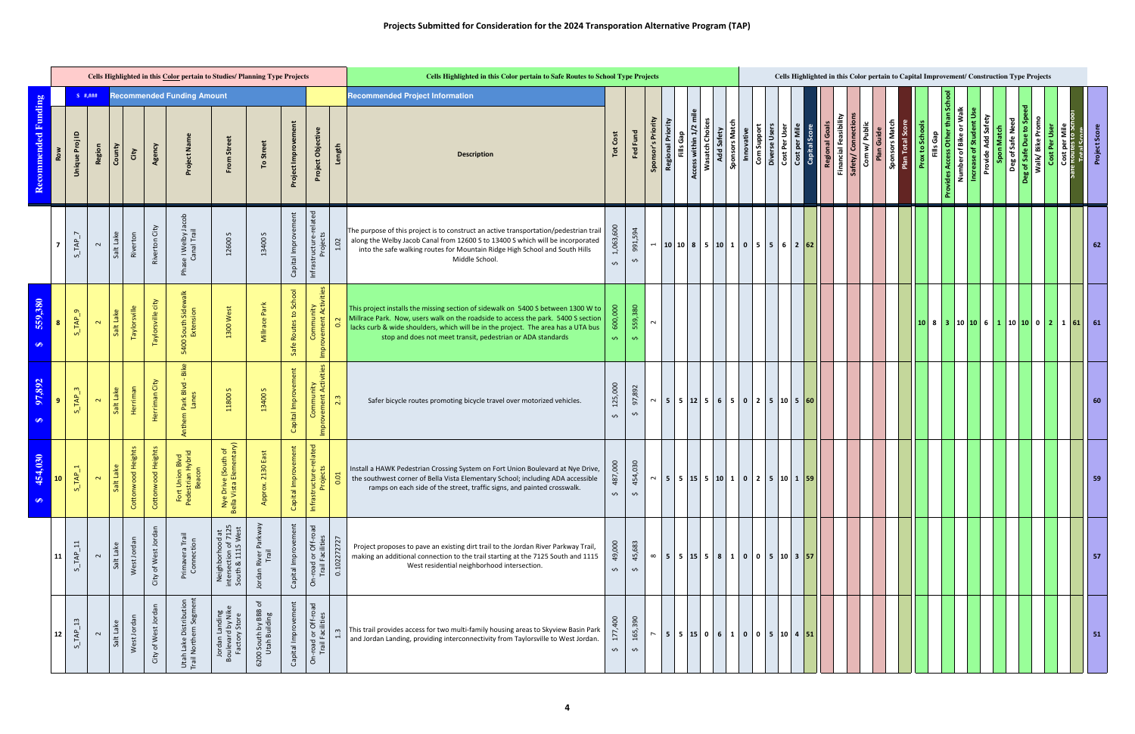|                      | Cells Highlighted in this Color pertain to Studies/ Planning Type Projects<br><b>Recommended Funding Amount</b> |                                             |              |                        |                        |                                                                             |                                                                                               |                                       |                          |                                               |                                       | Cells Highlighted in this Color pertain to Safe Routes to School Type Projects                                                                                                                                                                                                                                             |                                 |                               |                    |                          |                                |                        |                                            |             | Cells Highlighted in this Color pertain to Capital Improvement/ Construction Type Projects |  |                                                                  |                                         |                   |                                                |                              |  |                             |                                              |                   |                    |                  |                                                        |               |                                                                                                                          |             |
|----------------------|-----------------------------------------------------------------------------------------------------------------|---------------------------------------------|--------------|------------------------|------------------------|-----------------------------------------------------------------------------|-----------------------------------------------------------------------------------------------|---------------------------------------|--------------------------|-----------------------------------------------|---------------------------------------|----------------------------------------------------------------------------------------------------------------------------------------------------------------------------------------------------------------------------------------------------------------------------------------------------------------------------|---------------------------------|-------------------------------|--------------------|--------------------------|--------------------------------|------------------------|--------------------------------------------|-------------|--------------------------------------------------------------------------------------------|--|------------------------------------------------------------------|-----------------------------------------|-------------------|------------------------------------------------|------------------------------|--|-----------------------------|----------------------------------------------|-------------------|--------------------|------------------|--------------------------------------------------------|---------------|--------------------------------------------------------------------------------------------------------------------------|-------------|
| mmended Funding      |                                                                                                                 | $\mathbf{r}$<br>`ಠ<br>Region<br>Unique Pr   | County       | City                   | Agency                 | Project Na                                                                  | From Street                                                                                   | To Street                             | Project Improvem         | Project Objective                             | Length                                | <b>Recommended Project Information</b><br><b>Description</b>                                                                                                                                                                                                                                                               | Cost<br>Tot                     | Fed Fund                      | Sponsor's Priority | <b>Regional Priority</b> | Access within 1/2<br>Fills Gap | <b>Wasatch Choices</b> | Add Safety<br>Sponsors Match<br>Innovative | Com Support |                                                                                            |  | Diverse Users<br>Cost Per User<br>Cost per Mile<br>Capital Score | Regional Goals<br>Financial Feasibility | Safety/ Connectio | w/Public<br>Plan Guide<br>$\mathbf{\tilde{S}}$ | Sponsors<br>Plan Total Score |  | Prox to Schools<br>Gap<br>Ë | Number of Bike or Walk<br>than<br>vides Acce | Increase of Stude | Provide Add Safety | Deg of Safe Need | Walk/ Bike Promo<br>to <sub>S</sub><br>Deg of Safe Due | Cost Per User | <b>Cost per l<br/>Toutes to</b><br>Total Sec                                                                             | Project Sco |
|                      | $\overline{7}$                                                                                                  | $S$ <sub>_TAP</sub> <sub>_7</sub><br>$\sim$ | Salt Lake    | Riverton               | Riverton City          | nase I Welby Jacob<br>Canal Trail<br>운                                      | 12600S                                                                                        | 13400 S                               | Capital Improvement      | Infrastructure-related<br>Projects            | 1.02                                  | The purpose of this project is to construct an active transportation/pedestrian trail<br>along the Welby Jacob Canal from 12600 S to 13400 S which will be incorporated<br>into the safe walking routes for Mountain Ridge High School and South Hills<br>Middle School.                                                   | 1,063,600<br>$\hat{\mathbf{v}}$ | 991,594<br>$\mathbf{\hat{v}}$ |                    |                          |                                |                        |                                            |             |                                                                                            |  |                                                                  |                                         |                   |                                                |                              |  |                             |                                              |                   |                    |                  |                                                        |               |                                                                                                                          | 62          |
| 559,380<br>$\bullet$ | 8                                                                                                               | $S$ <sub>_TAP</sub> $9$<br>$\sim$           | Salt Lake    | Taylorsville           | Taylorsville city      | 5400 South Sidewalk<br>Extension                                            | 1300 West                                                                                     | Millrace Park                         | Routes to School<br>Safe | Community<br>ovement Activities<br>Impr       | $\sim$<br>$\circ$                     | This project installs the missing section of sidewalk on 5400 S between 1300 W to<br>Millrace Park. Now, users walk on the roadside to access the park. 5400 S section<br>lacks curb & wide shoulders, which will be in the project. The area has a UTA bus<br>stop and does not meet transit, pedestrian or ADA standards | 600,000<br>$\mathbf{v}$         | 559,380<br>$\mathbf{v}$       | $\sim$             |                          |                                |                        |                                            |             |                                                                                            |  |                                                                  |                                         |                   |                                                |                              |  |                             |                                              |                   |                    |                  |                                                        |               | $\vert 10 \vert 8 \vert 3 \vert 10 \vert 10 \vert 6 \vert 1 \vert 10 \vert 10 \vert 0 \vert 2 \vert 1 \vert 61 \vert 61$ |             |
| 97,892<br>S          | 9                                                                                                               | $S_$ TAP <sub>3</sub><br>$\sim$             | Salt Lake    | Herriman               | Herriman City          | - Bike<br>Park Blvd<br>Lanes<br>Anthem                                      | 11800S                                                                                        | 13400 S                               | Capital Improvement      | Impr                                          | 23                                    | Safer bicycle routes promoting bicycle travel over motorized vehicles.                                                                                                                                                                                                                                                     | 125,000<br>$\hat{\mathbf{v}}$   | 97,892<br>$\mathbf{\hat{v}}$  |                    |                          |                                |                        |                                            |             | $\sim$ 5 5 12 5 6 5 0 2 5 10 5 60                                                          |  |                                                                  |                                         |                   |                                                |                              |  |                             |                                              |                   |                    |                  |                                                        |               |                                                                                                                          |             |
| 454,030<br>Đ٩        | <b>10</b>                                                                                                       | $TAP_1$<br>$\mathbf{\Omega}$<br>S           | It Lake<br>ஃ | ood Heights<br>Cottonw | ood Heights<br>Cottonw | Union Blvd<br>trian Hybrid<br>eacon<br>Fort U <sub>l</sub><br>Pedestr<br>Be | ive (South of<br>:a Elementary)<br>Nye Driv<br>Bella Vista                                    | 2130 East<br>Appro                    | nprovement<br>Capital In | icture-related<br>rojects<br>Infrastruc<br>Pr |                                       | Install a HAWK Pedestrian Crossing System on Fort Union Boulevard at Nye Drive,<br>the southwest corner of Bella Vista Elementary School; including ADA accessible<br>ramps on each side of the street, traffic signs, and painted crosswalk.                                                                              | 487,000<br>$\mathbf{\hat{v}}$   | 454,030<br>$\mathbf{v}$       |                    |                          |                                |                        |                                            |             | $\sim$ 5 5 15 15 10 1 0 2 5 10 1 59                                                        |  |                                                                  |                                         |                   |                                                |                              |  |                             |                                              |                   |                    |                  |                                                        |               |                                                                                                                          | 59          |
|                      | 11                                                                                                              | $\Xi$<br>TAP<br>$\sim$<br>ທ່                | Salt Lake    | West Jorda             | City of West Jordan    | Primavera Trail<br>Connection                                               | $\overline{\mathbf{c}}$<br>$\aleph$<br>ъ<br>Neighborhooc<br>intersection of<br>South & 1115 V | Parkwa<br>Trail<br>Jordan River       | Capital Improvement      | On-road or Off-road<br>Trail Facilities       | 0.102272727                           | Project proposes to pave an existing dirt trail to the Jordan River Parkway Trail,<br>making an additional connection to the trail starting at the 7125 South and 1115<br>West residential neighborhood intersection.                                                                                                      | 49,000<br>$\hat{\mathbf{v}}$    | 45,683<br>$\mathbf{\hat{v}}$  |                    |                          |                                |                        |                                            |             | $\infty$   5   5   15   5   8   1   0   0   5   10   3   57                                |  |                                                                  |                                         |                   |                                                |                              |  |                             |                                              |                   |                    |                  |                                                        |               |                                                                                                                          | 57          |
|                      | 12                                                                                                              | 13<br>TAP<br>$\sim$<br>ທ່                   | Salt Lake    | West Jorda             | City of West Jordan    | Utah Lake Distribution<br>Trail Northern Segmen                             | Jordan Landing<br>Boulevard by Nike<br>Factory Store                                          | 6200 South by BBB of<br>Utah Building | Capital Improvement      | On-road or Off-road<br>Trail Facilities       | $\epsilon$<br>$\mathbf{\overline{d}}$ | This trail provides access for two multi-family housing areas to Skyview Basin Park<br>and Jordan Landing, providing interconnectivity from Taylorsville to West Jordan.                                                                                                                                                   | 177,400<br>$\mathbf{\hat{v}}$   | 165,390<br>$\mathbf{\hat{v}}$ | $\overline{ }$     |                          |                                |                        |                                            |             | $5$ 5 15 0 6 1 0 0 5 10 4 51                                                               |  |                                                                  |                                         |                   |                                                |                              |  |                             |                                              |                   |                    |                  |                                                        |               |                                                                                                                          | 51          |